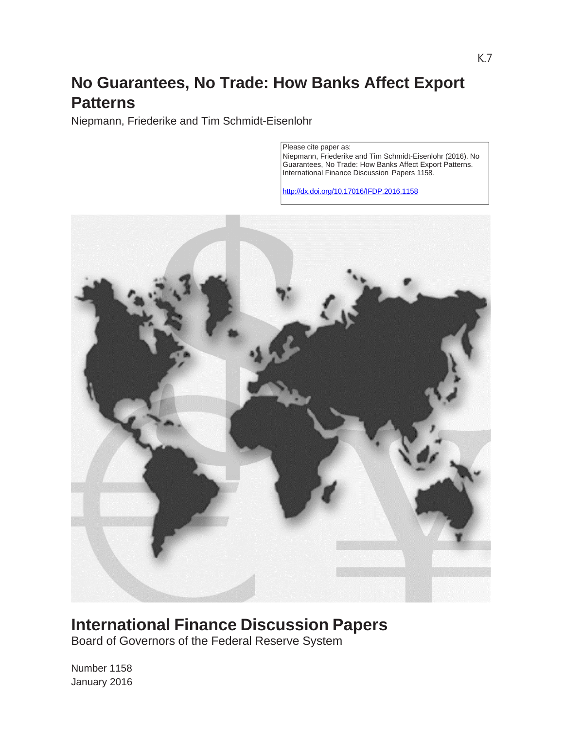# **No Guarantees, No Trade: How Banks Affect Export Patterns**

Niepmann, Friederike and Tim Schmidt-Eisenlohr

Please cite paper as: Niepmann, Friederike and Tim Schmidt-Eisenlohr (2016). No Guarantees, No Trade: How Banks Affect Export Patterns. International Finance Discussion Papers 1158.

http://dx.doi.org/10.17016/IFDP.2016.1158



## **International Finance Discussion Papers**

Board of Governors of the Federal Reserve System

Number 1158 January 2016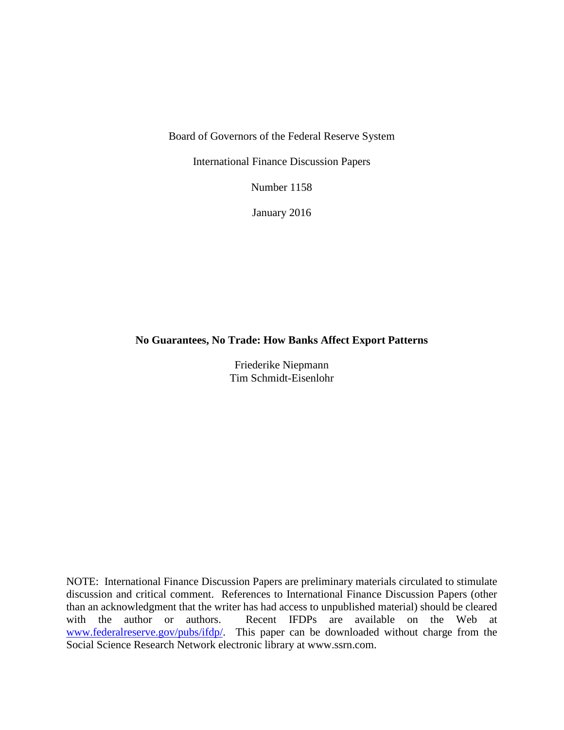Board of Governors of the Federal Reserve System

International Finance Discussion Papers

Number 1158

January 2016

#### **No Guarantees, No Trade: How Banks Affect Export Patterns**

Friederike Niepmann Tim Schmidt-Eisenlohr

NOTE: International Finance Discussion Papers are preliminary materials circulated to stimulate discussion and critical comment. References to International Finance Discussion Papers (other than an acknowledgment that the writer has had access to unpublished material) should be cleared with the author or authors. Recent IFDPs are available on the Web at [www.federalreserve.gov/pubs/ifdp/.](http://www.federalreserve.gov/pubs/ifdp/) This paper can be downloaded without charge from the Social Science Research Network electronic library at www.ssrn.com.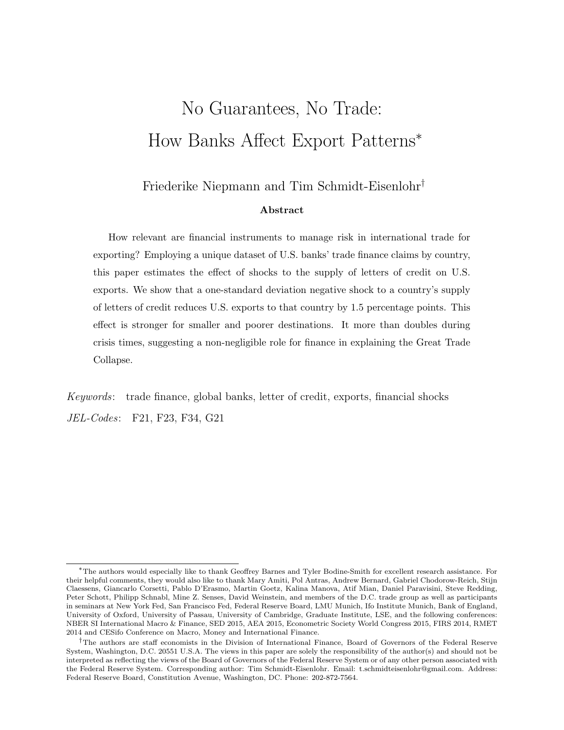# No Guarantees, No Trade: How Banks Affect Export Patterns\*

### Friederike Niepmann and Tim Schmidt-Eisenlohr†

#### Abstract

How relevant are financial instruments to manage risk in international trade for exporting? Employing a unique dataset of U.S. banks' trade finance claims by country, this paper estimates the effect of shocks to the supply of letters of credit on U.S. exports. We show that a one-standard deviation negative shock to a country's supply of letters of credit reduces U.S. exports to that country by 1.5 percentage points. This effect is stronger for smaller and poorer destinations. It more than doubles during crisis times, suggesting a non-negligible role for finance in explaining the Great Trade Collapse.

Keywords: trade finance, global banks, letter of credit, exports, financial shocks JEL-Codes: F21, F23, F34, G21

<sup>\*</sup>The authors would especially like to thank Geoffrey Barnes and Tyler Bodine-Smith for excellent research assistance. For their helpful comments, they would also like to thank Mary Amiti, Pol Antras, Andrew Bernard, Gabriel Chodorow-Reich, Stijn Claessens, Giancarlo Corsetti, Pablo D'Erasmo, Martin Goetz, Kalina Manova, Atif Mian, Daniel Paravisini, Steve Redding, Peter Schott, Philipp Schnabl, Mine Z. Senses, David Weinstein, and members of the D.C. trade group as well as participants in seminars at New York Fed, San Francisco Fed, Federal Reserve Board, LMU Munich, Ifo Institute Munich, Bank of England, University of Oxford, University of Passau, University of Cambridge, Graduate Institute, LSE, and the following conferences: NBER SI International Macro & Finance, SED 2015, AEA 2015, Econometric Society World Congress 2015, FIRS 2014, RMET 2014 and CESifo Conference on Macro, Money and International Finance.

<sup>&</sup>lt;sup>†</sup>The authors are staff economists in the Division of International Finance, Board of Governors of the Federal Reserve System, Washington, D.C. 20551 U.S.A. The views in this paper are solely the responsibility of the author(s) and should not be interpreted as reflecting the views of the Board of Governors of the Federal Reserve System or of any other person associated with the Federal Reserve System. Corresponding author: Tim Schmidt-Eisenlohr. Email: t.schmidteisenlohr@gmail.com. Address: Federal Reserve Board, Constitution Avenue, Washington, DC. Phone: 202-872-7564.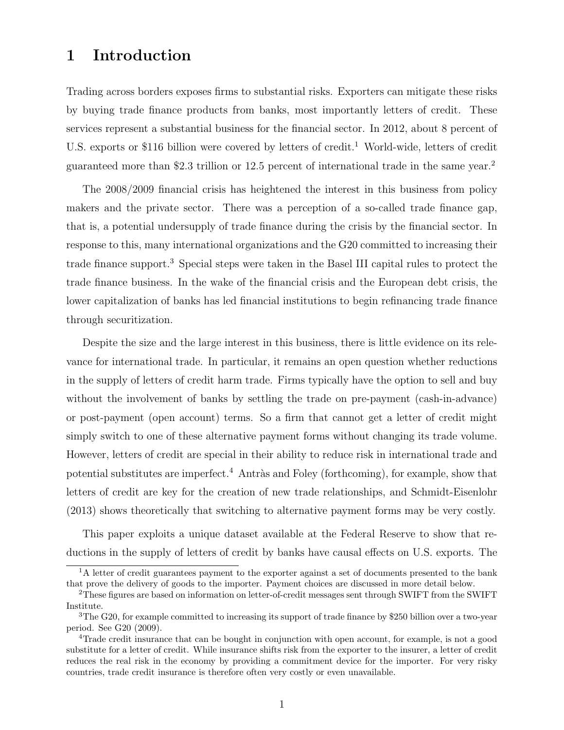### 1 Introduction

Trading across borders exposes firms to substantial risks. Exporters can mitigate these risks by buying trade finance products from banks, most importantly letters of credit. These services represent a substantial business for the financial sector. In 2012, about 8 percent of U.S. exports or \$116 billion were covered by letters of credit.<sup>1</sup> World-wide, letters of credit guaranteed more than \$2.3 trillion or 12.5 percent of international trade in the same year.<sup>2</sup>

The 2008/2009 financial crisis has heightened the interest in this business from policy makers and the private sector. There was a perception of a so-called trade finance gap, that is, a potential undersupply of trade finance during the crisis by the financial sector. In response to this, many international organizations and the G20 committed to increasing their trade finance support.<sup>3</sup> Special steps were taken in the Basel III capital rules to protect the trade finance business. In the wake of the financial crisis and the European debt crisis, the lower capitalization of banks has led financial institutions to begin refinancing trade finance through securitization.

Despite the size and the large interest in this business, there is little evidence on its relevance for international trade. In particular, it remains an open question whether reductions in the supply of letters of credit harm trade. Firms typically have the option to sell and buy without the involvement of banks by settling the trade on pre-payment (cash-in-advance) or post-payment (open account) terms. So a firm that cannot get a letter of credit might simply switch to one of these alternative payment forms without changing its trade volume. However, letters of credit are special in their ability to reduce risk in international trade and potential substitutes are imperfect.<sup>4</sup> Antràs and Foley (forthcoming), for example, show that letters of credit are key for the creation of new trade relationships, and Schmidt-Eisenlohr (2013) shows theoretically that switching to alternative payment forms may be very costly.

This paper exploits a unique dataset available at the Federal Reserve to show that reductions in the supply of letters of credit by banks have causal effects on U.S. exports. The

<sup>&</sup>lt;sup>1</sup>A letter of credit guarantees payment to the exporter against a set of documents presented to the bank that prove the delivery of goods to the importer. Payment choices are discussed in more detail below.

<sup>2</sup>These figures are based on information on letter-of-credit messages sent through SWIFT from the SWIFT Institute.

<sup>&</sup>lt;sup>3</sup>The G20, for example committed to increasing its support of trade finance by \$250 billion over a two-year period. See G20 (2009).

<sup>4</sup>Trade credit insurance that can be bought in conjunction with open account, for example, is not a good substitute for a letter of credit. While insurance shifts risk from the exporter to the insurer, a letter of credit reduces the real risk in the economy by providing a commitment device for the importer. For very risky countries, trade credit insurance is therefore often very costly or even unavailable.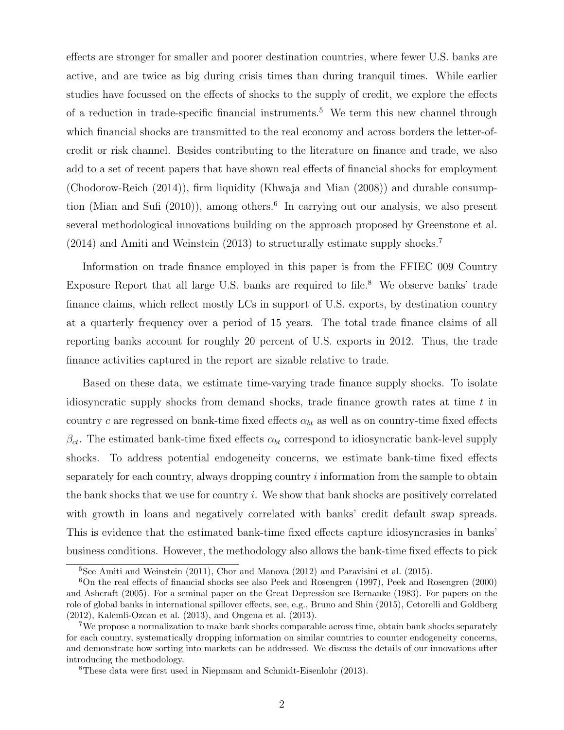effects are stronger for smaller and poorer destination countries, where fewer U.S. banks are active, and are twice as big during crisis times than during tranquil times. While earlier studies have focussed on the effects of shocks to the supply of credit, we explore the effects of a reduction in trade-specific financial instruments.<sup>5</sup> We term this new channel through which financial shocks are transmitted to the real economy and across borders the letter-ofcredit or risk channel. Besides contributing to the literature on finance and trade, we also add to a set of recent papers that have shown real effects of financial shocks for employment (Chodorow-Reich (2014)), firm liquidity (Khwaja and Mian (2008)) and durable consumption (Mian and Sufi (2010)), among others.<sup>6</sup> In carrying out our analysis, we also present several methodological innovations building on the approach proposed by Greenstone et al. (2014) and Amiti and Weinstein (2013) to structurally estimate supply shocks.<sup>7</sup>

Information on trade finance employed in this paper is from the FFIEC 009 Country Exposure Report that all large U.S. banks are required to file.<sup>8</sup> We observe banks' trade finance claims, which reflect mostly LCs in support of U.S. exports, by destination country at a quarterly frequency over a period of 15 years. The total trade finance claims of all reporting banks account for roughly 20 percent of U.S. exports in 2012. Thus, the trade finance activities captured in the report are sizable relative to trade.

Based on these data, we estimate time-varying trade finance supply shocks. To isolate idiosyncratic supply shocks from demand shocks, trade finance growth rates at time  $t$  in country c are regressed on bank-time fixed effects  $\alpha_{bt}$  as well as on country-time fixed effects  $\beta_{ct}$ . The estimated bank-time fixed effects  $\alpha_{bt}$  correspond to idiosyncratic bank-level supply shocks. To address potential endogeneity concerns, we estimate bank-time fixed effects separately for each country, always dropping country information from the sample to obtain the bank shocks that we use for country  $i$ . We show that bank shocks are positively correlated with growth in loans and negatively correlated with banks' credit default swap spreads. This is evidence that the estimated bank-time fixed effects capture idiosyncrasies in banks' business conditions. However, the methodology also allows the bank-time fixed effects to pick

<sup>&</sup>lt;sup>5</sup>See Amiti and Weinstein  $(2011)$ , Chor and Manova  $(2012)$  and Paravisini et al.  $(2015)$ .

<sup>6</sup>On the real effects of financial shocks see also Peek and Rosengren (1997), Peek and Rosengren (2000) and Ashcraft (2005). For a seminal paper on the Great Depression see Bernanke (1983). For papers on the role of global banks in international spillover effects, see, e.g., Bruno and Shin (2015), Cetorelli and Goldberg (2012), Kalemli-Ozcan et al. (2013), and Ongena et al. (2013).

<sup>7</sup>We propose a normalization to make bank shocks comparable across time, obtain bank shocks separately for each country, systematically dropping information on similar countries to counter endogeneity concerns, and demonstrate how sorting into markets can be addressed. We discuss the details of our innovations after introducing the methodology.

<sup>8</sup>These data were first used in Niepmann and Schmidt-Eisenlohr (2013).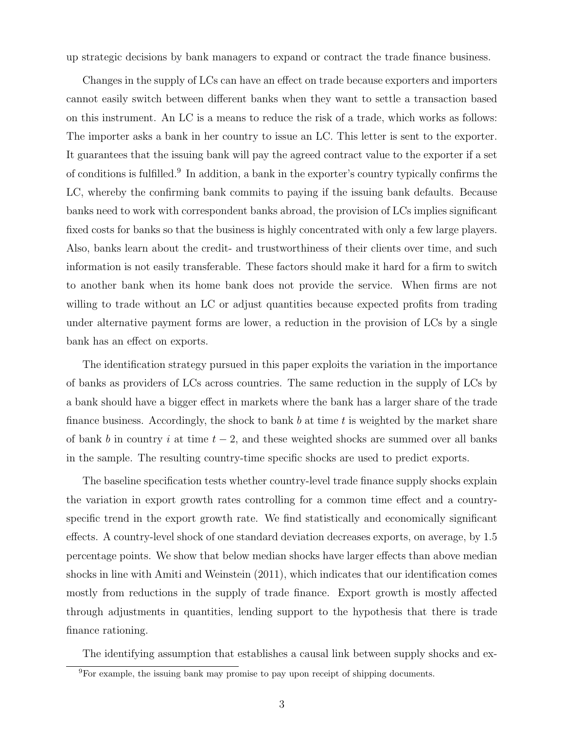up strategic decisions by bank managers to expand or contract the trade finance business.

Changes in the supply of LCs can have an effect on trade because exporters and importers cannot easily switch between different banks when they want to settle a transaction based on this instrument. An LC is a means to reduce the risk of a trade, which works as follows: The importer asks a bank in her country to issue an LC. This letter is sent to the exporter. It guarantees that the issuing bank will pay the agreed contract value to the exporter if a set of conditions is fulfilled.<sup>9</sup> In addition, a bank in the exporter's country typically confirms the LC, whereby the confirming bank commits to paying if the issuing bank defaults. Because banks need to work with correspondent banks abroad, the provision of LCs implies significant fixed costs for banks so that the business is highly concentrated with only a few large players. Also, banks learn about the credit- and trustworthiness of their clients over time, and such information is not easily transferable. These factors should make it hard for a firm to switch to another bank when its home bank does not provide the service. When firms are not willing to trade without an LC or adjust quantities because expected profits from trading under alternative payment forms are lower, a reduction in the provision of LCs by a single bank has an effect on exports.

The identification strategy pursued in this paper exploits the variation in the importance of banks as providers of LCs across countries. The same reduction in the supply of LCs by a bank should have a bigger effect in markets where the bank has a larger share of the trade finance business. Accordingly, the shock to bank  $b$  at time  $t$  is weighted by the market share of bank b in country i at time  $t - 2$ , and these weighted shocks are summed over all banks in the sample. The resulting country-time specific shocks are used to predict exports.

The baseline specification tests whether country-level trade finance supply shocks explain the variation in export growth rates controlling for a common time effect and a countryspecific trend in the export growth rate. We find statistically and economically significant effects. A country-level shock of one standard deviation decreases exports, on average, by 1.5 percentage points. We show that below median shocks have larger effects than above median shocks in line with Amiti and Weinstein (2011), which indicates that our identification comes mostly from reductions in the supply of trade finance. Export growth is mostly affected through adjustments in quantities, lending support to the hypothesis that there is trade finance rationing.

The identifying assumption that establishes a causal link between supply shocks and ex-

<sup>9</sup>For example, the issuing bank may promise to pay upon receipt of shipping documents.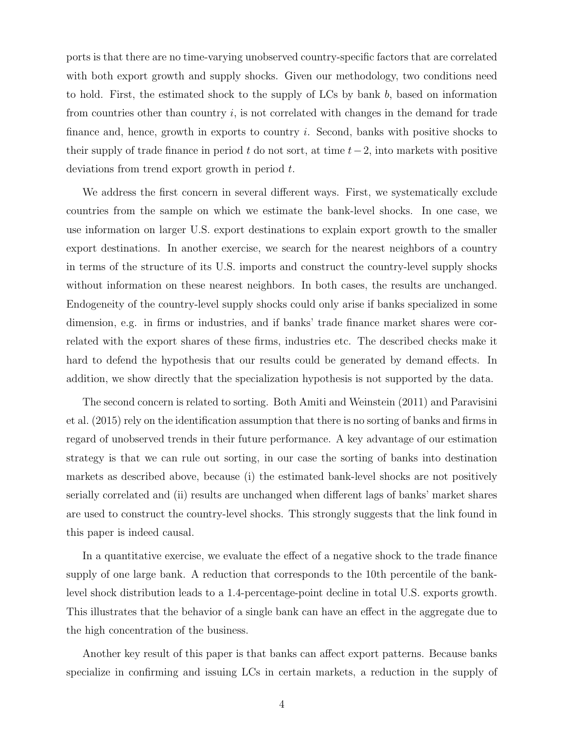ports is that there are no time-varying unobserved country-specific factors that are correlated with both export growth and supply shocks. Given our methodology, two conditions need to hold. First, the estimated shock to the supply of LCs by bank  $b$ , based on information from countries other than country  $i$ , is not correlated with changes in the demand for trade finance and, hence, growth in exports to country  $i$ . Second, banks with positive shocks to their supply of trade finance in period t do not sort, at time  $t-2$ , into markets with positive deviations from trend export growth in period  $t$ .

We address the first concern in several different ways. First, we systematically exclude countries from the sample on which we estimate the bank-level shocks. In one case, we use information on larger U.S. export destinations to explain export growth to the smaller export destinations. In another exercise, we search for the nearest neighbors of a country in terms of the structure of its U.S. imports and construct the country-level supply shocks without information on these nearest neighbors. In both cases, the results are unchanged. Endogeneity of the country-level supply shocks could only arise if banks specialized in some dimension, e.g. in firms or industries, and if banks' trade finance market shares were correlated with the export shares of these firms, industries etc. The described checks make it hard to defend the hypothesis that our results could be generated by demand effects. In addition, we show directly that the specialization hypothesis is not supported by the data.

The second concern is related to sorting. Both Amiti and Weinstein (2011) and Paravisini et al. (2015) rely on the identification assumption that there is no sorting of banks and firms in regard of unobserved trends in their future performance. A key advantage of our estimation strategy is that we can rule out sorting, in our case the sorting of banks into destination markets as described above, because (i) the estimated bank-level shocks are not positively serially correlated and (ii) results are unchanged when different lags of banks' market shares are used to construct the country-level shocks. This strongly suggests that the link found in this paper is indeed causal.

In a quantitative exercise, we evaluate the effect of a negative shock to the trade finance supply of one large bank. A reduction that corresponds to the 10th percentile of the banklevel shock distribution leads to a 1.4-percentage-point decline in total U.S. exports growth. This illustrates that the behavior of a single bank can have an effect in the aggregate due to the high concentration of the business.

Another key result of this paper is that banks can affect export patterns. Because banks specialize in confirming and issuing LCs in certain markets, a reduction in the supply of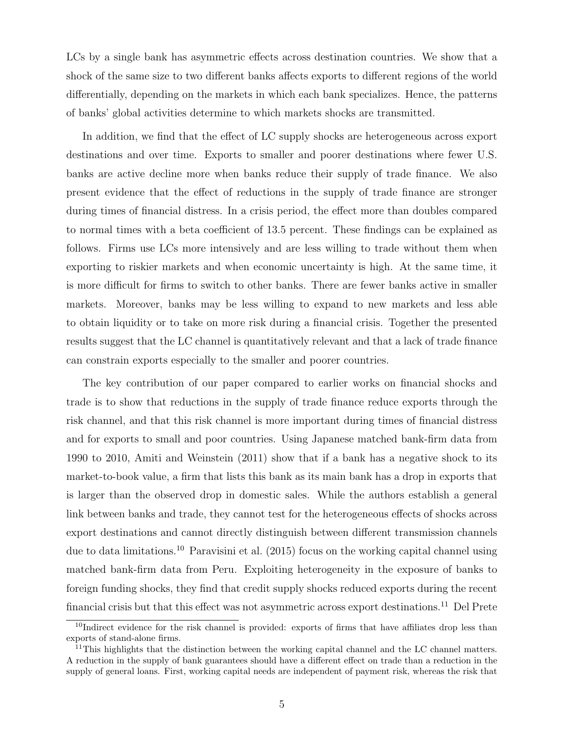LCs by a single bank has asymmetric effects across destination countries. We show that a shock of the same size to two different banks affects exports to different regions of the world differentially, depending on the markets in which each bank specializes. Hence, the patterns of banks' global activities determine to which markets shocks are transmitted.

In addition, we find that the effect of LC supply shocks are heterogeneous across export destinations and over time. Exports to smaller and poorer destinations where fewer U.S. banks are active decline more when banks reduce their supply of trade finance. We also present evidence that the effect of reductions in the supply of trade finance are stronger during times of financial distress. In a crisis period, the effect more than doubles compared to normal times with a beta coefficient of 13.5 percent. These findings can be explained as follows. Firms use LCs more intensively and are less willing to trade without them when exporting to riskier markets and when economic uncertainty is high. At the same time, it is more difficult for firms to switch to other banks. There are fewer banks active in smaller markets. Moreover, banks may be less willing to expand to new markets and less able to obtain liquidity or to take on more risk during a financial crisis. Together the presented results suggest that the LC channel is quantitatively relevant and that a lack of trade finance can constrain exports especially to the smaller and poorer countries.

The key contribution of our paper compared to earlier works on financial shocks and trade is to show that reductions in the supply of trade finance reduce exports through the risk channel, and that this risk channel is more important during times of financial distress and for exports to small and poor countries. Using Japanese matched bank-firm data from 1990 to 2010, Amiti and Weinstein (2011) show that if a bank has a negative shock to its market-to-book value, a firm that lists this bank as its main bank has a drop in exports that is larger than the observed drop in domestic sales. While the authors establish a general link between banks and trade, they cannot test for the heterogeneous effects of shocks across export destinations and cannot directly distinguish between different transmission channels due to data limitations.<sup>10</sup> Paravisini et al. (2015) focus on the working capital channel using matched bank-firm data from Peru. Exploiting heterogeneity in the exposure of banks to foreign funding shocks, they find that credit supply shocks reduced exports during the recent financial crisis but that this effect was not asymmetric across export destinations.<sup>11</sup> Del Prete

 $10$ Indirect evidence for the risk channel is provided: exports of firms that have affiliates drop less than exports of stand-alone firms.

 $11$ This highlights that the distinction between the working capital channel and the LC channel matters. A reduction in the supply of bank guarantees should have a different effect on trade than a reduction in the supply of general loans. First, working capital needs are independent of payment risk, whereas the risk that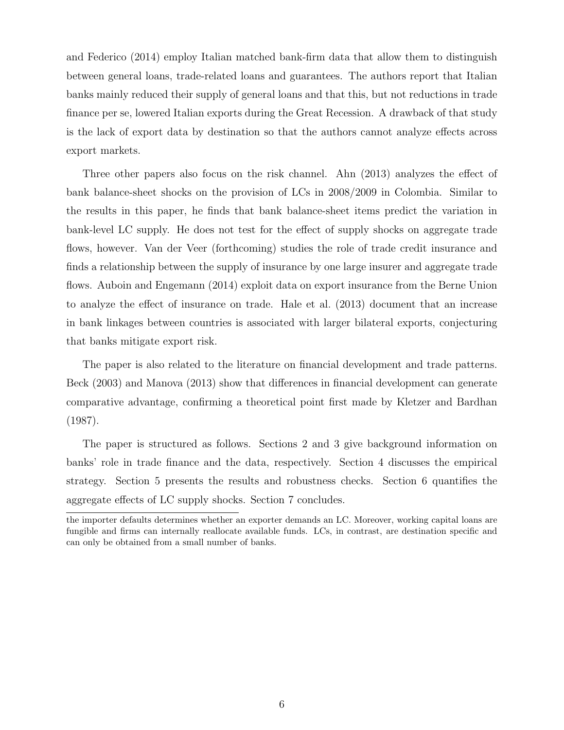and Federico (2014) employ Italian matched bank-firm data that allow them to distinguish between general loans, trade-related loans and guarantees. The authors report that Italian banks mainly reduced their supply of general loans and that this, but not reductions in trade finance per se, lowered Italian exports during the Great Recession. A drawback of that study is the lack of export data by destination so that the authors cannot analyze effects across export markets.

Three other papers also focus on the risk channel. Ahn (2013) analyzes the effect of bank balance-sheet shocks on the provision of LCs in 2008/2009 in Colombia. Similar to the results in this paper, he finds that bank balance-sheet items predict the variation in bank-level LC supply. He does not test for the effect of supply shocks on aggregate trade flows, however. Van der Veer (forthcoming) studies the role of trade credit insurance and finds a relationship between the supply of insurance by one large insurer and aggregate trade flows. Auboin and Engemann (2014) exploit data on export insurance from the Berne Union to analyze the effect of insurance on trade. Hale et al. (2013) document that an increase in bank linkages between countries is associated with larger bilateral exports, conjecturing that banks mitigate export risk.

The paper is also related to the literature on financial development and trade patterns. Beck (2003) and Manova (2013) show that differences in financial development can generate comparative advantage, confirming a theoretical point first made by Kletzer and Bardhan (1987).

The paper is structured as follows. Sections 2 and 3 give background information on banks' role in trade finance and the data, respectively. Section 4 discusses the empirical strategy. Section 5 presents the results and robustness checks. Section 6 quantifies the aggregate effects of LC supply shocks. Section 7 concludes.

the importer defaults determines whether an exporter demands an LC. Moreover, working capital loans are fungible and firms can internally reallocate available funds. LCs, in contrast, are destination specific and can only be obtained from a small number of banks.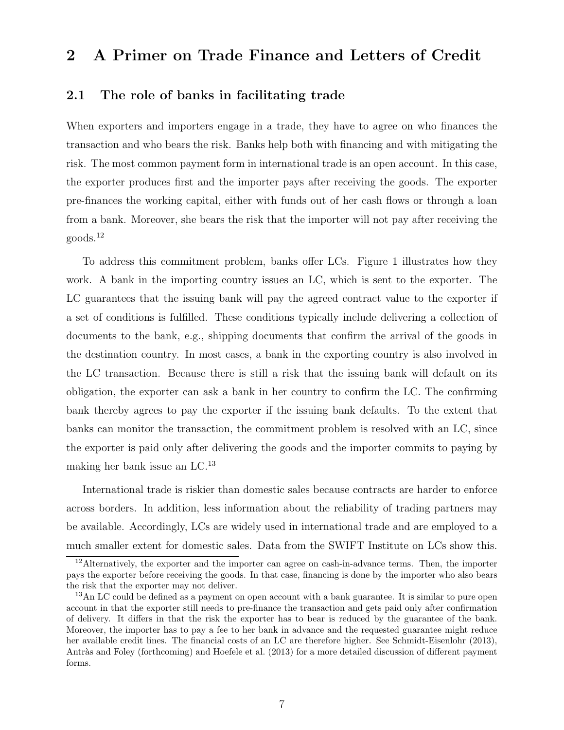### 2 A Primer on Trade Finance and Letters of Credit

#### 2.1 The role of banks in facilitating trade

When exporters and importers engage in a trade, they have to agree on who finances the transaction and who bears the risk. Banks help both with financing and with mitigating the risk. The most common payment form in international trade is an open account. In this case, the exporter produces first and the importer pays after receiving the goods. The exporter pre-finances the working capital, either with funds out of her cash flows or through a loan from a bank. Moreover, she bears the risk that the importer will not pay after receiving the goods.<sup>12</sup>

To address this commitment problem, banks offer LCs. Figure 1 illustrates how they work. A bank in the importing country issues an LC, which is sent to the exporter. The LC guarantees that the issuing bank will pay the agreed contract value to the exporter if a set of conditions is fulfilled. These conditions typically include delivering a collection of documents to the bank, e.g., shipping documents that confirm the arrival of the goods in the destination country. In most cases, a bank in the exporting country is also involved in the LC transaction. Because there is still a risk that the issuing bank will default on its obligation, the exporter can ask a bank in her country to confirm the LC. The confirming bank thereby agrees to pay the exporter if the issuing bank defaults. To the extent that banks can monitor the transaction, the commitment problem is resolved with an LC, since the exporter is paid only after delivering the goods and the importer commits to paying by making her bank issue an LC.<sup>13</sup>

International trade is riskier than domestic sales because contracts are harder to enforce across borders. In addition, less information about the reliability of trading partners may be available. Accordingly, LCs are widely used in international trade and are employed to a much smaller extent for domestic sales. Data from the SWIFT Institute on LCs show this.

<sup>&</sup>lt;sup>12</sup>Alternatively, the exporter and the importer can agree on cash-in-advance terms. Then, the importer pays the exporter before receiving the goods. In that case, financing is done by the importer who also bears the risk that the exporter may not deliver.

<sup>&</sup>lt;sup>13</sup>An LC could be defined as a payment on open account with a bank guarantee. It is similar to pure open account in that the exporter still needs to pre-finance the transaction and gets paid only after confirmation of delivery. It differs in that the risk the exporter has to bear is reduced by the guarantee of the bank. Moreover, the importer has to pay a fee to her bank in advance and the requested guarantee might reduce her available credit lines. The financial costs of an LC are therefore higher. See Schmidt-Eisenlohr (2013), Antràs and Foley (forthcoming) and Hoefele et al. (2013) for a more detailed discussion of different payment forms.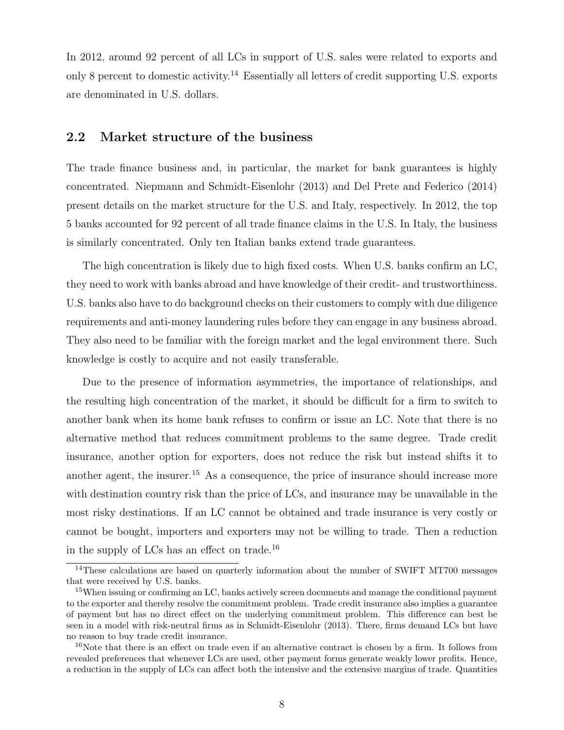In 2012, around 92 percent of all LCs in support of U.S. sales were related to exports and only 8 percent to domestic activity.<sup>14</sup> Essentially all letters of credit supporting U.S. exports are denominated in U.S. dollars.

#### 2.2 Market structure of the business

The trade finance business and, in particular, the market for bank guarantees is highly concentrated. Niepmann and Schmidt-Eisenlohr (2013) and Del Prete and Federico (2014) present details on the market structure for the U.S. and Italy, respectively. In 2012, the top 5 banks accounted for 92 percent of all trade finance claims in the U.S. In Italy, the business is similarly concentrated. Only ten Italian banks extend trade guarantees.

The high concentration is likely due to high fixed costs. When U.S. banks confirm an LC, they need to work with banks abroad and have knowledge of their credit- and trustworthiness. U.S. banks also have to do background checks on their customers to comply with due diligence requirements and anti-money laundering rules before they can engage in any business abroad. They also need to be familiar with the foreign market and the legal environment there. Such knowledge is costly to acquire and not easily transferable.

Due to the presence of information asymmetries, the importance of relationships, and the resulting high concentration of the market, it should be difficult for a firm to switch to another bank when its home bank refuses to confirm or issue an LC. Note that there is no alternative method that reduces commitment problems to the same degree. Trade credit insurance, another option for exporters, does not reduce the risk but instead shifts it to another agent, the insurer.<sup>15</sup> As a consequence, the price of insurance should increase more with destination country risk than the price of LCs, and insurance may be unavailable in the most risky destinations. If an LC cannot be obtained and trade insurance is very costly or cannot be bought, importers and exporters may not be willing to trade. Then a reduction in the supply of LCs has an effect on trade.<sup>16</sup>

<sup>&</sup>lt;sup>14</sup>These calculations are based on quarterly information about the number of SWIFT MT700 messages that were received by U.S. banks.

<sup>&</sup>lt;sup>15</sup>When issuing or confirming an LC, banks actively screen documents and manage the conditional payment to the exporter and thereby resolve the commitment problem. Trade credit insurance also implies a guarantee of payment but has no direct effect on the underlying commitment problem. This difference can best be seen in a model with risk-neutral firms as in Schmidt-Eisenlohr (2013). There, firms demand LCs but have no reason to buy trade credit insurance.

<sup>&</sup>lt;sup>16</sup>Note that there is an effect on trade even if an alternative contract is chosen by a firm. It follows from revealed preferences that whenever LCs are used, other payment forms generate weakly lower profits. Hence, a reduction in the supply of LCs can affect both the intensive and the extensive margins of trade. Quantities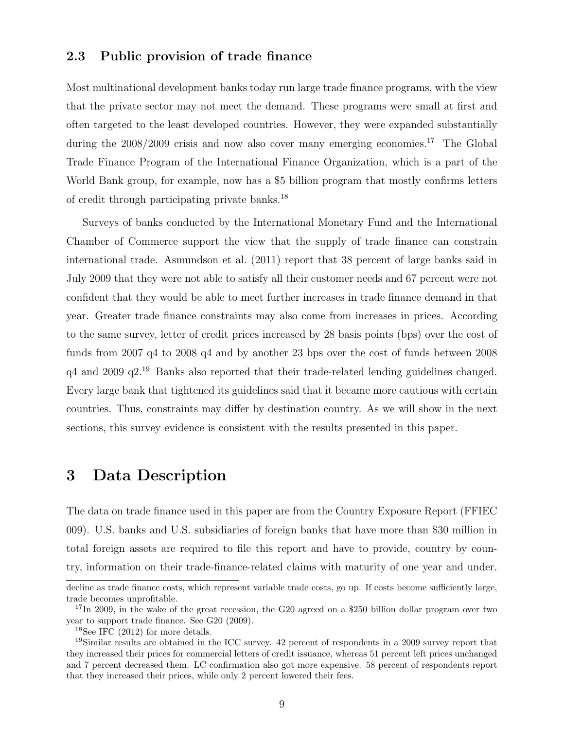#### 2.3 Public provision of trade finance

Most multinational development banks today run large trade finance programs, with the view that the private sector may not meet the demand. These programs were small at first and often targeted to the least developed countries. However, they were expanded substantially during the  $2008/2009$  crisis and now also cover many emerging economies.<sup>17</sup> The Global Trade Finance Program of the International Finance Organization, which is a part of the World Bank group, for example, now has a \$5 billion program that mostly confirms letters of credit through participating private banks.<sup>18</sup>

Surveys of banks conducted by the International Monetary Fund and the International Chamber of Commerce support the view that the supply of trade finance can constrain international trade. Asmundson et al. (2011) report that 38 percent of large banks said in July 2009 that they were not able to satisfy all their customer needs and 67 percent were not confident that they would be able to meet further increases in trade finance demand in that year. Greater trade finance constraints may also come from increases in prices. According to the same survey, letter of credit prices increased by 28 basis points (bps) over the cost of funds from 2007 q4 to 2008 q4 and by another 23 bps over the cost of funds between 2008 q4 and 2009 q2.<sup>19</sup> Banks also reported that their trade-related lending guidelines changed. Every large bank that tightened its guidelines said that it became more cautious with certain countries. Thus, constraints may differ by destination country. As we will show in the next sections, this survey evidence is consistent with the results presented in this paper.

### 3 Data Description

The data on trade finance used in this paper are from the Country Exposure Report (FFIEC 009). U.S. banks and U.S. subsidiaries of foreign banks that have more than \$30 million in total foreign assets are required to file this report and have to provide, country by country, information on their trade-finance-related claims with maturity of one year and under.

decline as trade finance costs, which represent variable trade costs, go up. If costs become sufficiently large, trade becomes unprofitable.

<sup>&</sup>lt;sup>17</sup>In 2009, in the wake of the great recession, the G20 agreed on a \$250 billion dollar program over two year to support trade finance. See G20 (2009).

 $18$ See IFC (2012) for more details.

<sup>19</sup>Similar results are obtained in the ICC survey. 42 percent of respondents in a 2009 survey report that they increased their prices for commercial letters of credit issuance, whereas 51 percent left prices unchanged and 7 percent decreased them. LC confirmation also got more expensive. 58 percent of respondents report that they increased their prices, while only 2 percent lowered their fees.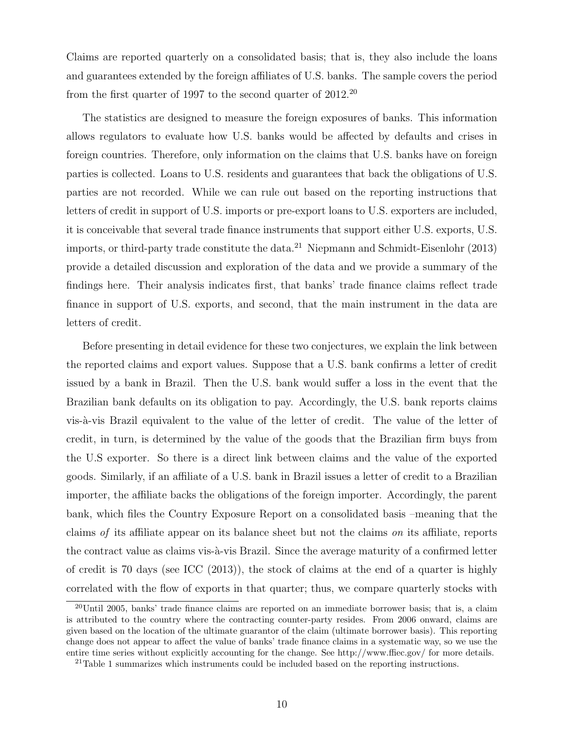Claims are reported quarterly on a consolidated basis; that is, they also include the loans and guarantees extended by the foreign affiliates of U.S. banks. The sample covers the period from the first quarter of 1997 to the second quarter of  $2012^{20}$ 

The statistics are designed to measure the foreign exposures of banks. This information allows regulators to evaluate how U.S. banks would be affected by defaults and crises in foreign countries. Therefore, only information on the claims that U.S. banks have on foreign parties is collected. Loans to U.S. residents and guarantees that back the obligations of U.S. parties are not recorded. While we can rule out based on the reporting instructions that letters of credit in support of U.S. imports or pre-export loans to U.S. exporters are included, it is conceivable that several trade finance instruments that support either U.S. exports, U.S. imports, or third-party trade constitute the data.<sup>21</sup> Niepmann and Schmidt-Eisenlohr (2013) provide a detailed discussion and exploration of the data and we provide a summary of the findings here. Their analysis indicates first, that banks' trade finance claims reflect trade finance in support of U.S. exports, and second, that the main instrument in the data are letters of credit.

Before presenting in detail evidence for these two conjectures, we explain the link between the reported claims and export values. Suppose that a U.S. bank confirms a letter of credit issued by a bank in Brazil. Then the U.S. bank would suffer a loss in the event that the Brazilian bank defaults on its obligation to pay. Accordingly, the U.S. bank reports claims vis-à-vis Brazil equivalent to the value of the letter of credit. The value of the letter of credit, in turn, is determined by the value of the goods that the Brazilian firm buys from the U.S exporter. So there is a direct link between claims and the value of the exported goods. Similarly, if an affiliate of a U.S. bank in Brazil issues a letter of credit to a Brazilian importer, the affiliate backs the obligations of the foreign importer. Accordingly, the parent bank, which files the Country Exposure Report on a consolidated basis –meaning that the claims of its affiliate appear on its balance sheet but not the claims on its affiliate, reports the contract value as claims vis- $\grave{a}$ -vis Brazil. Since the average maturity of a confirmed letter of credit is 70 days (see ICC (2013)), the stock of claims at the end of a quarter is highly correlated with the flow of exports in that quarter; thus, we compare quarterly stocks with

 $20$ Until 2005, banks' trade finance claims are reported on an immediate borrower basis; that is, a claim is attributed to the country where the contracting counter-party resides. From 2006 onward, claims are given based on the location of the ultimate guarantor of the claim (ultimate borrower basis). This reporting change does not appear to affect the value of banks' trade finance claims in a systematic way, so we use the entire time series without explicitly accounting for the change. See http://www.ffiec.gov/ for more details.

 $21$ Table 1 summarizes which instruments could be included based on the reporting instructions.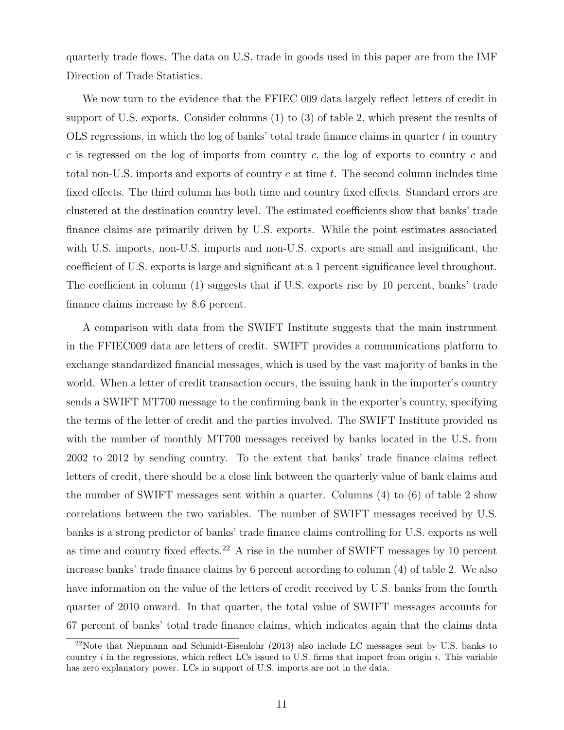quarterly trade flows. The data on U.S. trade in goods used in this paper are from the IMF Direction of Trade Statistics.

We now turn to the evidence that the FFIEC 009 data largely reflect letters of credit in support of U.S. exports. Consider columns (1) to (3) of table 2, which present the results of OLS regressions, in which the log of banks' total trade finance claims in quarter  $t$  in country c is regressed on the log of imports from country  $c$ , the log of exports to country  $c$  and total non-U.S. imports and exports of country  $c$  at time  $t$ . The second column includes time fixed effects. The third column has both time and country fixed effects. Standard errors are clustered at the destination country level. The estimated coefficients show that banks' trade finance claims are primarily driven by U.S. exports. While the point estimates associated with U.S. imports, non-U.S. imports and non-U.S. exports are small and insignificant, the coefficient of U.S. exports is large and significant at a 1 percent significance level throughout. The coefficient in column (1) suggests that if U.S. exports rise by 10 percent, banks' trade finance claims increase by 8.6 percent.

A comparison with data from the SWIFT Institute suggests that the main instrument in the FFIEC009 data are letters of credit. SWIFT provides a communications platform to exchange standardized financial messages, which is used by the vast majority of banks in the world. When a letter of credit transaction occurs, the issuing bank in the importer's country sends a SWIFT MT700 message to the confirming bank in the exporter's country, specifying the terms of the letter of credit and the parties involved. The SWIFT Institute provided us with the number of monthly MT700 messages received by banks located in the U.S. from 2002 to 2012 by sending country. To the extent that banks' trade finance claims reflect letters of credit, there should be a close link between the quarterly value of bank claims and the number of SWIFT messages sent within a quarter. Columns (4) to (6) of table 2 show correlations between the two variables. The number of SWIFT messages received by U.S. banks is a strong predictor of banks' trade finance claims controlling for U.S. exports as well as time and country fixed effects.<sup>22</sup> A rise in the number of SWIFT messages by 10 percent increase banks' trade finance claims by 6 percent according to column (4) of table 2. We also have information on the value of the letters of credit received by U.S. banks from the fourth quarter of 2010 onward. In that quarter, the total value of SWIFT messages accounts for 67 percent of banks' total trade finance claims, which indicates again that the claims data

<sup>22</sup>Note that Niepmann and Schmidt-Eisenlohr (2013) also include LC messages sent by U.S. banks to country  $i$  in the regressions, which reflect LCs issued to U.S. firms that import from origin  $i$ . This variable has zero explanatory power. LCs in support of U.S. imports are not in the data.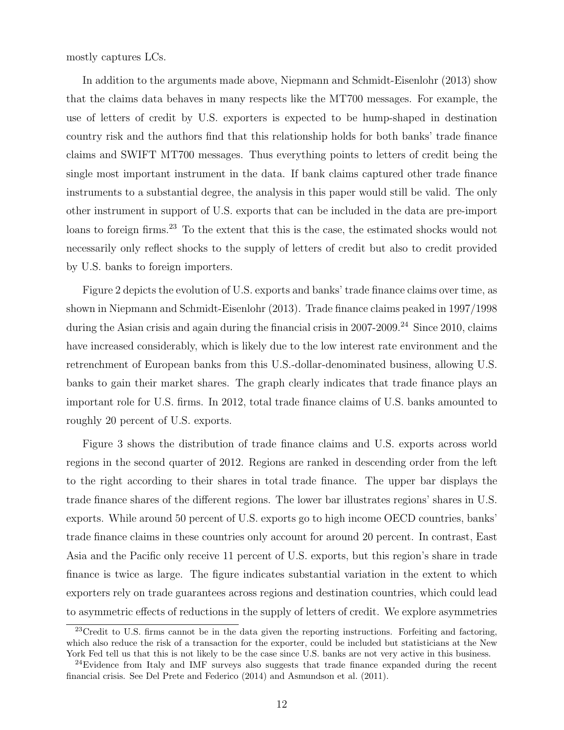mostly captures LCs.

In addition to the arguments made above, Niepmann and Schmidt-Eisenlohr (2013) show that the claims data behaves in many respects like the MT700 messages. For example, the use of letters of credit by U.S. exporters is expected to be hump-shaped in destination country risk and the authors find that this relationship holds for both banks' trade finance claims and SWIFT MT700 messages. Thus everything points to letters of credit being the single most important instrument in the data. If bank claims captured other trade finance instruments to a substantial degree, the analysis in this paper would still be valid. The only other instrument in support of U.S. exports that can be included in the data are pre-import loans to foreign firms.<sup>23</sup> To the extent that this is the case, the estimated shocks would not necessarily only reflect shocks to the supply of letters of credit but also to credit provided by U.S. banks to foreign importers.

Figure 2 depicts the evolution of U.S. exports and banks' trade finance claims over time, as shown in Niepmann and Schmidt-Eisenlohr (2013). Trade finance claims peaked in 1997/1998 during the Asian crisis and again during the financial crisis in 2007-2009.<sup>24</sup> Since 2010, claims have increased considerably, which is likely due to the low interest rate environment and the retrenchment of European banks from this U.S.-dollar-denominated business, allowing U.S. banks to gain their market shares. The graph clearly indicates that trade finance plays an important role for U.S. firms. In 2012, total trade finance claims of U.S. banks amounted to roughly 20 percent of U.S. exports.

Figure 3 shows the distribution of trade finance claims and U.S. exports across world regions in the second quarter of 2012. Regions are ranked in descending order from the left to the right according to their shares in total trade finance. The upper bar displays the trade finance shares of the different regions. The lower bar illustrates regions' shares in U.S. exports. While around 50 percent of U.S. exports go to high income OECD countries, banks' trade finance claims in these countries only account for around 20 percent. In contrast, East Asia and the Pacific only receive 11 percent of U.S. exports, but this region's share in trade finance is twice as large. The figure indicates substantial variation in the extent to which exporters rely on trade guarantees across regions and destination countries, which could lead to asymmetric effects of reductions in the supply of letters of credit. We explore asymmetries

<sup>&</sup>lt;sup>23</sup>Credit to U.S. firms cannot be in the data given the reporting instructions. Forfeiting and factoring, which also reduce the risk of a transaction for the exporter, could be included but statisticians at the New York Fed tell us that this is not likely to be the case since U.S. banks are not very active in this business.

<sup>&</sup>lt;sup>24</sup>Evidence from Italy and IMF surveys also suggests that trade finance expanded during the recent financial crisis. See Del Prete and Federico (2014) and Asmundson et al. (2011).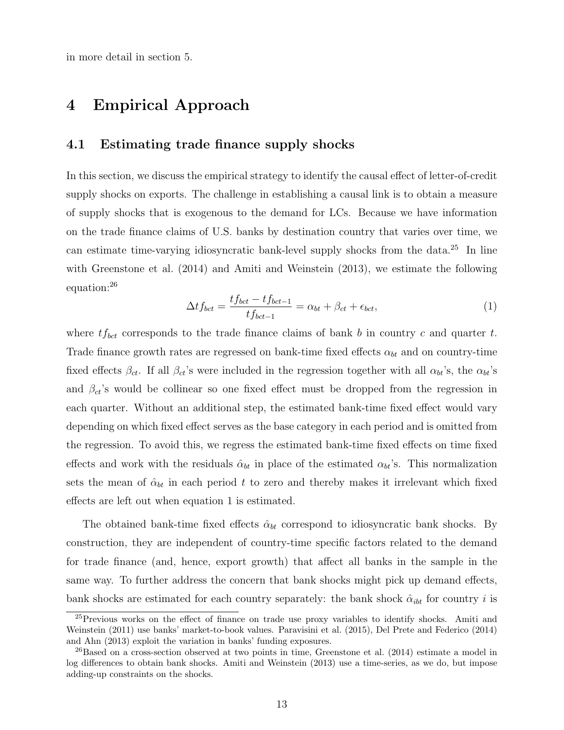in more detail in section 5.

### 4 Empirical Approach

#### 4.1 Estimating trade finance supply shocks

In this section, we discuss the empirical strategy to identify the causal effect of letter-of-credit supply shocks on exports. The challenge in establishing a causal link is to obtain a measure of supply shocks that is exogenous to the demand for LCs. Because we have information on the trade finance claims of U.S. banks by destination country that varies over time, we can estimate time-varying idiosyncratic bank-level supply shocks from the data.<sup>25</sup> In line with Greenstone et al. (2014) and Amiti and Weinstein (2013), we estimate the following equation:<sup>26</sup>

$$
\Delta t f_{bct} = \frac{t f_{bct} - t f_{bct-1}}{t f_{bct-1}} = \alpha_{bt} + \beta_{ct} + \epsilon_{bct},\tag{1}
$$

where  $tf_{bct}$  corresponds to the trade finance claims of bank b in country c and quarter t. Trade finance growth rates are regressed on bank-time fixed effects  $\alpha_{bt}$  and on country-time fixed effects  $\beta_{ct}$ . If all  $\beta_{ct}$ 's were included in the regression together with all  $\alpha_{bt}$ 's, the  $\alpha_{bt}$ 's and  $\beta_{ct}$ 's would be collinear so one fixed effect must be dropped from the regression in each quarter. Without an additional step, the estimated bank-time fixed effect would vary depending on which fixed effect serves as the base category in each period and is omitted from the regression. To avoid this, we regress the estimated bank-time fixed effects on time fixed effects and work with the residuals  $\hat{\alpha}_{bt}$  in place of the estimated  $\alpha_{bt}$ 's. This normalization sets the mean of  $\hat{\alpha}_{bt}$  in each period t to zero and thereby makes it irrelevant which fixed effects are left out when equation 1 is estimated.

The obtained bank-time fixed effects  $\hat{\alpha}_{bt}$  correspond to idiosyncratic bank shocks. By construction, they are independent of country-time specific factors related to the demand for trade finance (and, hence, export growth) that affect all banks in the sample in the same way. To further address the concern that bank shocks might pick up demand effects, bank shocks are estimated for each country separately: the bank shock  $\hat{\alpha}_{ibt}$  for country *i* is

<sup>&</sup>lt;sup>25</sup>Previous works on the effect of finance on trade use proxy variables to identify shocks. Amiti and Weinstein (2011) use banks' market-to-book values. Paravisini et al. (2015), Del Prete and Federico (2014) and Ahn (2013) exploit the variation in banks' funding exposures.

<sup>&</sup>lt;sup>26</sup>Based on a cross-section observed at two points in time, Greenstone et al. (2014) estimate a model in log differences to obtain bank shocks. Amiti and Weinstein (2013) use a time-series, as we do, but impose adding-up constraints on the shocks.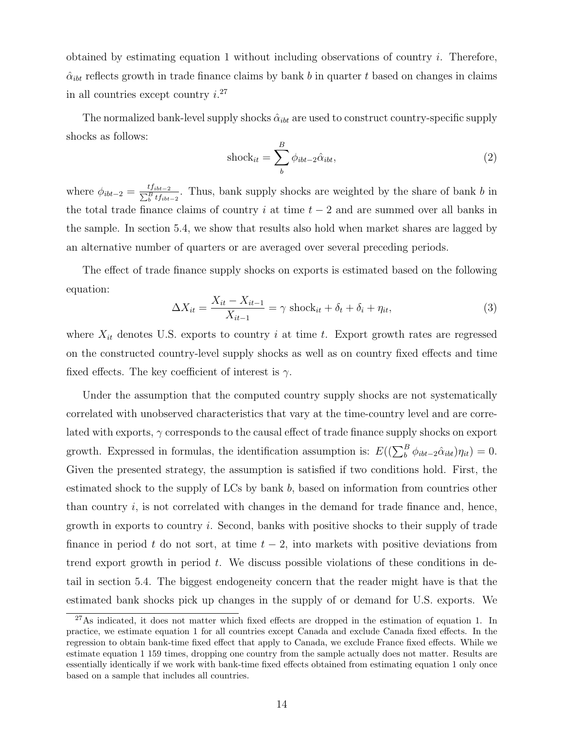obtained by estimating equation 1 without including observations of country  $i$ . Therefore,  $\hat{\alpha}_{ibt}$  reflects growth in trade finance claims by bank *b* in quarter *t* based on changes in claims in all countries except country  $i^{27}$ 

The normalized bank-level supply shocks  $\hat{\alpha}_{ibt}$  are used to construct country-specific supply shocks as follows:

$$
\text{shock}_{it} = \sum_{b}^{B} \phi_{ibt-2} \hat{\alpha}_{ibt}, \tag{2}
$$

where  $\phi_{ibt-2} = \frac{tf_{ibt-2}}{\sum_{b}^{B}tf_{ibt-2}}$ . Thus, bank supply shocks are weighted by the share of bank b in the total trade finance claims of country *i* at time  $t - 2$  and are summed over all banks in the sample. In section 5.4, we show that results also hold when market shares are lagged by an alternative number of quarters or are averaged over several preceding periods.

The effect of trade finance supply shocks on exports is estimated based on the following equation:

$$
\Delta X_{it} = \frac{X_{it} - X_{it-1}}{X_{it-1}} = \gamma \text{ shock}_{it} + \delta_t + \delta_i + \eta_{it},\tag{3}
$$

where  $X_{it}$  denotes U.S. exports to country *i* at time *t*. Export growth rates are regressed on the constructed country-level supply shocks as well as on country fixed effects and time fixed effects. The key coefficient of interest is  $\gamma$ .

Under the assumption that the computed country supply shocks are not systematically correlated with unobserved characteristics that vary at the time-country level and are correlated with exports,  $\gamma$  corresponds to the causal effect of trade finance supply shocks on export growth. Expressed in formulas, the identification assumption is:  $E((\sum_{b}^{B} \phi_{ibt-2} \hat{\alpha}_{ibt}) \eta_{it}) = 0$ . Given the presented strategy, the assumption is satisfied if two conditions hold. First, the estimated shock to the supply of LCs by bank  $b$ , based on information from countries other than country  $i$ , is not correlated with changes in the demand for trade finance and, hence, growth in exports to country  $i$ . Second, banks with positive shocks to their supply of trade finance in period t do not sort, at time  $t - 2$ , into markets with positive deviations from trend export growth in period  $t$ . We discuss possible violations of these conditions in detail in section 5.4. The biggest endogeneity concern that the reader might have is that the estimated bank shocks pick up changes in the supply of or demand for U.S. exports. We

<sup>&</sup>lt;sup>27</sup>As indicated, it does not matter which fixed effects are dropped in the estimation of equation 1. In practice, we estimate equation 1 for all countries except Canada and exclude Canada fixed effects. In the regression to obtain bank-time fixed effect that apply to Canada, we exclude France fixed effects. While we estimate equation 1 159 times, dropping one country from the sample actually does not matter. Results are essentially identically if we work with bank-time fixed effects obtained from estimating equation 1 only once based on a sample that includes all countries.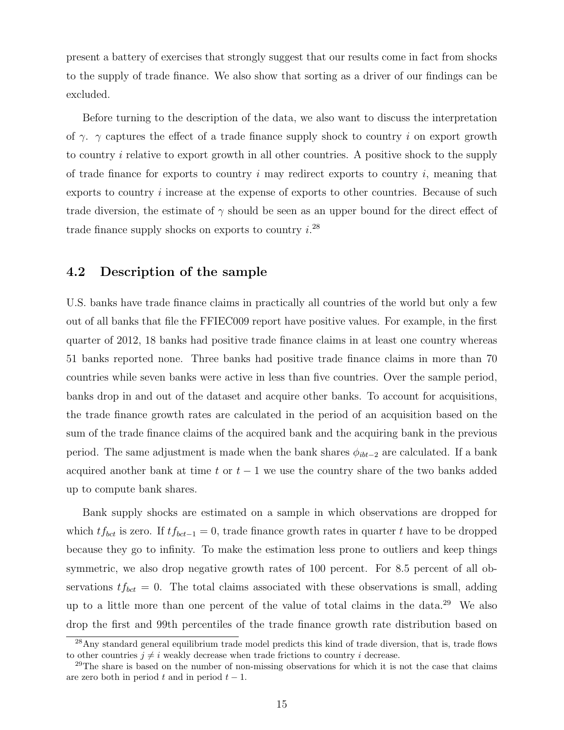present a battery of exercises that strongly suggest that our results come in fact from shocks to the supply of trade finance. We also show that sorting as a driver of our findings can be excluded.

Before turning to the description of the data, we also want to discuss the interpretation of  $\gamma$ .  $\gamma$  captures the effect of a trade finance supply shock to country *i* on export growth to country  $i$  relative to export growth in all other countries. A positive shock to the supply of trade finance for exports to country  $i$  may redirect exports to country  $i$ , meaning that exports to country *i* increase at the expense of exports to other countries. Because of such trade diversion, the estimate of  $\gamma$  should be seen as an upper bound for the direct effect of trade finance supply shocks on exports to country  $i^{28}$ 

#### 4.2 Description of the sample

U.S. banks have trade finance claims in practically all countries of the world but only a few out of all banks that file the FFIEC009 report have positive values. For example, in the first quarter of 2012, 18 banks had positive trade finance claims in at least one country whereas 51 banks reported none. Three banks had positive trade finance claims in more than 70 countries while seven banks were active in less than five countries. Over the sample period, banks drop in and out of the dataset and acquire other banks. To account for acquisitions, the trade finance growth rates are calculated in the period of an acquisition based on the sum of the trade finance claims of the acquired bank and the acquiring bank in the previous period. The same adjustment is made when the bank shares  $\phi_{ibt-2}$  are calculated. If a bank acquired another bank at time  $t$  or  $t - 1$  we use the country share of the two banks added up to compute bank shares.

Bank supply shocks are estimated on a sample in which observations are dropped for which  $tf_{bct}$  is zero. If  $tf_{bct-1} = 0$ , trade finance growth rates in quarter t have to be dropped because they go to infinity. To make the estimation less prone to outliers and keep things symmetric, we also drop negative growth rates of 100 percent. For 8.5 percent of all observations  $tf_{bct} = 0$ . The total claims associated with these observations is small, adding up to a little more than one percent of the value of total claims in the data.<sup>29</sup> We also drop the first and 99th percentiles of the trade finance growth rate distribution based on

<sup>&</sup>lt;sup>28</sup>Any standard general equilibrium trade model predicts this kind of trade diversion, that is, trade flows to other countries  $i \neq i$  weakly decrease when trade frictions to country i decrease.

<sup>&</sup>lt;sup>29</sup>The share is based on the number of non-missing observations for which it is not the case that claims are zero both in period  $t$  and in period  $t - 1$ .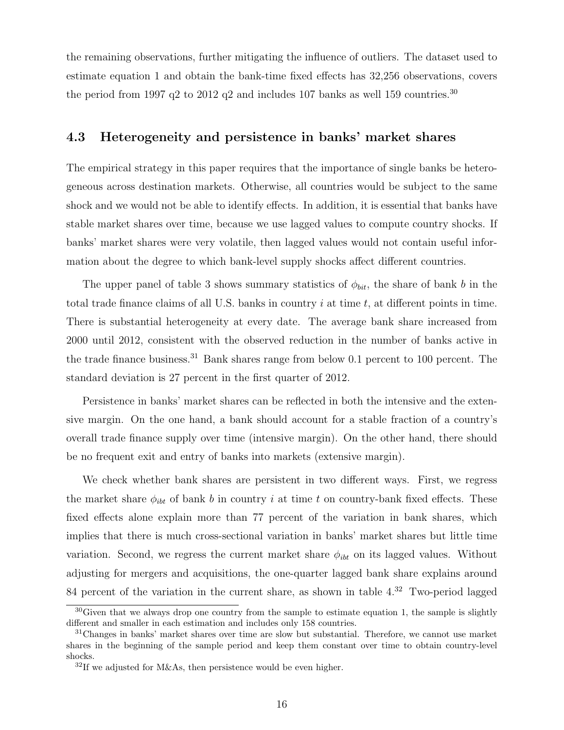the remaining observations, further mitigating the influence of outliers. The dataset used to estimate equation 1 and obtain the bank-time fixed effects has 32,256 observations, covers the period from 1997 q2 to 2012 q2 and includes 107 banks as well 159 countries.<sup>30</sup>

#### 4.3 Heterogeneity and persistence in banks' market shares

The empirical strategy in this paper requires that the importance of single banks be heterogeneous across destination markets. Otherwise, all countries would be subject to the same shock and we would not be able to identify effects. In addition, it is essential that banks have stable market shares over time, because we use lagged values to compute country shocks. If banks' market shares were very volatile, then lagged values would not contain useful information about the degree to which bank-level supply shocks affect different countries.

The upper panel of table 3 shows summary statistics of  $\phi_{bit}$ , the share of bank *b* in the total trade finance claims of all U.S. banks in country  $i$  at time  $t$ , at different points in time. There is substantial heterogeneity at every date. The average bank share increased from 2000 until 2012, consistent with the observed reduction in the number of banks active in the trade finance business.<sup>31</sup> Bank shares range from below 0.1 percent to 100 percent. The standard deviation is 27 percent in the first quarter of 2012.

Persistence in banks' market shares can be reflected in both the intensive and the extensive margin. On the one hand, a bank should account for a stable fraction of a country's overall trade finance supply over time (intensive margin). On the other hand, there should be no frequent exit and entry of banks into markets (extensive margin).

We check whether bank shares are persistent in two different ways. First, we regress the market share  $\phi_{ibt}$  of bank b in country i at time t on country-bank fixed effects. These fixed effects alone explain more than 77 percent of the variation in bank shares, which implies that there is much cross-sectional variation in banks' market shares but little time variation. Second, we regress the current market share  $\phi_{ibt}$  on its lagged values. Without adjusting for mergers and acquisitions, the one-quarter lagged bank share explains around 84 percent of the variation in the current share, as shown in table 4.<sup>32</sup> Two-period lagged

<sup>&</sup>lt;sup>30</sup>Given that we always drop one country from the sample to estimate equation 1, the sample is slightly different and smaller in each estimation and includes only 158 countries.

<sup>&</sup>lt;sup>31</sup>Changes in banks' market shares over time are slow but substantial. Therefore, we cannot use market shares in the beginning of the sample period and keep them constant over time to obtain country-level shocks.

 $32$ If we adjusted for M&As, then persistence would be even higher.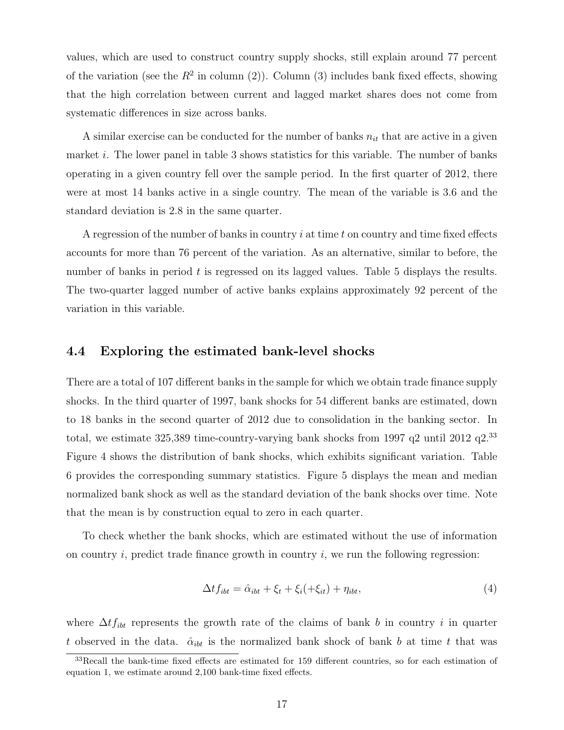values, which are used to construct country supply shocks, still explain around 77 percent of the variation (see the  $R^2$  in column (2)). Column (3) includes bank fixed effects, showing that the high correlation between current and lagged market shares does not come from systematic differences in size across banks.

A similar exercise can be conducted for the number of banks  $n_{it}$  that are active in a given market i. The lower panel in table 3 shows statistics for this variable. The number of banks operating in a given country fell over the sample period. In the first quarter of 2012, there were at most 14 banks active in a single country. The mean of the variable is 3.6 and the standard deviation is 2.8 in the same quarter.

A regression of the number of banks in country  $i$  at time  $t$  on country and time fixed effects accounts for more than 76 percent of the variation. As an alternative, similar to before, the number of banks in period  $t$  is regressed on its lagged values. Table 5 displays the results. The two-quarter lagged number of active banks explains approximately 92 percent of the variation in this variable.

#### 4.4 Exploring the estimated bank-level shocks

There are a total of 107 different banks in the sample for which we obtain trade finance supply shocks. In the third quarter of 1997, bank shocks for 54 different banks are estimated, down to 18 banks in the second quarter of 2012 due to consolidation in the banking sector. In total, we estimate  $325,389$  time-country-varying bank shocks from 1997 q2 until 2012 q2.<sup>33</sup> Figure 4 shows the distribution of bank shocks, which exhibits significant variation. Table 6 provides the corresponding summary statistics. Figure 5 displays the mean and median normalized bank shock as well as the standard deviation of the bank shocks over time. Note that the mean is by construction equal to zero in each quarter.

To check whether the bank shocks, which are estimated without the use of information on country  $i$ , predict trade finance growth in country  $i$ , we run the following regression:

$$
\Delta t f_{ibt} = \hat{\alpha}_{ibt} + \xi_t + \xi_i(+\xi_{it}) + \eta_{ibt},\tag{4}
$$

where  $\Delta t f_{ibt}$  represents the growth rate of the claims of bank b in country i in quarter t observed in the data.  $\hat{\alpha}_{ibt}$  is the normalized bank shock of bank b at time t that was

<sup>33</sup>Recall the bank-time fixed effects are estimated for 159 different countries, so for each estimation of equation 1, we estimate around 2,100 bank-time fixed effects.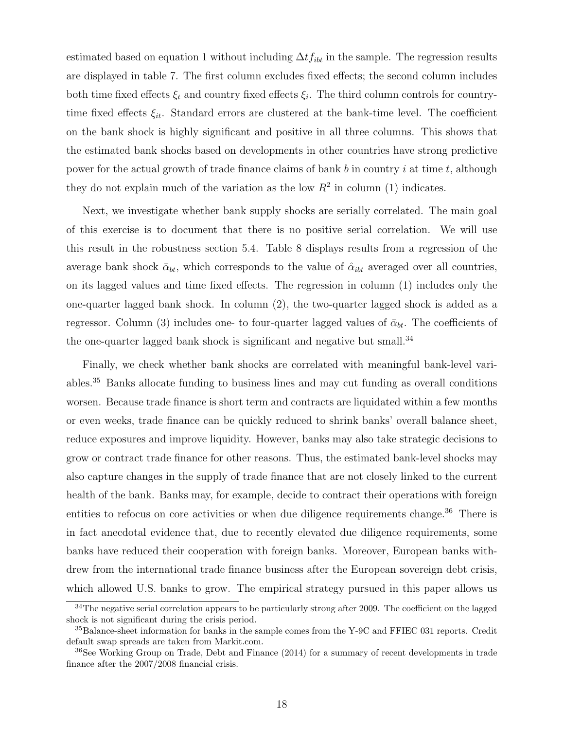estimated based on equation 1 without including  $\Delta t_{lib}$  in the sample. The regression results are displayed in table 7. The first column excludes fixed effects; the second column includes both time fixed effects  $\xi_t$  and country fixed effects  $\xi_i$ . The third column controls for countrytime fixed effects  $\xi_{it}$ . Standard errors are clustered at the bank-time level. The coefficient on the bank shock is highly significant and positive in all three columns. This shows that the estimated bank shocks based on developments in other countries have strong predictive power for the actual growth of trade finance claims of bank  $b$  in country  $i$  at time  $t$ , although they do not explain much of the variation as the low  $R^2$  in column (1) indicates.

Next, we investigate whether bank supply shocks are serially correlated. The main goal of this exercise is to document that there is no positive serial correlation. We will use this result in the robustness section 5.4. Table 8 displays results from a regression of the average bank shock  $\bar{\alpha}_{bt}$ , which corresponds to the value of  $\hat{\alpha}_{ibt}$  averaged over all countries, on its lagged values and time fixed effects. The regression in column (1) includes only the one-quarter lagged bank shock. In column (2), the two-quarter lagged shock is added as a regressor. Column (3) includes one- to four-quarter lagged values of  $\bar{\alpha}_{bt}$ . The coefficients of the one-quarter lagged bank shock is significant and negative but small.<sup>34</sup>

Finally, we check whether bank shocks are correlated with meaningful bank-level variables.<sup>35</sup> Banks allocate funding to business lines and may cut funding as overall conditions worsen. Because trade finance is short term and contracts are liquidated within a few months or even weeks, trade finance can be quickly reduced to shrink banks' overall balance sheet, reduce exposures and improve liquidity. However, banks may also take strategic decisions to grow or contract trade finance for other reasons. Thus, the estimated bank-level shocks may also capture changes in the supply of trade finance that are not closely linked to the current health of the bank. Banks may, for example, decide to contract their operations with foreign entities to refocus on core activities or when due diligence requirements change.<sup>36</sup> There is in fact anecdotal evidence that, due to recently elevated due diligence requirements, some banks have reduced their cooperation with foreign banks. Moreover, European banks withdrew from the international trade finance business after the European sovereign debt crisis, which allowed U.S. banks to grow. The empirical strategy pursued in this paper allows us

<sup>&</sup>lt;sup>34</sup>The negative serial correlation appears to be particularly strong after 2009. The coefficient on the lagged shock is not significant during the crisis period.

<sup>35</sup>Balance-sheet information for banks in the sample comes from the Y-9C and FFIEC 031 reports. Credit default swap spreads are taken from Markit.com.

<sup>&</sup>lt;sup>36</sup>See Working Group on Trade, Debt and Finance (2014) for a summary of recent developments in trade finance after the 2007/2008 financial crisis.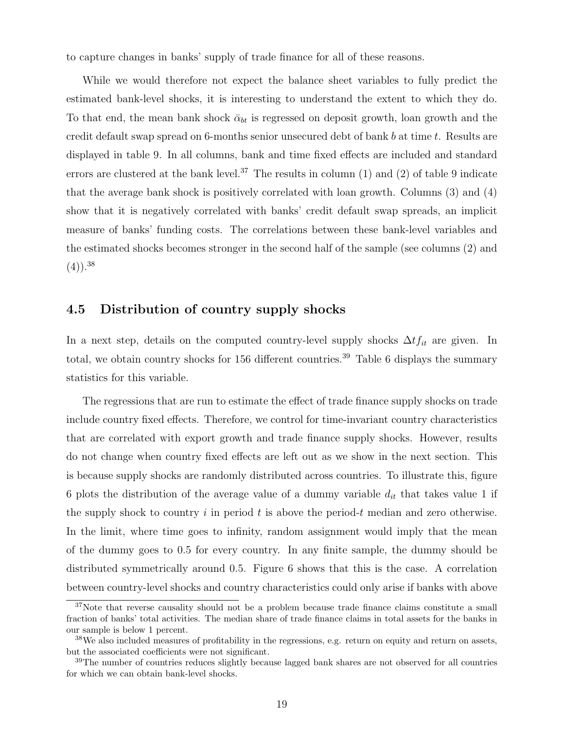to capture changes in banks' supply of trade finance for all of these reasons.

While we would therefore not expect the balance sheet variables to fully predict the estimated bank-level shocks, it is interesting to understand the extent to which they do. To that end, the mean bank shock  $\bar{\alpha}_{bt}$  is regressed on deposit growth, loan growth and the credit default swap spread on 6-months senior unsecured debt of bank  $b$  at time  $t$ . Results are displayed in table 9. In all columns, bank and time fixed effects are included and standard errors are clustered at the bank level.<sup>37</sup> The results in column  $(1)$  and  $(2)$  of table 9 indicate that the average bank shock is positively correlated with loan growth. Columns (3) and (4) show that it is negatively correlated with banks' credit default swap spreads, an implicit measure of banks' funding costs. The correlations between these bank-level variables and the estimated shocks becomes stronger in the second half of the sample (see columns (2) and  $(4)$ ).<sup>38</sup>

#### 4.5 Distribution of country supply shocks

In a next step, details on the computed country-level supply shocks  $\Delta t f_{it}$  are given. In total, we obtain country shocks for 156 different countries.<sup>39</sup> Table 6 displays the summary statistics for this variable.

The regressions that are run to estimate the effect of trade finance supply shocks on trade include country fixed effects. Therefore, we control for time-invariant country characteristics that are correlated with export growth and trade finance supply shocks. However, results do not change when country fixed effects are left out as we show in the next section. This is because supply shocks are randomly distributed across countries. To illustrate this, figure 6 plots the distribution of the average value of a dummy variable  $d_{it}$  that takes value 1 if the supply shock to country  $i$  in period  $t$  is above the period- $t$  median and zero otherwise. In the limit, where time goes to infinity, random assignment would imply that the mean of the dummy goes to 0.5 for every country. In any finite sample, the dummy should be distributed symmetrically around 0.5. Figure 6 shows that this is the case. A correlation between country-level shocks and country characteristics could only arise if banks with above

<sup>&</sup>lt;sup>37</sup>Note that reverse causality should not be a problem because trade finance claims constitute a small fraction of banks' total activities. The median share of trade finance claims in total assets for the banks in our sample is below 1 percent.

<sup>38</sup>We also included measures of profitability in the regressions, e.g. return on equity and return on assets, but the associated coefficients were not significant.

<sup>&</sup>lt;sup>39</sup>The number of countries reduces slightly because lagged bank shares are not observed for all countries for which we can obtain bank-level shocks.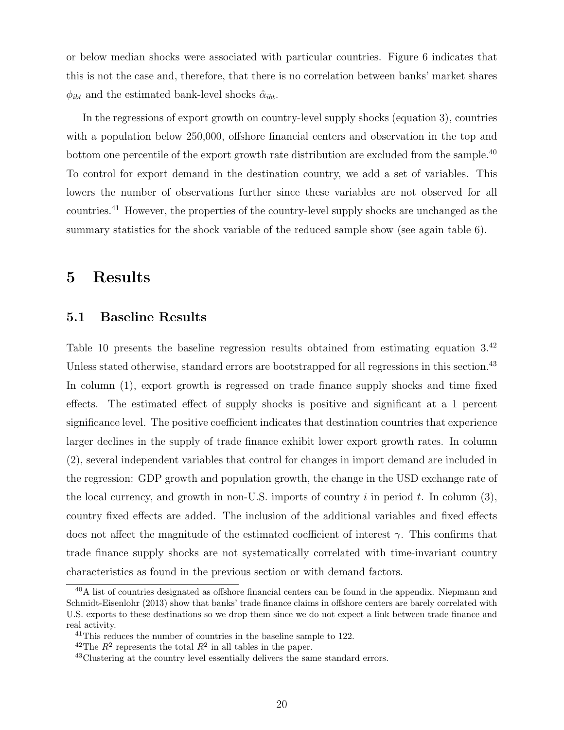or below median shocks were associated with particular countries. Figure 6 indicates that this is not the case and, therefore, that there is no correlation between banks' market shares  $\phi_{ibt}$  and the estimated bank-level shocks  $\hat{\alpha}_{ibt}$ .

In the regressions of export growth on country-level supply shocks (equation 3), countries with a population below 250,000, offshore financial centers and observation in the top and bottom one percentile of the export growth rate distribution are excluded from the sample.<sup>40</sup> To control for export demand in the destination country, we add a set of variables. This lowers the number of observations further since these variables are not observed for all countries.<sup>41</sup> However, the properties of the country-level supply shocks are unchanged as the summary statistics for the shock variable of the reduced sample show (see again table 6).

### 5 Results

#### 5.1 Baseline Results

Table 10 presents the baseline regression results obtained from estimating equation 3.<sup>42</sup> Unless stated otherwise, standard errors are bootstrapped for all regressions in this section.<sup>43</sup> In column (1), export growth is regressed on trade finance supply shocks and time fixed effects. The estimated effect of supply shocks is positive and significant at a 1 percent significance level. The positive coefficient indicates that destination countries that experience larger declines in the supply of trade finance exhibit lower export growth rates. In column (2), several independent variables that control for changes in import demand are included in the regression: GDP growth and population growth, the change in the USD exchange rate of the local currency, and growth in non-U.S. imports of country  $i$  in period  $t$ . In column (3), country fixed effects are added. The inclusion of the additional variables and fixed effects does not affect the magnitude of the estimated coefficient of interest  $\gamma$ . This confirms that trade finance supply shocks are not systematically correlated with time-invariant country characteristics as found in the previous section or with demand factors.

<sup>40</sup>A list of countries designated as offshore financial centers can be found in the appendix. Niepmann and Schmidt-Eisenlohr (2013) show that banks' trade finance claims in offshore centers are barely correlated with U.S. exports to these destinations so we drop them since we do not expect a link between trade finance and real activity.

 $41$ This reduces the number of countries in the baseline sample to 122.

<sup>&</sup>lt;sup>42</sup>The  $R^2$  represents the total  $R^2$  in all tables in the paper.

<sup>&</sup>lt;sup>43</sup>Clustering at the country level essentially delivers the same standard errors.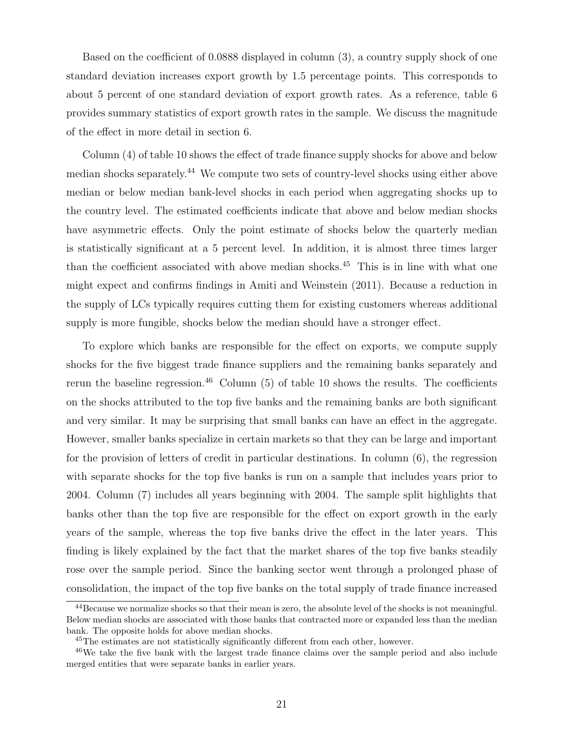Based on the coefficient of 0.0888 displayed in column (3), a country supply shock of one standard deviation increases export growth by 1.5 percentage points. This corresponds to about 5 percent of one standard deviation of export growth rates. As a reference, table 6 provides summary statistics of export growth rates in the sample. We discuss the magnitude of the effect in more detail in section 6.

Column (4) of table 10 shows the effect of trade finance supply shocks for above and below median shocks separately.<sup>44</sup> We compute two sets of country-level shocks using either above median or below median bank-level shocks in each period when aggregating shocks up to the country level. The estimated coefficients indicate that above and below median shocks have asymmetric effects. Only the point estimate of shocks below the quarterly median is statistically significant at a 5 percent level. In addition, it is almost three times larger than the coefficient associated with above median shocks.<sup>45</sup> This is in line with what one might expect and confirms findings in Amiti and Weinstein (2011). Because a reduction in the supply of LCs typically requires cutting them for existing customers whereas additional supply is more fungible, shocks below the median should have a stronger effect.

To explore which banks are responsible for the effect on exports, we compute supply shocks for the five biggest trade finance suppliers and the remaining banks separately and rerun the baseline regression.<sup>46</sup> Column  $(5)$  of table 10 shows the results. The coefficients on the shocks attributed to the top five banks and the remaining banks are both significant and very similar. It may be surprising that small banks can have an effect in the aggregate. However, smaller banks specialize in certain markets so that they can be large and important for the provision of letters of credit in particular destinations. In column (6), the regression with separate shocks for the top five banks is run on a sample that includes years prior to 2004. Column (7) includes all years beginning with 2004. The sample split highlights that banks other than the top five are responsible for the effect on export growth in the early years of the sample, whereas the top five banks drive the effect in the later years. This finding is likely explained by the fact that the market shares of the top five banks steadily rose over the sample period. Since the banking sector went through a prolonged phase of consolidation, the impact of the top five banks on the total supply of trade finance increased

<sup>&</sup>lt;sup>44</sup>Because we normalize shocks so that their mean is zero, the absolute level of the shocks is not meaningful. Below median shocks are associated with those banks that contracted more or expanded less than the median bank. The opposite holds for above median shocks.

<sup>45</sup>The estimates are not statistically significantly different from each other, however.

<sup>46</sup>We take the five bank with the largest trade finance claims over the sample period and also include merged entities that were separate banks in earlier years.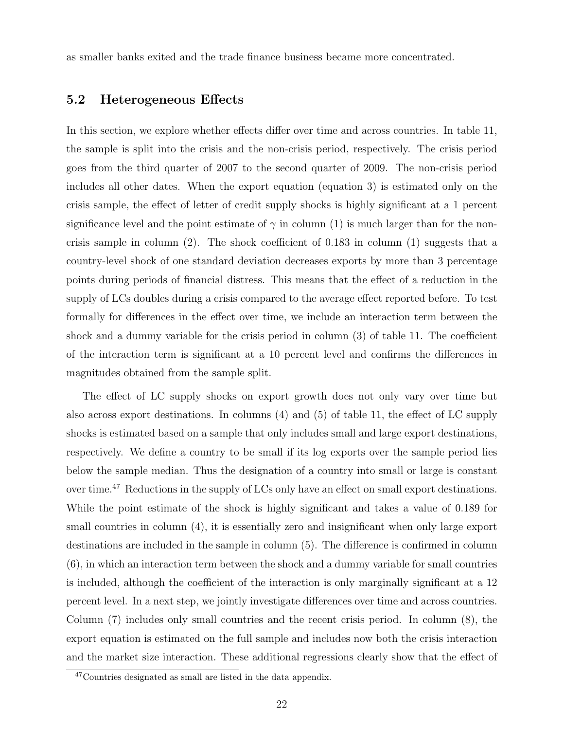as smaller banks exited and the trade finance business became more concentrated.

#### 5.2 Heterogeneous Effects

In this section, we explore whether effects differ over time and across countries. In table 11, the sample is split into the crisis and the non-crisis period, respectively. The crisis period goes from the third quarter of 2007 to the second quarter of 2009. The non-crisis period includes all other dates. When the export equation (equation 3) is estimated only on the crisis sample, the effect of letter of credit supply shocks is highly significant at a 1 percent significance level and the point estimate of  $\gamma$  in column (1) is much larger than for the noncrisis sample in column (2). The shock coefficient of 0.183 in column (1) suggests that a country-level shock of one standard deviation decreases exports by more than 3 percentage points during periods of financial distress. This means that the effect of a reduction in the supply of LCs doubles during a crisis compared to the average effect reported before. To test formally for differences in the effect over time, we include an interaction term between the shock and a dummy variable for the crisis period in column (3) of table 11. The coefficient of the interaction term is significant at a 10 percent level and confirms the differences in magnitudes obtained from the sample split.

The effect of LC supply shocks on export growth does not only vary over time but also across export destinations. In columns (4) and (5) of table 11, the effect of LC supply shocks is estimated based on a sample that only includes small and large export destinations, respectively. We define a country to be small if its log exports over the sample period lies below the sample median. Thus the designation of a country into small or large is constant over time.<sup>47</sup> Reductions in the supply of LCs only have an effect on small export destinations. While the point estimate of the shock is highly significant and takes a value of 0.189 for small countries in column  $(4)$ , it is essentially zero and insignificant when only large export destinations are included in the sample in column (5). The difference is confirmed in column (6), in which an interaction term between the shock and a dummy variable for small countries is included, although the coefficient of the interaction is only marginally significant at a 12 percent level. In a next step, we jointly investigate differences over time and across countries. Column (7) includes only small countries and the recent crisis period. In column (8), the export equation is estimated on the full sample and includes now both the crisis interaction and the market size interaction. These additional regressions clearly show that the effect of

 $47$ Countries designated as small are listed in the data appendix.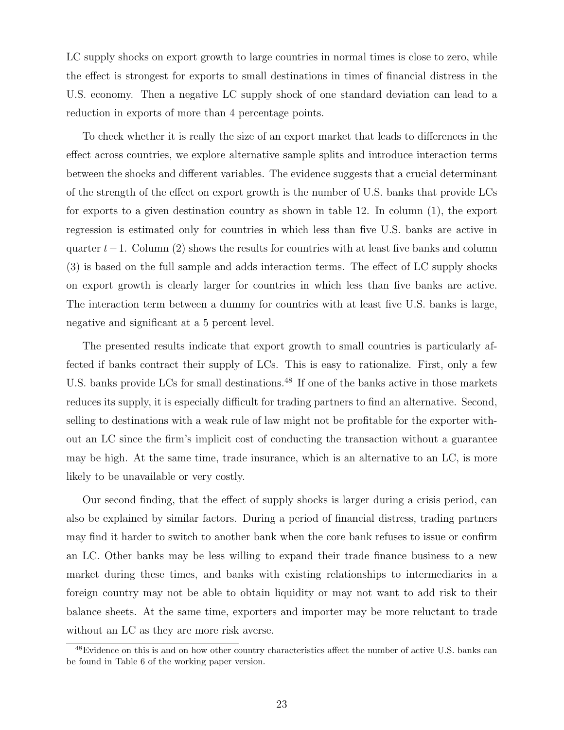LC supply shocks on export growth to large countries in normal times is close to zero, while the effect is strongest for exports to small destinations in times of financial distress in the U.S. economy. Then a negative LC supply shock of one standard deviation can lead to a reduction in exports of more than 4 percentage points.

To check whether it is really the size of an export market that leads to differences in the effect across countries, we explore alternative sample splits and introduce interaction terms between the shocks and different variables. The evidence suggests that a crucial determinant of the strength of the effect on export growth is the number of U.S. banks that provide LCs for exports to a given destination country as shown in table 12. In column (1), the export regression is estimated only for countries in which less than five U.S. banks are active in quarter  $t-1$ . Column (2) shows the results for countries with at least five banks and column (3) is based on the full sample and adds interaction terms. The effect of LC supply shocks on export growth is clearly larger for countries in which less than five banks are active. The interaction term between a dummy for countries with at least five U.S. banks is large, negative and significant at a 5 percent level.

The presented results indicate that export growth to small countries is particularly affected if banks contract their supply of LCs. This is easy to rationalize. First, only a few U.S. banks provide LCs for small destinations.<sup>48</sup> If one of the banks active in those markets reduces its supply, it is especially difficult for trading partners to find an alternative. Second, selling to destinations with a weak rule of law might not be profitable for the exporter without an LC since the firm's implicit cost of conducting the transaction without a guarantee may be high. At the same time, trade insurance, which is an alternative to an LC, is more likely to be unavailable or very costly.

Our second finding, that the effect of supply shocks is larger during a crisis period, can also be explained by similar factors. During a period of financial distress, trading partners may find it harder to switch to another bank when the core bank refuses to issue or confirm an LC. Other banks may be less willing to expand their trade finance business to a new market during these times, and banks with existing relationships to intermediaries in a foreign country may not be able to obtain liquidity or may not want to add risk to their balance sheets. At the same time, exporters and importer may be more reluctant to trade without an LC as they are more risk averse.

<sup>&</sup>lt;sup>48</sup>Evidence on this is and on how other country characteristics affect the number of active U.S. banks can be found in Table 6 of the working paper version.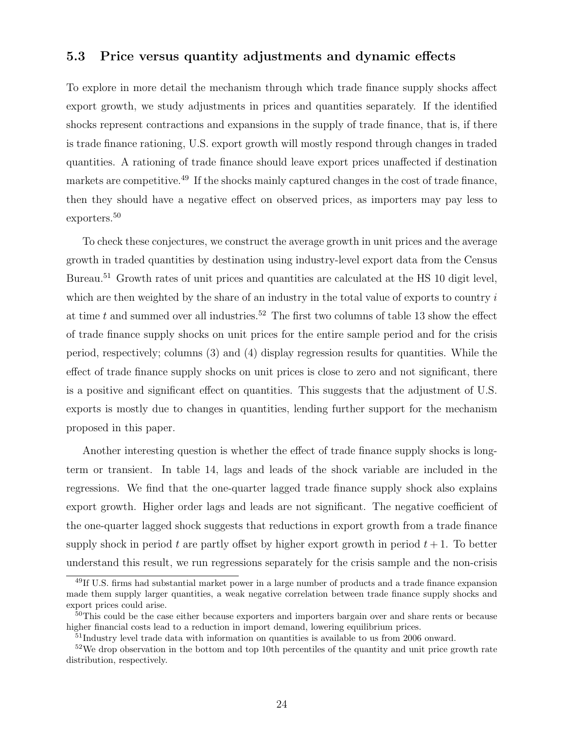#### 5.3 Price versus quantity adjustments and dynamic effects

To explore in more detail the mechanism through which trade finance supply shocks affect export growth, we study adjustments in prices and quantities separately. If the identified shocks represent contractions and expansions in the supply of trade finance, that is, if there is trade finance rationing, U.S. export growth will mostly respond through changes in traded quantities. A rationing of trade finance should leave export prices unaffected if destination markets are competitive.<sup>49</sup> If the shocks mainly captured changes in the cost of trade finance, then they should have a negative effect on observed prices, as importers may pay less to exporters.<sup>50</sup>

To check these conjectures, we construct the average growth in unit prices and the average growth in traded quantities by destination using industry-level export data from the Census Bureau.<sup>51</sup> Growth rates of unit prices and quantities are calculated at the HS 10 digit level, which are then weighted by the share of an industry in the total value of exports to country  $i$ at time  $t$  and summed over all industries.<sup>52</sup> The first two columns of table 13 show the effect of trade finance supply shocks on unit prices for the entire sample period and for the crisis period, respectively; columns (3) and (4) display regression results for quantities. While the effect of trade finance supply shocks on unit prices is close to zero and not significant, there is a positive and significant effect on quantities. This suggests that the adjustment of U.S. exports is mostly due to changes in quantities, lending further support for the mechanism proposed in this paper.

Another interesting question is whether the effect of trade finance supply shocks is longterm or transient. In table 14, lags and leads of the shock variable are included in the regressions. We find that the one-quarter lagged trade finance supply shock also explains export growth. Higher order lags and leads are not significant. The negative coefficient of the one-quarter lagged shock suggests that reductions in export growth from a trade finance supply shock in period  $t$  are partly offset by higher export growth in period  $t + 1$ . To better understand this result, we run regressions separately for the crisis sample and the non-crisis

<sup>49</sup>If U.S. firms had substantial market power in a large number of products and a trade finance expansion made them supply larger quantities, a weak negative correlation between trade finance supply shocks and export prices could arise.

<sup>&</sup>lt;sup>50</sup>This could be the case either because exporters and importers bargain over and share rents or because higher financial costs lead to a reduction in import demand, lowering equilibrium prices.

<sup>&</sup>lt;sup>51</sup>Industry level trade data with information on quantities is available to us from 2006 onward.

<sup>&</sup>lt;sup>52</sup>We drop observation in the bottom and top 10th percentiles of the quantity and unit price growth rate distribution, respectively.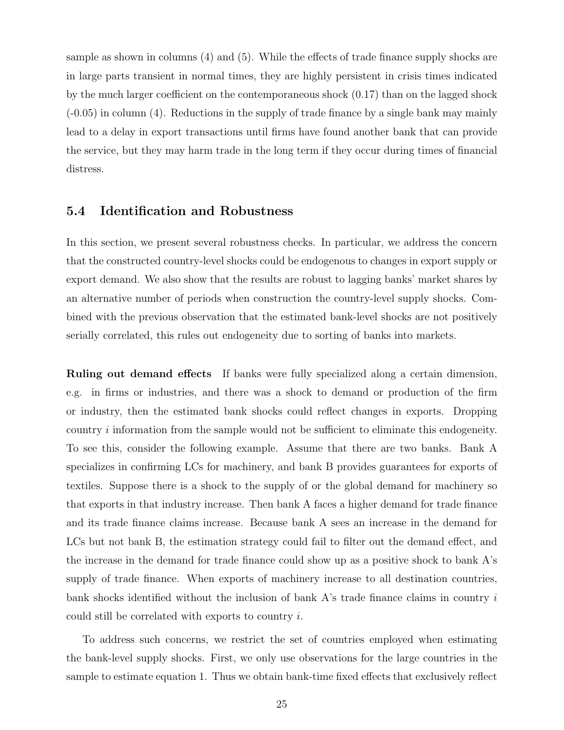sample as shown in columns (4) and (5). While the effects of trade finance supply shocks are in large parts transient in normal times, they are highly persistent in crisis times indicated by the much larger coefficient on the contemporaneous shock (0.17) than on the lagged shock (-0.05) in column (4). Reductions in the supply of trade finance by a single bank may mainly lead to a delay in export transactions until firms have found another bank that can provide the service, but they may harm trade in the long term if they occur during times of financial distress.

#### 5.4 Identification and Robustness

In this section, we present several robustness checks. In particular, we address the concern that the constructed country-level shocks could be endogenous to changes in export supply or export demand. We also show that the results are robust to lagging banks' market shares by an alternative number of periods when construction the country-level supply shocks. Combined with the previous observation that the estimated bank-level shocks are not positively serially correlated, this rules out endogeneity due to sorting of banks into markets.

Ruling out demand effects If banks were fully specialized along a certain dimension, e.g. in firms or industries, and there was a shock to demand or production of the firm or industry, then the estimated bank shocks could reflect changes in exports. Dropping country  $i$  information from the sample would not be sufficient to eliminate this endogeneity. To see this, consider the following example. Assume that there are two banks. Bank A specializes in confirming LCs for machinery, and bank B provides guarantees for exports of textiles. Suppose there is a shock to the supply of or the global demand for machinery so that exports in that industry increase. Then bank A faces a higher demand for trade finance and its trade finance claims increase. Because bank A sees an increase in the demand for LCs but not bank B, the estimation strategy could fail to filter out the demand effect, and the increase in the demand for trade finance could show up as a positive shock to bank A's supply of trade finance. When exports of machinery increase to all destination countries, bank shocks identified without the inclusion of bank  $A$ 's trade finance claims in country  $i$ could still be correlated with exports to country  $i$ .

To address such concerns, we restrict the set of countries employed when estimating the bank-level supply shocks. First, we only use observations for the large countries in the sample to estimate equation 1. Thus we obtain bank-time fixed effects that exclusively reflect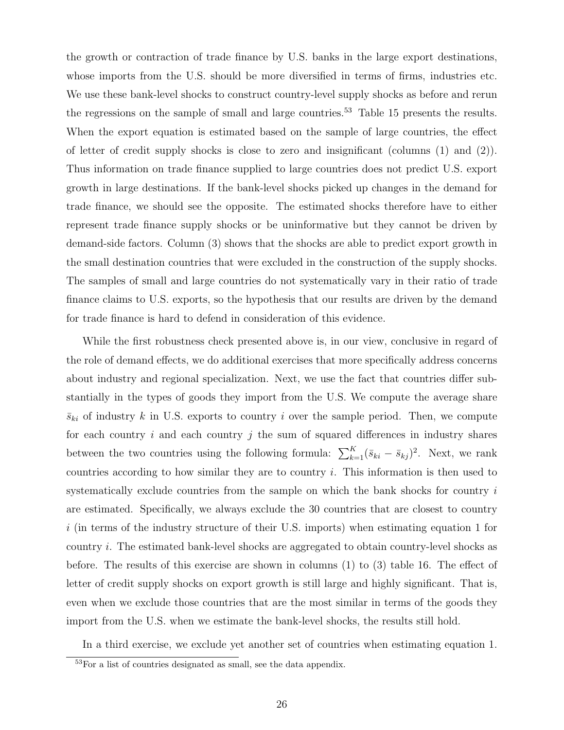the growth or contraction of trade finance by U.S. banks in the large export destinations, whose imports from the U.S. should be more diversified in terms of firms, industries etc. We use these bank-level shocks to construct country-level supply shocks as before and rerun the regressions on the sample of small and large countries.<sup>53</sup> Table 15 presents the results. When the export equation is estimated based on the sample of large countries, the effect of letter of credit supply shocks is close to zero and insignificant (columns (1) and (2)). Thus information on trade finance supplied to large countries does not predict U.S. export growth in large destinations. If the bank-level shocks picked up changes in the demand for trade finance, we should see the opposite. The estimated shocks therefore have to either represent trade finance supply shocks or be uninformative but they cannot be driven by demand-side factors. Column (3) shows that the shocks are able to predict export growth in the small destination countries that were excluded in the construction of the supply shocks. The samples of small and large countries do not systematically vary in their ratio of trade finance claims to U.S. exports, so the hypothesis that our results are driven by the demand for trade finance is hard to defend in consideration of this evidence.

While the first robustness check presented above is, in our view, conclusive in regard of the role of demand effects, we do additional exercises that more specifically address concerns about industry and regional specialization. Next, we use the fact that countries differ substantially in the types of goods they import from the U.S. We compute the average share  $\bar{s}_{ki}$  of industry k in U.S. exports to country i over the sample period. Then, we compute for each country  $i$  and each country  $j$  the sum of squared differences in industry shares between the two countries using the following formula:  $\sum_{k=1}^{K} (\bar{s}_{ki} - \bar{s}_{kj})^2$ . Next, we rank countries according to how similar they are to country  $i$ . This information is then used to systematically exclude countries from the sample on which the bank shocks for country  $i$ are estimated. Specifically, we always exclude the 30 countries that are closest to country  $i$  (in terms of the industry structure of their U.S. imports) when estimating equation 1 for country . The estimated bank-level shocks are aggregated to obtain country-level shocks as before. The results of this exercise are shown in columns (1) to (3) table 16. The effect of letter of credit supply shocks on export growth is still large and highly significant. That is, even when we exclude those countries that are the most similar in terms of the goods they import from the U.S. when we estimate the bank-level shocks, the results still hold.

In a third exercise, we exclude yet another set of countries when estimating equation 1.

<sup>53</sup>For a list of countries designated as small, see the data appendix.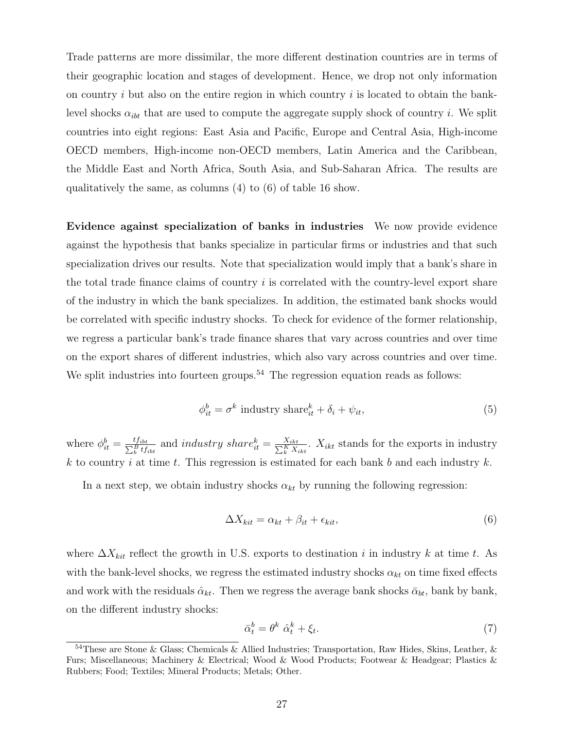Trade patterns are more dissimilar, the more different destination countries are in terms of their geographic location and stages of development. Hence, we drop not only information on country  $i$  but also on the entire region in which country  $i$  is located to obtain the banklevel shocks  $\alpha_{ibt}$  that are used to compute the aggregate supply shock of country i. We split countries into eight regions: East Asia and Pacific, Europe and Central Asia, High-income OECD members, High-income non-OECD members, Latin America and the Caribbean, the Middle East and North Africa, South Asia, and Sub-Saharan Africa. The results are qualitatively the same, as columns (4) to (6) of table 16 show.

Evidence against specialization of banks in industries We now provide evidence against the hypothesis that banks specialize in particular firms or industries and that such specialization drives our results. Note that specialization would imply that a bank's share in the total trade finance claims of country  $i$  is correlated with the country-level export share of the industry in which the bank specializes. In addition, the estimated bank shocks would be correlated with specific industry shocks. To check for evidence of the former relationship, we regress a particular bank's trade finance shares that vary across countries and over time on the export shares of different industries, which also vary across countries and over time. We split industries into fourteen groups.<sup>54</sup> The regression equation reads as follows:

$$
\phi_{it}^{b} = \sigma^{k} \text{ industry share}_{it}^{k} + \delta_{i} + \psi_{it}, \qquad (5)
$$

where  $\phi_{it}^b = \frac{tf_{ibt}}{\sum_{b}^B tf_{ibt}}$  and *industry share*<sup>k</sup> $\frac{X_{ikt}}{\sum_{k}^K X_{ikt}}$ .  $X_{ikt}$  stands for the exports in industry k to country i at time t. This regression is estimated for each bank  $b$  and each industry  $k$ .

In a next step, we obtain industry shocks  $\alpha_{kt}$  by running the following regression:

$$
\Delta X_{kit} = \alpha_{kt} + \beta_{it} + \epsilon_{kit},\tag{6}
$$

where  $\Delta X_{kit}$  reflect the growth in U.S. exports to destination *i* in industry *k* at time *t*. As with the bank-level shocks, we regress the estimated industry shocks  $\alpha_{kt}$  on time fixed effects and work with the residuals  $\hat{\alpha}_{kt}$ . Then we regress the average bank shocks  $\bar{\alpha}_{bt}$ , bank by bank, on the different industry shocks:

$$
\bar{\alpha}_t^b = \theta^k \ \hat{\alpha}_t^k + \xi_t. \tag{7}
$$

<sup>54</sup>These are Stone & Glass; Chemicals & Allied Industries; Transportation, Raw Hides, Skins, Leather, & Furs; Miscellaneous; Machinery & Electrical; Wood & Wood Products; Footwear & Headgear; Plastics & Rubbers; Food; Textiles; Mineral Products; Metals; Other.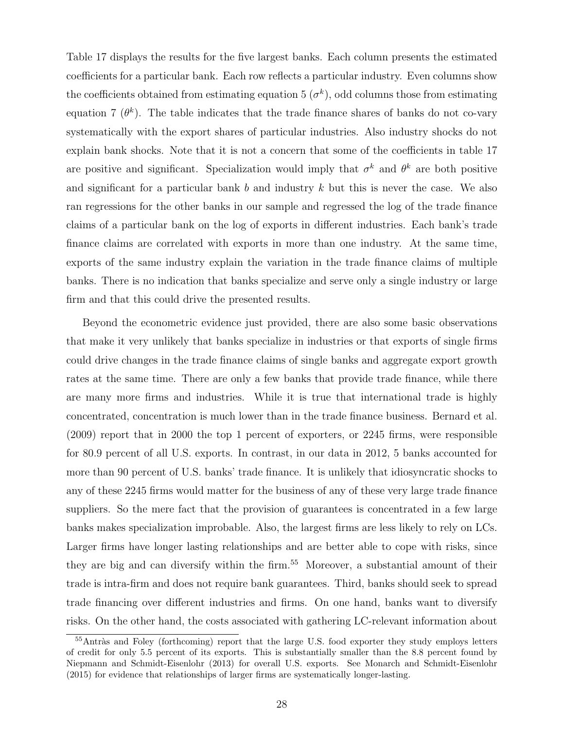Table 17 displays the results for the five largest banks. Each column presents the estimated coefficients for a particular bank. Each row reflects a particular industry. Even columns show the coefficients obtained from estimating equation 5  $(\sigma^k)$ , odd columns those from estimating equation 7 ( $\theta^k$ ). The table indicates that the trade finance shares of banks do not co-vary systematically with the export shares of particular industries. Also industry shocks do not explain bank shocks. Note that it is not a concern that some of the coefficients in table 17 are positive and significant. Specialization would imply that  $\sigma^k$  and  $\theta^k$  are both positive and significant for a particular bank  $b$  and industry  $k$  but this is never the case. We also ran regressions for the other banks in our sample and regressed the log of the trade finance claims of a particular bank on the log of exports in different industries. Each bank's trade finance claims are correlated with exports in more than one industry. At the same time, exports of the same industry explain the variation in the trade finance claims of multiple banks. There is no indication that banks specialize and serve only a single industry or large firm and that this could drive the presented results.

Beyond the econometric evidence just provided, there are also some basic observations that make it very unlikely that banks specialize in industries or that exports of single firms could drive changes in the trade finance claims of single banks and aggregate export growth rates at the same time. There are only a few banks that provide trade finance, while there are many more firms and industries. While it is true that international trade is highly concentrated, concentration is much lower than in the trade finance business. Bernard et al. (2009) report that in 2000 the top 1 percent of exporters, or 2245 firms, were responsible for 80.9 percent of all U.S. exports. In contrast, in our data in 2012, 5 banks accounted for more than 90 percent of U.S. banks' trade finance. It is unlikely that idiosyncratic shocks to any of these 2245 firms would matter for the business of any of these very large trade finance suppliers. So the mere fact that the provision of guarantees is concentrated in a few large banks makes specialization improbable. Also, the largest firms are less likely to rely on LCs. Larger firms have longer lasting relationships and are better able to cope with risks, since they are big and can diversify within the firm.<sup>55</sup> Moreover, a substantial amount of their trade is intra-firm and does not require bank guarantees. Third, banks should seek to spread trade financing over different industries and firms. On one hand, banks want to diversify risks. On the other hand, the costs associated with gathering LC-relevant information about

 $55$ Antràs and Foley (forthcoming) report that the large U.S. food exporter they study employs letters of credit for only 5.5 percent of its exports. This is substantially smaller than the 8.8 percent found by Niepmann and Schmidt-Eisenlohr (2013) for overall U.S. exports. See Monarch and Schmidt-Eisenlohr (2015) for evidence that relationships of larger firms are systematically longer-lasting.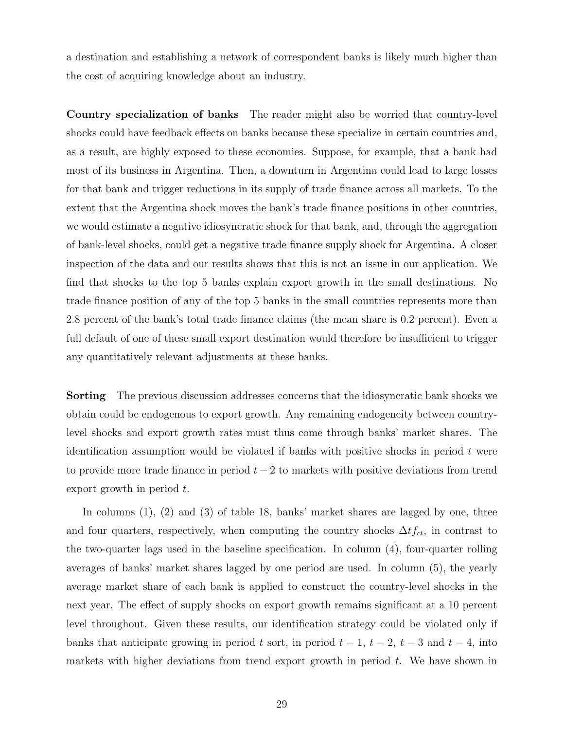a destination and establishing a network of correspondent banks is likely much higher than the cost of acquiring knowledge about an industry.

Country specialization of banks The reader might also be worried that country-level shocks could have feedback effects on banks because these specialize in certain countries and, as a result, are highly exposed to these economies. Suppose, for example, that a bank had most of its business in Argentina. Then, a downturn in Argentina could lead to large losses for that bank and trigger reductions in its supply of trade finance across all markets. To the extent that the Argentina shock moves the bank's trade finance positions in other countries, we would estimate a negative idiosyncratic shock for that bank, and, through the aggregation of bank-level shocks, could get a negative trade finance supply shock for Argentina. A closer inspection of the data and our results shows that this is not an issue in our application. We find that shocks to the top 5 banks explain export growth in the small destinations. No trade finance position of any of the top 5 banks in the small countries represents more than 2.8 percent of the bank's total trade finance claims (the mean share is 0.2 percent). Even a full default of one of these small export destination would therefore be insufficient to trigger any quantitatively relevant adjustments at these banks.

Sorting The previous discussion addresses concerns that the idiosyncratic bank shocks we obtain could be endogenous to export growth. Any remaining endogeneity between countrylevel shocks and export growth rates must thus come through banks' market shares. The identification assumption would be violated if banks with positive shocks in period  $t$  were to provide more trade finance in period  $t-2$  to markets with positive deviations from trend export growth in period  $t$ .

In columns (1), (2) and (3) of table 18, banks' market shares are lagged by one, three and four quarters, respectively, when computing the country shocks  $\Delta t f_{ct}$ , in contrast to the two-quarter lags used in the baseline specification. In column (4), four-quarter rolling averages of banks' market shares lagged by one period are used. In column (5), the yearly average market share of each bank is applied to construct the country-level shocks in the next year. The effect of supply shocks on export growth remains significant at a 10 percent level throughout. Given these results, our identification strategy could be violated only if banks that anticipate growing in period  $t$  sort, in period  $t-1$ ,  $t-2$ ,  $t-3$  and  $t-4$ , into markets with higher deviations from trend export growth in period  $t$ . We have shown in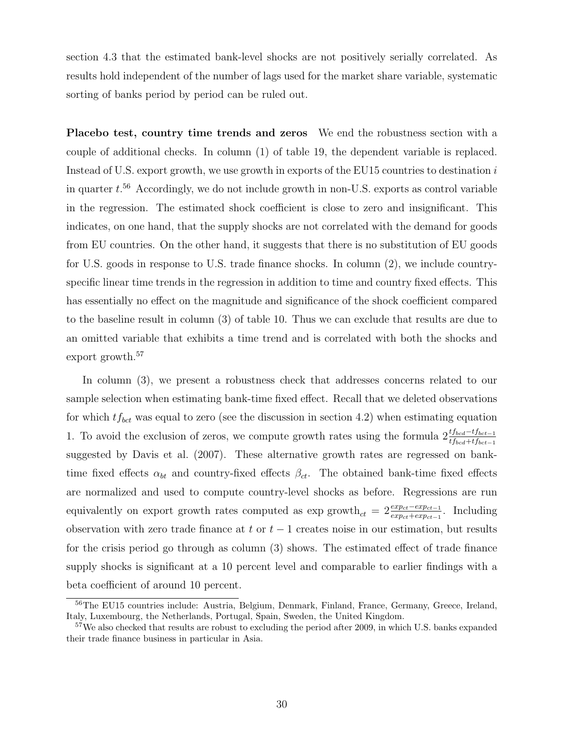section 4.3 that the estimated bank-level shocks are not positively serially correlated. As results hold independent of the number of lags used for the market share variable, systematic sorting of banks period by period can be ruled out.

Placebo test, country time trends and zeros We end the robustness section with a couple of additional checks. In column (1) of table 19, the dependent variable is replaced. Instead of U.S. export growth, we use growth in exports of the EU15 countries to destination  $i$ in quarter  $t^{56}$  Accordingly, we do not include growth in non-U.S. exports as control variable in the regression. The estimated shock coefficient is close to zero and insignificant. This indicates, on one hand, that the supply shocks are not correlated with the demand for goods from EU countries. On the other hand, it suggests that there is no substitution of EU goods for U.S. goods in response to U.S. trade finance shocks. In column (2), we include countryspecific linear time trends in the regression in addition to time and country fixed effects. This has essentially no effect on the magnitude and significance of the shock coefficient compared to the baseline result in column (3) of table 10. Thus we can exclude that results are due to an omitted variable that exhibits a time trend and is correlated with both the shocks and export growth.<sup>57</sup>

In column (3), we present a robustness check that addresses concerns related to our sample selection when estimating bank-time fixed effect. Recall that we deleted observations for which  $tf_{bct}$  was equal to zero (see the discussion in section 4.2) when estimating equation 1. To avoid the exclusion of zeros, we compute growth rates using the formula  $2 \frac{tf_{bcd}-tf_{bcd-1}}{tf_{bcd}+tf_{bcd-1}}$ suggested by Davis et al. (2007). These alternative growth rates are regressed on banktime fixed effects  $\alpha_{bt}$  and country-fixed effects  $\beta_{ct}$ . The obtained bank-time fixed effects are normalized and used to compute country-level shocks as before. Regressions are run equivalently on export growth rates computed as  $\exp$  growth<sub>ct</sub> =  $2\frac{exp_{ct}-exp_{ct}-1}{exp_{ct}+exp_{ct}-1}$ . Including observation with zero trade finance at  $t$  or  $t-1$  creates noise in our estimation, but results for the crisis period go through as column (3) shows. The estimated effect of trade finance supply shocks is significant at a 10 percent level and comparable to earlier findings with a beta coefficient of around 10 percent.

<sup>56</sup>The EU15 countries include: Austria, Belgium, Denmark, Finland, France, Germany, Greece, Ireland, Italy, Luxembourg, the Netherlands, Portugal, Spain, Sweden, the United Kingdom.

<sup>&</sup>lt;sup>57</sup>We also checked that results are robust to excluding the period after 2009, in which U.S. banks expanded their trade finance business in particular in Asia.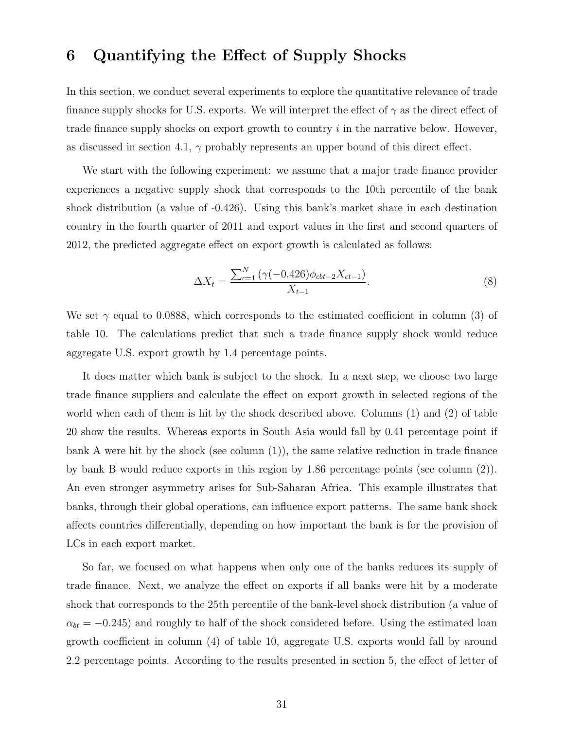### 6 Quantifying the Effect of Supply Shocks

In this section, we conduct several experiments to explore the quantitative relevance of trade finance supply shocks for U.S. exports. We will interpret the effect of  $\gamma$  as the direct effect of trade finance supply shocks on export growth to country  $i$  in the narrative below. However, as discussed in section 4.1,  $\gamma$  probably represents an upper bound of this direct effect.

We start with the following experiment: we assume that a major trade finance provider experiences a negative supply shock that corresponds to the 10th percentile of the bank shock distribution (a value of -0.426). Using this bank's market share in each destination country in the fourth quarter of 2011 and export values in the first and second quarters of 2012, the predicted aggregate effect on export growth is calculated as follows:

$$
\Delta X_t = \frac{\sum_{c=1}^{N} \left( \gamma (-0.426) \phi_{cbt-2} X_{ct-1} \right)}{X_{t-1}}.
$$
\n(8)

We set  $\gamma$  equal to 0.0888, which corresponds to the estimated coefficient in column (3) of table 10. The calculations predict that such a trade finance supply shock would reduce aggregate U.S. export growth by 1.4 percentage points.

It does matter which bank is subject to the shock. In a next step, we choose two large trade finance suppliers and calculate the effect on export growth in selected regions of the world when each of them is hit by the shock described above. Columns (1) and (2) of table 20 show the results. Whereas exports in South Asia would fall by 0.41 percentage point if bank A were hit by the shock (see column (1)), the same relative reduction in trade finance by bank B would reduce exports in this region by 1.86 percentage points (see column (2)). An even stronger asymmetry arises for Sub-Saharan Africa. This example illustrates that banks, through their global operations, can influence export patterns. The same bank shock affects countries differentially, depending on how important the bank is for the provision of LCs in each export market.

So far, we focused on what happens when only one of the banks reduces its supply of trade finance. Next, we analyze the effect on exports if all banks were hit by a moderate shock that corresponds to the 25th percentile of the bank-level shock distribution (a value of  $\alpha_{bt} = -0.245$ ) and roughly to half of the shock considered before. Using the estimated loan growth coefficient in column (4) of table 10, aggregate U.S. exports would fall by around 2.2 percentage points. According to the results presented in section 5, the effect of letter of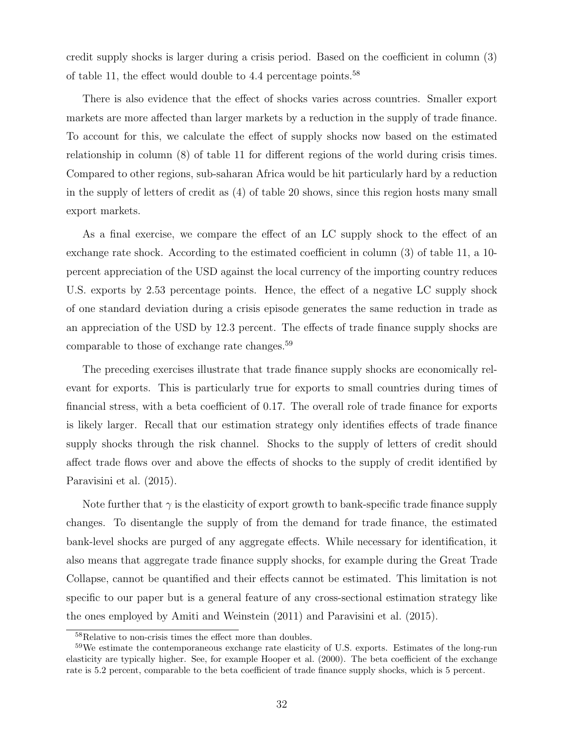credit supply shocks is larger during a crisis period. Based on the coefficient in column (3) of table 11, the effect would double to 4.4 percentage points.<sup>58</sup>

There is also evidence that the effect of shocks varies across countries. Smaller export markets are more affected than larger markets by a reduction in the supply of trade finance. To account for this, we calculate the effect of supply shocks now based on the estimated relationship in column (8) of table 11 for different regions of the world during crisis times. Compared to other regions, sub-saharan Africa would be hit particularly hard by a reduction in the supply of letters of credit as (4) of table 20 shows, since this region hosts many small export markets.

As a final exercise, we compare the effect of an LC supply shock to the effect of an exchange rate shock. According to the estimated coefficient in column (3) of table 11, a 10 percent appreciation of the USD against the local currency of the importing country reduces U.S. exports by 2.53 percentage points. Hence, the effect of a negative LC supply shock of one standard deviation during a crisis episode generates the same reduction in trade as an appreciation of the USD by 12.3 percent. The effects of trade finance supply shocks are comparable to those of exchange rate changes.<sup>59</sup>

The preceding exercises illustrate that trade finance supply shocks are economically relevant for exports. This is particularly true for exports to small countries during times of financial stress, with a beta coefficient of 0.17. The overall role of trade finance for exports is likely larger. Recall that our estimation strategy only identifies effects of trade finance supply shocks through the risk channel. Shocks to the supply of letters of credit should affect trade flows over and above the effects of shocks to the supply of credit identified by Paravisini et al. (2015).

Note further that  $\gamma$  is the elasticity of export growth to bank-specific trade finance supply changes. To disentangle the supply of from the demand for trade finance, the estimated bank-level shocks are purged of any aggregate effects. While necessary for identification, it also means that aggregate trade finance supply shocks, for example during the Great Trade Collapse, cannot be quantified and their effects cannot be estimated. This limitation is not specific to our paper but is a general feature of any cross-sectional estimation strategy like the ones employed by Amiti and Weinstein (2011) and Paravisini et al. (2015).

<sup>58</sup>Relative to non-crisis times the effect more than doubles.

<sup>&</sup>lt;sup>59</sup>We estimate the contemporaneous exchange rate elasticity of U.S. exports. Estimates of the long-run elasticity are typically higher. See, for example Hooper et al. (2000). The beta coefficient of the exchange rate is 5.2 percent, comparable to the beta coefficient of trade finance supply shocks, which is 5 percent.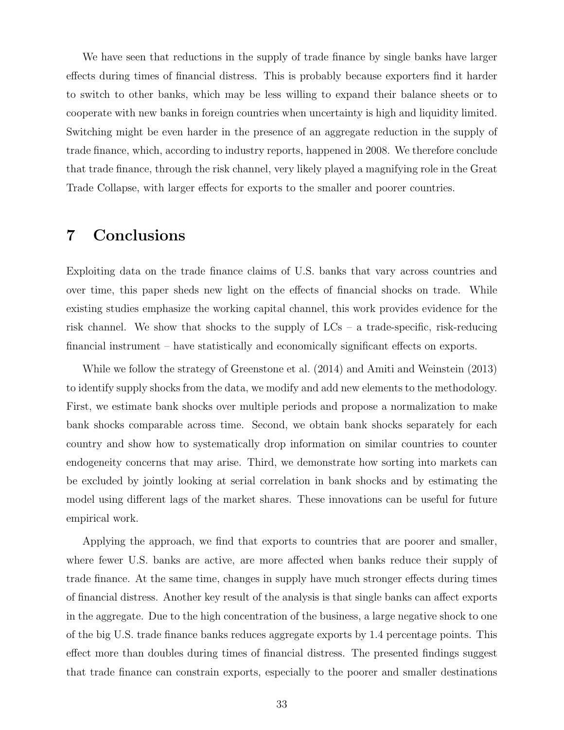We have seen that reductions in the supply of trade finance by single banks have larger effects during times of financial distress. This is probably because exporters find it harder to switch to other banks, which may be less willing to expand their balance sheets or to cooperate with new banks in foreign countries when uncertainty is high and liquidity limited. Switching might be even harder in the presence of an aggregate reduction in the supply of trade finance, which, according to industry reports, happened in 2008. We therefore conclude that trade finance, through the risk channel, very likely played a magnifying role in the Great Trade Collapse, with larger effects for exports to the smaller and poorer countries.

### 7 Conclusions

Exploiting data on the trade finance claims of U.S. banks that vary across countries and over time, this paper sheds new light on the effects of financial shocks on trade. While existing studies emphasize the working capital channel, this work provides evidence for the risk channel. We show that shocks to the supply of  $LCs - a$  trade-specific, risk-reducing financial instrument – have statistically and economically significant effects on exports.

While we follow the strategy of Greenstone et al. (2014) and Amiti and Weinstein (2013) to identify supply shocks from the data, we modify and add new elements to the methodology. First, we estimate bank shocks over multiple periods and propose a normalization to make bank shocks comparable across time. Second, we obtain bank shocks separately for each country and show how to systematically drop information on similar countries to counter endogeneity concerns that may arise. Third, we demonstrate how sorting into markets can be excluded by jointly looking at serial correlation in bank shocks and by estimating the model using different lags of the market shares. These innovations can be useful for future empirical work.

Applying the approach, we find that exports to countries that are poorer and smaller, where fewer U.S. banks are active, are more affected when banks reduce their supply of trade finance. At the same time, changes in supply have much stronger effects during times of financial distress. Another key result of the analysis is that single banks can affect exports in the aggregate. Due to the high concentration of the business, a large negative shock to one of the big U.S. trade finance banks reduces aggregate exports by 1.4 percentage points. This effect more than doubles during times of financial distress. The presented findings suggest that trade finance can constrain exports, especially to the poorer and smaller destinations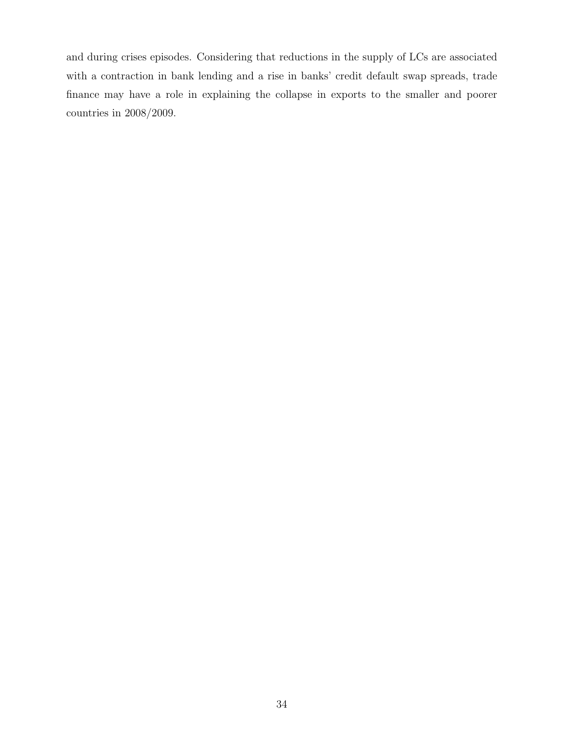and during crises episodes. Considering that reductions in the supply of LCs are associated with a contraction in bank lending and a rise in banks' credit default swap spreads, trade finance may have a role in explaining the collapse in exports to the smaller and poorer countries in 2008/2009.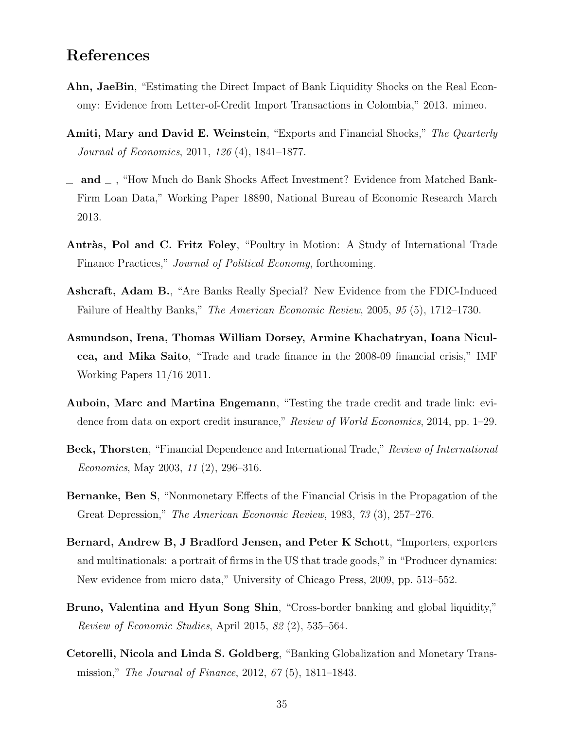### References

- Ahn, JaeBin, "Estimating the Direct Impact of Bank Liquidity Shocks on the Real Economy: Evidence from Letter-of-Credit Import Transactions in Colombia," 2013. mimeo.
- Amiti, Mary and David E. Weinstein, "Exports and Financial Shocks," The Quarterly Journal of Economics, 2011, 126 (4), 1841–1877.
- $\Box$  and  $\Box$ , "How Much do Bank Shocks Affect Investment? Evidence from Matched Bank-Firm Loan Data," Working Paper 18890, National Bureau of Economic Research March 2013.
- Antràs, Pol and C. Fritz Foley, "Poultry in Motion: A Study of International Trade Finance Practices," Journal of Political Economy, forthcoming.
- Ashcraft, Adam B., "Are Banks Really Special? New Evidence from the FDIC-Induced Failure of Healthy Banks," The American Economic Review, 2005, 95 (5), 1712–1730.
- Asmundson, Irena, Thomas William Dorsey, Armine Khachatryan, Ioana Niculcea, and Mika Saito, "Trade and trade finance in the 2008-09 financial crisis," IMF Working Papers 11/16 2011.
- Auboin, Marc and Martina Engemann, "Testing the trade credit and trade link: evidence from data on export credit insurance," Review of World Economics, 2014, pp. 1–29.
- Beck, Thorsten, "Financial Dependence and International Trade," Review of International Economics, May 2003, 11 (2), 296–316.
- Bernanke, Ben S, "Nonmonetary Effects of the Financial Crisis in the Propagation of the Great Depression," The American Economic Review, 1983, 73 (3), 257–276.
- Bernard, Andrew B, J Bradford Jensen, and Peter K Schott, "Importers, exporters and multinationals: a portrait of firms in the US that trade goods," in "Producer dynamics: New evidence from micro data," University of Chicago Press, 2009, pp. 513–552.
- Bruno, Valentina and Hyun Song Shin, "Cross-border banking and global liquidity," Review of Economic Studies, April 2015, 82 (2), 535–564.
- Cetorelli, Nicola and Linda S. Goldberg, "Banking Globalization and Monetary Transmission," The Journal of Finance, 2012, 67 (5), 1811–1843.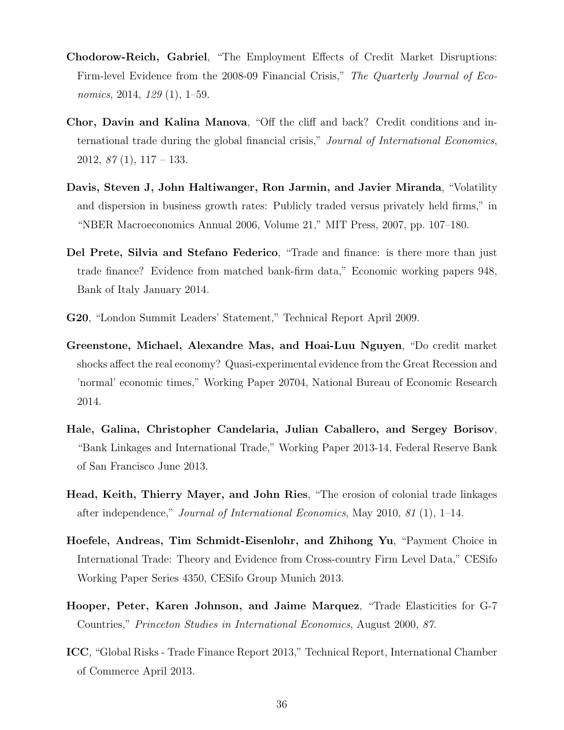- Chodorow-Reich, Gabriel, "The Employment Effects of Credit Market Disruptions: Firm-level Evidence from the 2008-09 Financial Crisis," The Quarterly Journal of Economics, 2014, 129 (1), 1–59.
- Chor, Davin and Kalina Manova, "Off the cliff and back? Credit conditions and international trade during the global financial crisis," Journal of International Economics,  $2012, 87(1), 117-133.$
- Davis, Steven J, John Haltiwanger, Ron Jarmin, and Javier Miranda, "Volatility and dispersion in business growth rates: Publicly traded versus privately held firms," in "NBER Macroeconomics Annual 2006, Volume 21," MIT Press, 2007, pp. 107–180.
- Del Prete, Silvia and Stefano Federico, "Trade and finance: is there more than just trade finance? Evidence from matched bank-firm data," Economic working papers 948, Bank of Italy January 2014.
- G20, "London Summit Leaders' Statement," Technical Report April 2009.
- Greenstone, Michael, Alexandre Mas, and Hoai-Luu Nguyen, "Do credit market shocks affect the real economy? Quasi-experimental evidence from the Great Recession and 'normal' economic times," Working Paper 20704, National Bureau of Economic Research 2014.
- Hale, Galina, Christopher Candelaria, Julian Caballero, and Sergey Borisov, "Bank Linkages and International Trade," Working Paper 2013-14, Federal Reserve Bank of San Francisco June 2013.
- Head, Keith, Thierry Mayer, and John Ries, "The erosion of colonial trade linkages after independence," Journal of International Economics, May 2010, 81 (1), 1–14.
- Hoefele, Andreas, Tim Schmidt-Eisenlohr, and Zhihong Yu, "Payment Choice in International Trade: Theory and Evidence from Cross-country Firm Level Data," CESifo Working Paper Series 4350, CESifo Group Munich 2013.
- Hooper, Peter, Karen Johnson, and Jaime Marquez, "Trade Elasticities for G-7 Countries," Princeton Studies in International Economics, August 2000, 87.
- ICC, "Global Risks Trade Finance Report 2013," Technical Report, International Chamber of Commerce April 2013.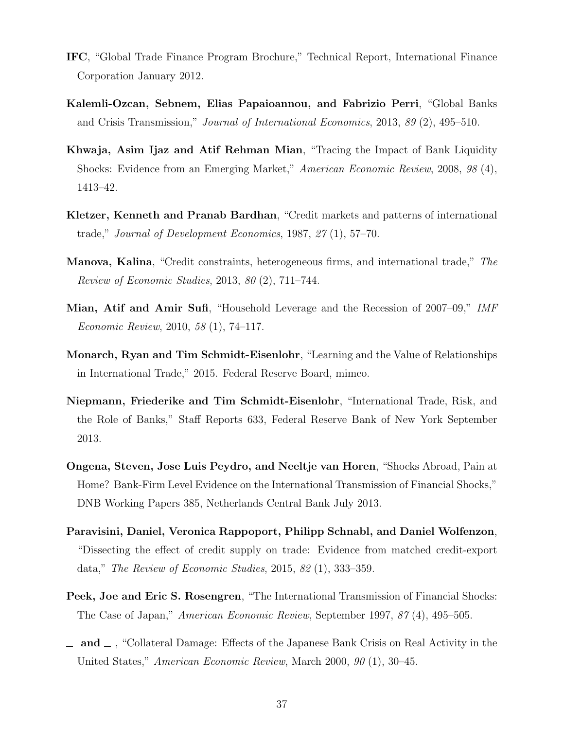- IFC, "Global Trade Finance Program Brochure," Technical Report, International Finance Corporation January 2012.
- Kalemli-Ozcan, Sebnem, Elias Papaioannou, and Fabrizio Perri, "Global Banks and Crisis Transmission," Journal of International Economics, 2013, 89 (2), 495–510.
- Khwaja, Asim Ijaz and Atif Rehman Mian, "Tracing the Impact of Bank Liquidity Shocks: Evidence from an Emerging Market," American Economic Review, 2008, 98 (4), 1413–42.
- Kletzer, Kenneth and Pranab Bardhan, "Credit markets and patterns of international trade," Journal of Development Economics, 1987, 27 (1), 57–70.
- Manova, Kalina, "Credit constraints, heterogeneous firms, and international trade," The Review of Economic Studies, 2013, 80 (2), 711–744.
- Mian, Atif and Amir Sufi, "Household Leverage and the Recession of 2007–09," IMF Economic Review, 2010, 58 (1), 74–117.
- Monarch, Ryan and Tim Schmidt-Eisenlohr, "Learning and the Value of Relationships in International Trade," 2015. Federal Reserve Board, mimeo.
- Niepmann, Friederike and Tim Schmidt-Eisenlohr, "International Trade, Risk, and the Role of Banks," Staff Reports 633, Federal Reserve Bank of New York September 2013.
- Ongena, Steven, Jose Luis Peydro, and Neeltje van Horen, "Shocks Abroad, Pain at Home? Bank-Firm Level Evidence on the International Transmission of Financial Shocks," DNB Working Papers 385, Netherlands Central Bank July 2013.
- Paravisini, Daniel, Veronica Rappoport, Philipp Schnabl, and Daniel Wolfenzon, "Dissecting the effect of credit supply on trade: Evidence from matched credit-export data," The Review of Economic Studies, 2015, 82 (1), 333–359.
- Peek, Joe and Eric S. Rosengren, "The International Transmission of Financial Shocks: The Case of Japan," American Economic Review, September 1997, 87 (4), 495–505.
- $\Box$  and  $\Box$ , "Collateral Damage: Effects of the Japanese Bank Crisis on Real Activity in the United States," American Economic Review, March 2000, 90 (1), 30–45.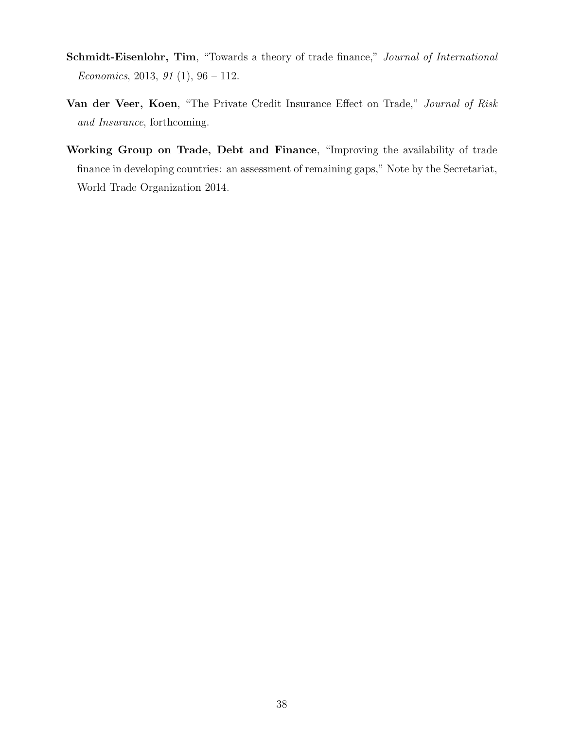- Schmidt-Eisenlohr, Tim, "Towards a theory of trade finance," Journal of International Economics, 2013, 91 $(1)$ , 96 – 112.
- Van der Veer, Koen, "The Private Credit Insurance Effect on Trade," Journal of Risk and Insurance, forthcoming.
- Working Group on Trade, Debt and Finance, "Improving the availability of trade finance in developing countries: an assessment of remaining gaps," Note by the Secretariat, World Trade Organization 2014.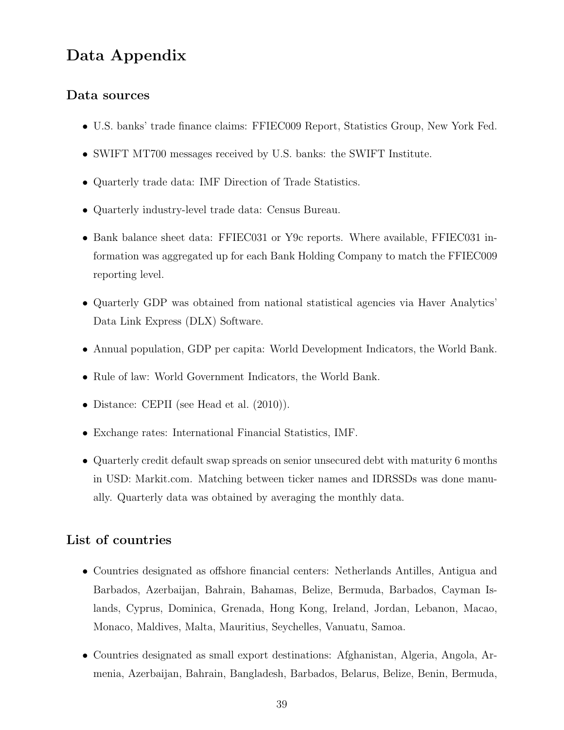### Data Appendix

#### Data sources

- ∙ U.S. banks' trade finance claims: FFIEC009 Report, Statistics Group, New York Fed.
- ∙ SWIFT MT700 messages received by U.S. banks: the SWIFT Institute.
- ∙ Quarterly trade data: IMF Direction of Trade Statistics.
- ∙ Quarterly industry-level trade data: Census Bureau.
- ∙ Bank balance sheet data: FFIEC031 or Y9c reports. Where available, FFIEC031 information was aggregated up for each Bank Holding Company to match the FFIEC009 reporting level.
- ∙ Quarterly GDP was obtained from national statistical agencies via Haver Analytics' Data Link Express (DLX) Software.
- ∙ Annual population, GDP per capita: World Development Indicators, the World Bank.
- ∙ Rule of law: World Government Indicators, the World Bank.
- ∙ Distance: CEPII (see Head et al. (2010)).
- ∙ Exchange rates: International Financial Statistics, IMF.
- ∙ Quarterly credit default swap spreads on senior unsecured debt with maturity 6 months in USD: Markit.com. Matching between ticker names and IDRSSDs was done manually. Quarterly data was obtained by averaging the monthly data.

#### List of countries

- ∙ Countries designated as offshore financial centers: Netherlands Antilles, Antigua and Barbados, Azerbaijan, Bahrain, Bahamas, Belize, Bermuda, Barbados, Cayman Islands, Cyprus, Dominica, Grenada, Hong Kong, Ireland, Jordan, Lebanon, Macao, Monaco, Maldives, Malta, Mauritius, Seychelles, Vanuatu, Samoa.
- ∙ Countries designated as small export destinations: Afghanistan, Algeria, Angola, Armenia, Azerbaijan, Bahrain, Bangladesh, Barbados, Belarus, Belize, Benin, Bermuda,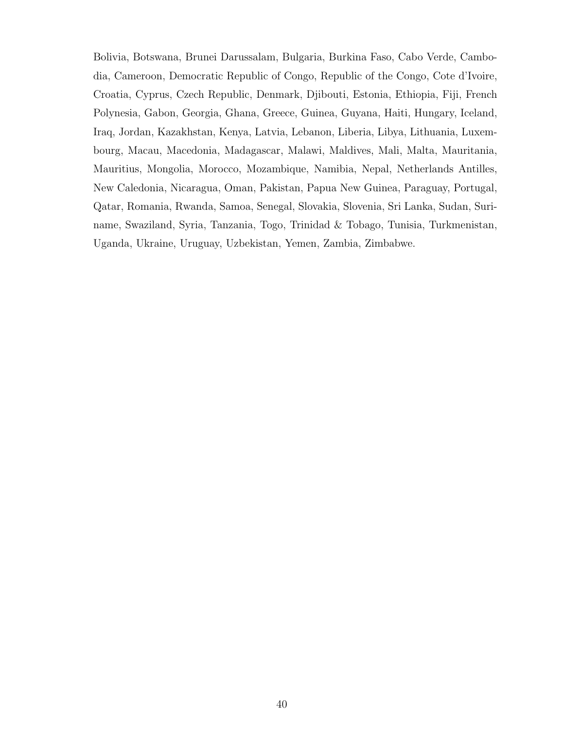Bolivia, Botswana, Brunei Darussalam, Bulgaria, Burkina Faso, Cabo Verde, Cambodia, Cameroon, Democratic Republic of Congo, Republic of the Congo, Cote d'Ivoire, Croatia, Cyprus, Czech Republic, Denmark, Djibouti, Estonia, Ethiopia, Fiji, French Polynesia, Gabon, Georgia, Ghana, Greece, Guinea, Guyana, Haiti, Hungary, Iceland, Iraq, Jordan, Kazakhstan, Kenya, Latvia, Lebanon, Liberia, Libya, Lithuania, Luxembourg, Macau, Macedonia, Madagascar, Malawi, Maldives, Mali, Malta, Mauritania, Mauritius, Mongolia, Morocco, Mozambique, Namibia, Nepal, Netherlands Antilles, New Caledonia, Nicaragua, Oman, Pakistan, Papua New Guinea, Paraguay, Portugal, Qatar, Romania, Rwanda, Samoa, Senegal, Slovakia, Slovenia, Sri Lanka, Sudan, Suriname, Swaziland, Syria, Tanzania, Togo, Trinidad & Tobago, Tunisia, Turkmenistan, Uganda, Ukraine, Uruguay, Uzbekistan, Yemen, Zambia, Zimbabwe.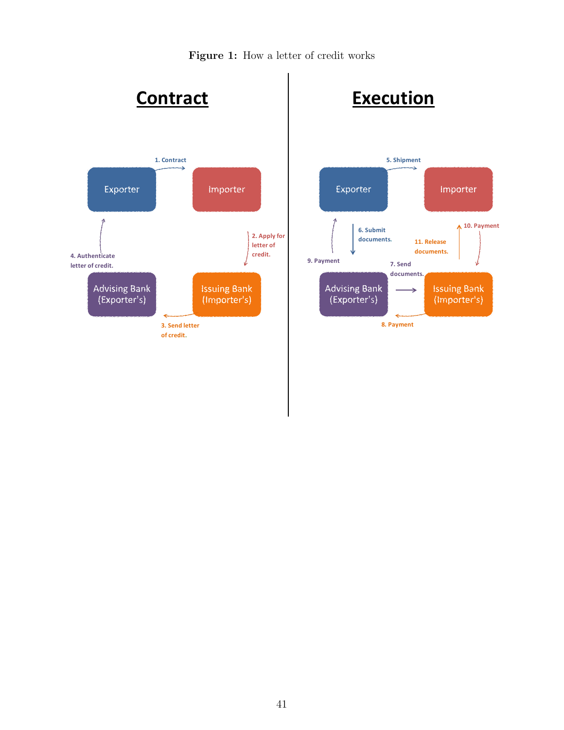Figure 1: How a letter of credit works

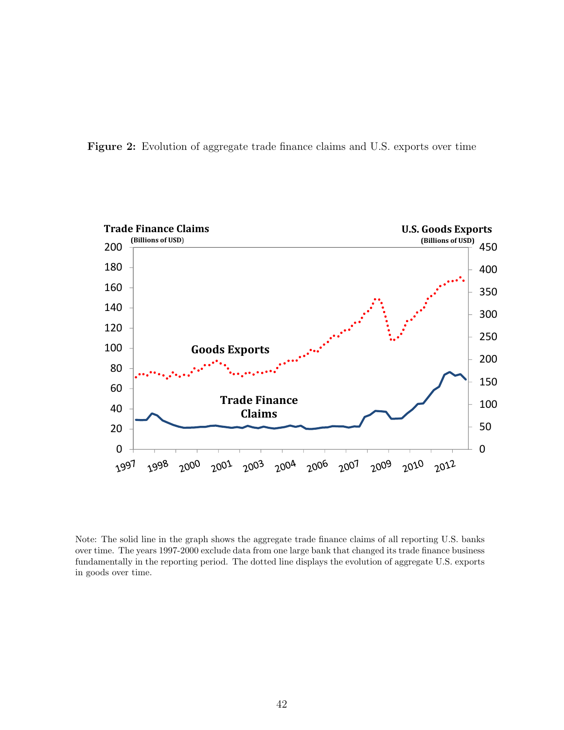Figure 2: Evolution of aggregate trade finance claims and U.S. exports over time



Note: The solid line in the graph shows the aggregate trade finance claims of all reporting U.S. banks over time. The years 1997-2000 exclude data from one large bank that changed its trade finance business fundamentally in the reporting period. The dotted line displays the evolution of aggregate U.S. exports in goods over time.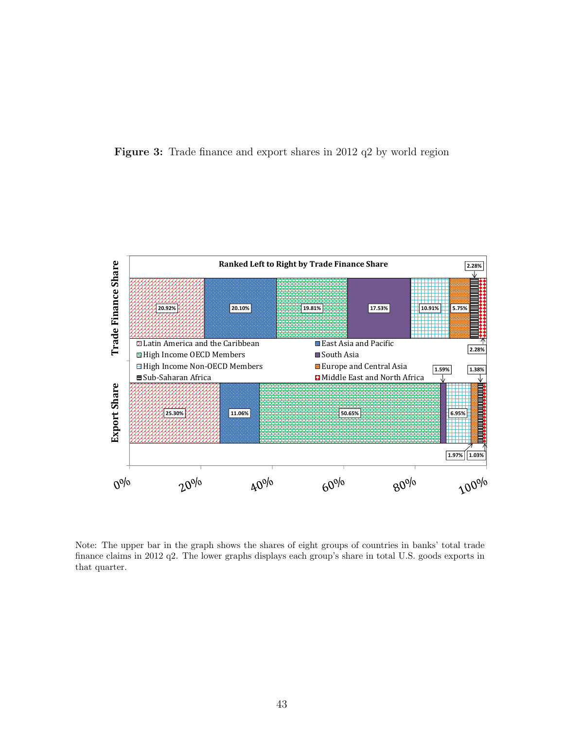



Note: The upper bar in the graph shows the shares of eight groups of countries in banks' total trade finance claims in 2012 q2. The lower graphs displays each group's share in total U.S. goods exports in that quarter.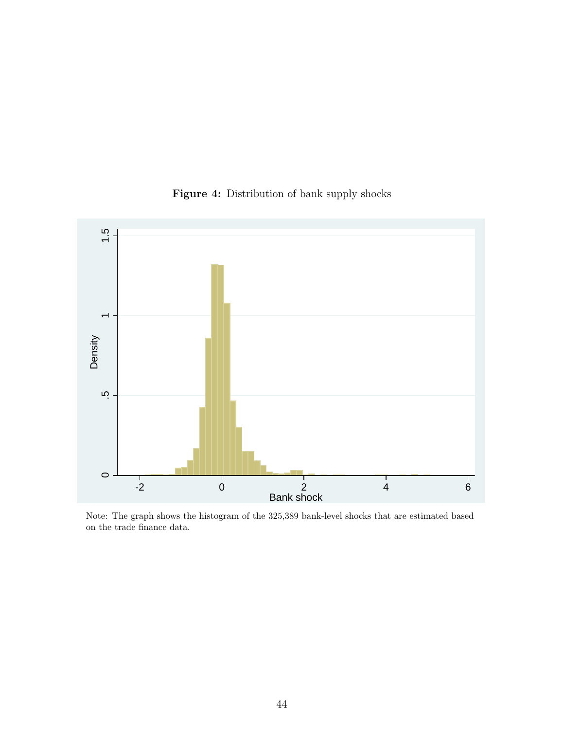

Figure 4: Distribution of bank supply shocks

Note: The graph shows the histogram of the 325,389 bank-level shocks that are estimated based on the trade finance data.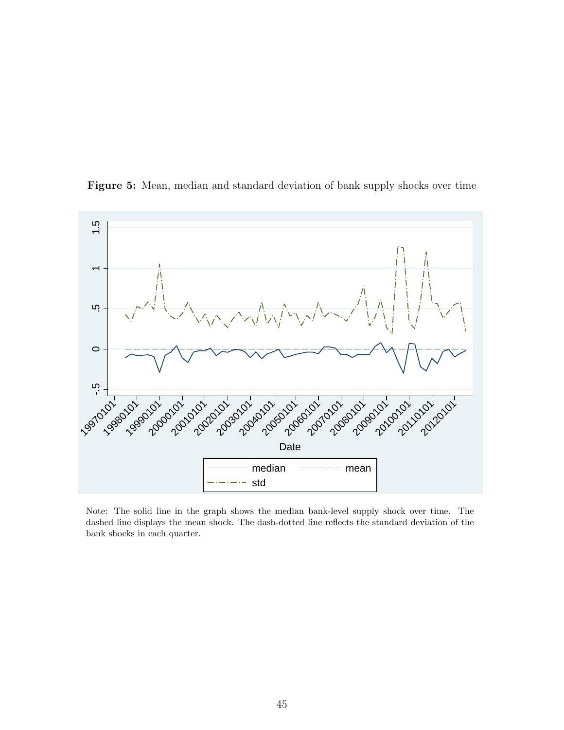

Figure 5: Mean, median and standard deviation of bank supply shocks over time

Note: The solid line in the graph shows the median bank-level supply shock over time. The dashed line displays the mean shock. The dash-dotted line reflects the standard deviation of the bank shocks in each quarter.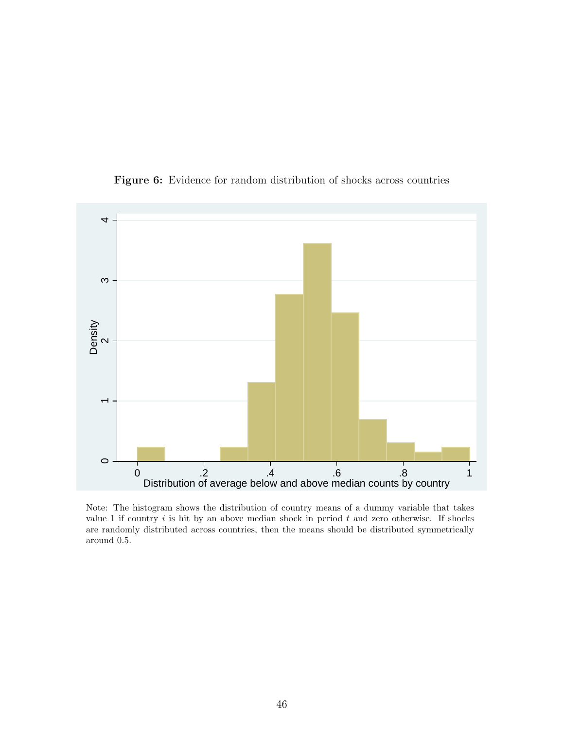

Figure 6: Evidence for random distribution of shocks across countries

Note: The histogram shows the distribution of country means of a dummy variable that takes value 1 if country  $i$  is hit by an above median shock in period  $t$  and zero otherwise. If shocks are randomly distributed across countries, then the means should be distributed symmetrically around 0.5.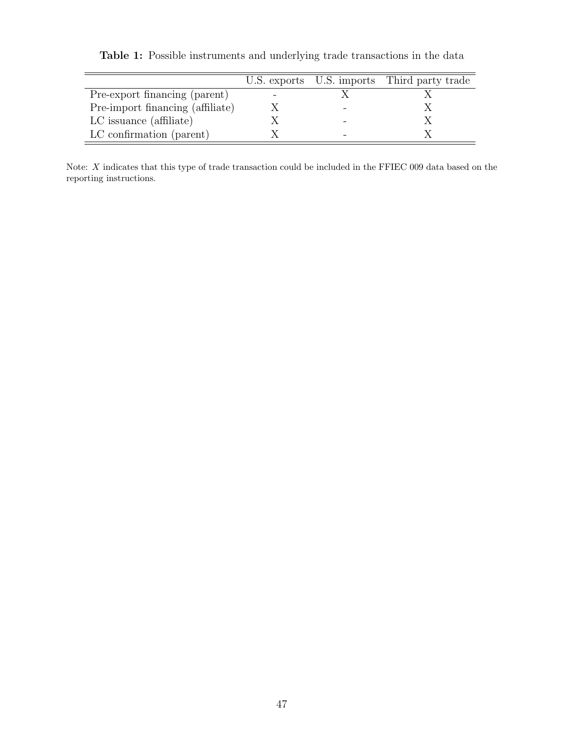|                                  |  | U.S. exports U.S. imports Third party trade |
|----------------------------------|--|---------------------------------------------|
| Pre-export financing (parent)    |  |                                             |
| Pre-import financing (affiliate) |  |                                             |
| LC issuance (affiliate)          |  |                                             |
| LC confirmation (parent)         |  |                                             |

Table 1: Possible instruments and underlying trade transactions in the data

Note:  $X$  indicates that this type of trade transaction could be included in the FFIEC 009 data based on the reporting instructions.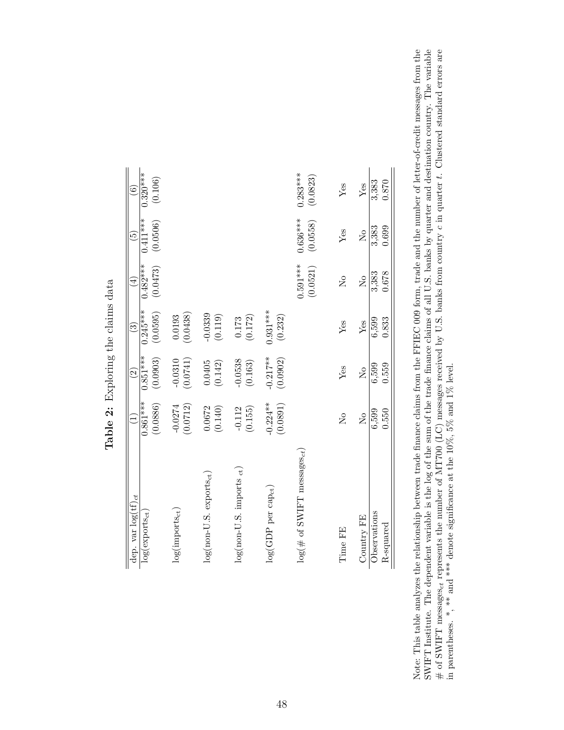| dep. var $\log(tf)_{ct}$               |                                      | $\widehat{\mathbb{C}}$   | $\widehat{\mathbb{C}}$  | $\bigoplus$                          | $\widetilde{5}$        | $\widehat{\mathbf{e}}$ |
|----------------------------------------|--------------------------------------|--------------------------|-------------------------|--------------------------------------|------------------------|------------------------|
| $\log(\text{exports}_{\text{ct}})$     | $0.861***$<br>(0.0886)               | $0.851***$<br>(0.0903)   | $0.245***$<br>(0.0595)  | $0.482***$<br>(0.0473)               | $0.411***$<br>(0.0506) | $0.320***$<br>(0.106)  |
| $\log(\text{imports}_{\text{ct}})$     | (0.0712)<br>$-0.0274$                | (0.0741)<br>$-0.0310$    | (0.0438)<br>0.0193      |                                      |                        |                        |
| $log(non-U.S.$ exports <sub>ct</sub> ) | $(0.0672$<br>(0.140)                 | $(0.0405$<br>$(0.142)$   | $-0.0339$<br>(0.119)    |                                      |                        |                        |
| $log(non-U.S.$ imports $_{ct}$ )       | $-0.112$<br>(0.155)                  | $-0.0538$<br>(0.163)     | $\frac{0.173}{(0.172)}$ |                                      |                        |                        |
| $log(GDP$ per cap <sub>ct</sub> )      | $-0.224***$<br>(0.0891)              | $-0.217**$<br>(0.0902)   | $0.931***$<br>(0.232)   |                                      |                        |                        |
| $\log(\text{\# of SWIFT measure})$     |                                      |                          |                         | $0.591***$<br>(0.0521)               | $0.636***$<br>(0.0558) | $0.283***$<br>(0.0823) |
| Time FE                                | $\overline{\mathsf{X}}$              | $Y$ es                   | Yes                     | $\overline{\mathsf{X}}^{\mathsf{o}}$ | ${\rm Yes}$            | Yes                    |
| Country FE                             | $\overline{\mathsf{X}}^{\mathsf{o}}$ | $\tilde{\Sigma}^{\circ}$ | Yes                     | $\tilde{\mathsf{X}}^{\mathsf{o}}$    | $\tilde{\mathsf{X}}$   | ${\rm Yes}$            |
| Observations<br>R-squared              | 6,599<br>0.550                       | 6,599<br>0.559           | 0.833<br>6,599          | 0.678<br>3,383                       | 0.699<br>3,383         | 3,383<br>0.870         |

Table 2: Exploring the claims data Table 2: Exploring the claims data Note: This table analyzes the relationship between trade finance claims from the FFIEC 009 form, trade and the number of letter-of-credit messages from the SWIFT Institute. The dependent variable is the log of the sum of t # of SWIFT messages<sub>ct</sub> represents the number of MT700 (LC) messages received by U.S. banks from country c in quarter t. Clustered standard errors are in parentheses. \*, \*\* and \*\*\* denote significance at the 10%, 5% and 1 Note: This table analyzes the relationship between trade finance claims from the FFIEC 009 form, trade and the number of letter-of-credit messages from the SWIFT Institute. The dependent variable is the log of the sum of the trade finance claims of all U.S. banks by quarter and destination country. The variable # of SWIFT messages<sub>d</sub> represents the number of MT700 (LC) messages received by U.S. banks from country  $c$  in quarter t. Clustered standard errors are in parentheses. \*, \*\* and \*\*\* denote significance at the 10%, 5% and 1% level.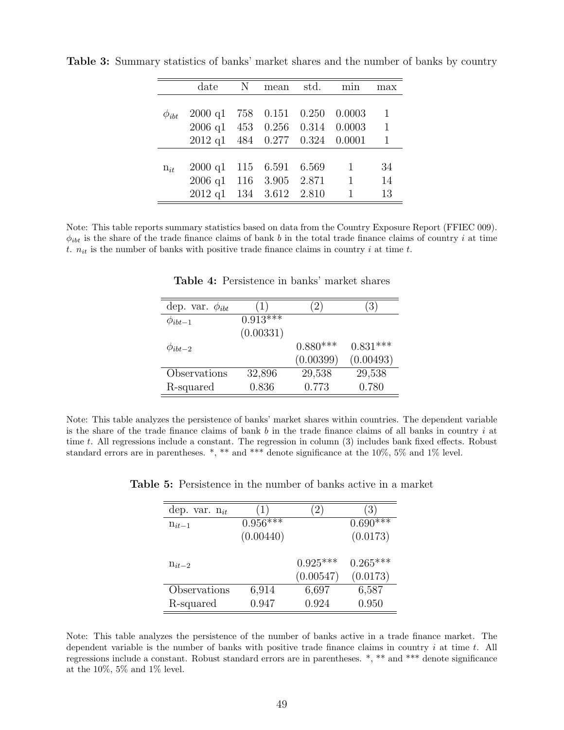|              | date                           | N | mean              | std. | min          | max          |
|--------------|--------------------------------|---|-------------------|------|--------------|--------------|
|              |                                |   |                   |      |              |              |
| $\phi_{ibt}$ | $2000 \text{ q1}$              |   | 758  0.151  0.250 |      | 0.0003       | 1            |
|              | 2006 q1 453 0.256 0.314 0.0003 |   |                   |      |              | $\mathbf{1}$ |
|              | 2012 q1 484 0.277 0.324 0.0001 |   |                   |      |              | 1            |
|              |                                |   |                   |      |              |              |
| $n_{it}$     | $2000 \text{ q1}$              |   | 115 6.591 6.569   |      | $\mathbf{1}$ | 34           |
|              | 2006 q1 116 3.905 2.871        |   |                   |      | $\mathbf{1}$ | 14           |
|              | $2012$ q $1$                   |   | 134 3.612 2.810   |      | 1            | 13           |

Table 3: Summary statistics of banks' market shares and the number of banks by country

Note: This table reports summary statistics based on data from the Country Exposure Report (FFIEC 009).  $\phi_{ibt}$  is the share of the trade finance claims of bank b in the total trade finance claims of country i at time t.  $n_{it}$  is the number of banks with positive trade finance claims in country i at time t.

| dep. var. $\phi_{ibt}$ | (1)        | 21         | $\left(3\right)$ |
|------------------------|------------|------------|------------------|
| $\varphi_{ibt-1}$      | $0.913***$ |            |                  |
|                        | (0.00331)  |            |                  |
| $\phi_{ibt-2}$         |            | $0.880***$ | $0.831***$       |
|                        |            | (0.00399)  | (0.00493)        |
| Observations           | 32,896     | 29,538     | 29,538           |
| R-squared              | 0.836      | 0.773      | 0.780            |

Table 4: Persistence in banks' market shares

Note: This table analyzes the persistence of banks' market shares within countries. The dependent variable is the share of the trade finance claims of bank  $b$  in the trade finance claims of all banks in country  $i$  at time  $t$ . All regressions include a constant. The regression in column  $(3)$  includes bank fixed effects. Robust standard errors are in parentheses.  $*, **$  and  $***$  denote significance at the 10%, 5% and 1% level.

| dep. var. $n_{it}$ |            | (2)                     | (3)                    |
|--------------------|------------|-------------------------|------------------------|
| $n_{it-1}$         | $0.956***$ |                         | $0.690***$             |
|                    | (0.00440)  |                         | (0.0173)               |
| $n_{it-2}$         |            | $0.925***$<br>(0.00547) | $0.265***$<br>(0.0173) |
| Observations       | 6,914      | 6,697                   | 6,587                  |
| R-squared          | 0.947      | 0.924                   | 0.950                  |

Table 5: Persistence in the number of banks active in a market

Note: This table analyzes the persistence of the number of banks active in a trade finance market. The dependent variable is the number of banks with positive trade finance claims in country  $i$  at time  $t$ . All regressions include a constant. Robust standard errors are in parentheses. \*, \*\* and \*\*\* denote significance at the  $10\%$ , 5% and 1% level.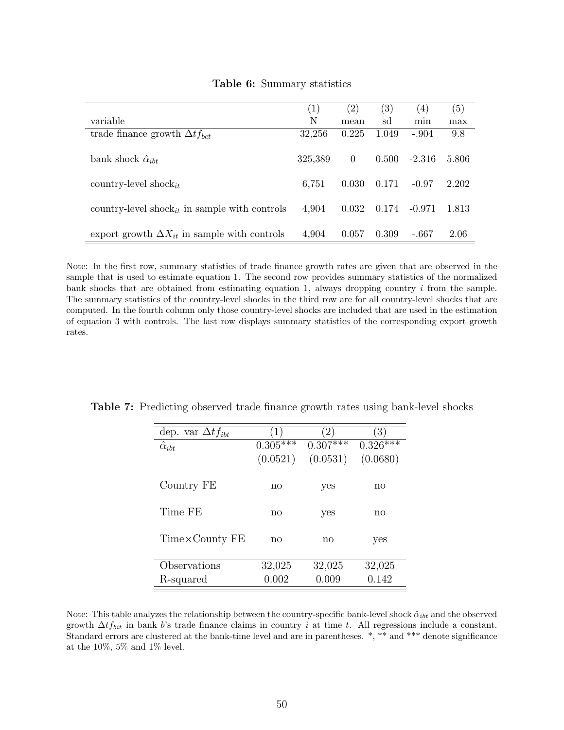|                                                           | $\left( 1\right)$ | $\left( 2\right)$ | $\left( 3\right)$ | (4)      | (5)   |
|-----------------------------------------------------------|-------------------|-------------------|-------------------|----------|-------|
| variable                                                  | N                 | mean              | sd                | min      | max   |
| trade finance growth $\Delta t f_{bct}$                   | 32,256            | 0.225             | 1.049             | $-.904$  | 9.8   |
| bank shock $\hat{\alpha}_{iht}$                           | 325,389           | $\Omega$          | 0.500             | $-2.316$ | 5.806 |
| country-level shock <sub>it</sub>                         | 6,751             | 0.030             | 0.171             | $-0.97$  | 2.202 |
| country-level shock <sub>it</sub> in sample with controls | 4,904             | 0.032             | 0.174             | $-0.971$ | 1.813 |
| export growth $\Delta X_{it}$ in sample with controls     | 4,904             | 0.057             | 0.309             | -.667    | 2.06  |

#### Table 6: Summary statistics

Note: In the first row, summary statistics of trade finance growth rates are given that are observed in the sample that is used to estimate equation 1. The second row provides summary statistics of the normalized bank shocks that are obtained from estimating equation 1, always dropping country  $i$  from the sample. The summary statistics of the country-level shocks in the third row are for all country-level shocks that are computed. In the fourth column only those country-level shocks are included that are used in the estimation of equation 3 with controls. The last row displays summary statistics of the corresponding export growth rates.

| dep. var $\Delta t f_{ibt}$ | $\left(1\right)$ | $\left(2\right)$ | $\left(3\right)$ |
|-----------------------------|------------------|------------------|------------------|
| $\hat{\alpha}_{ibt}$        | $0.305***$       | $0.307***$       | $0.326***$       |
|                             | (0.0521)         | (0.0531)         | (0.0680)         |
|                             |                  |                  |                  |
| Country FE                  | no               | yes              | no               |
|                             |                  |                  |                  |
| Time FE                     | no               | yes              | no               |
|                             |                  |                  |                  |
| Time×County FE              | no               | no               | yes              |
|                             |                  |                  |                  |
| Observations                | 32,025           | 32,025           | 32,025           |
| R-squared                   | 0.002            | 0.009            | 0.142            |

Table 7: Predicting observed trade finance growth rates using bank-level shocks

Note: This table analyzes the relationship between the country-specific bank-level shock  $\hat{\alpha}_{ibt}$  and the observed growth  $\Delta t f_{bit}$  in bank b's trade finance claims in country i at time t. All regressions include a constant. Standard errors are clustered at the bank-time level and are in parentheses. \*, \*\* and \*\*\* denote significance at the  $10\%$ , 5% and 1% level.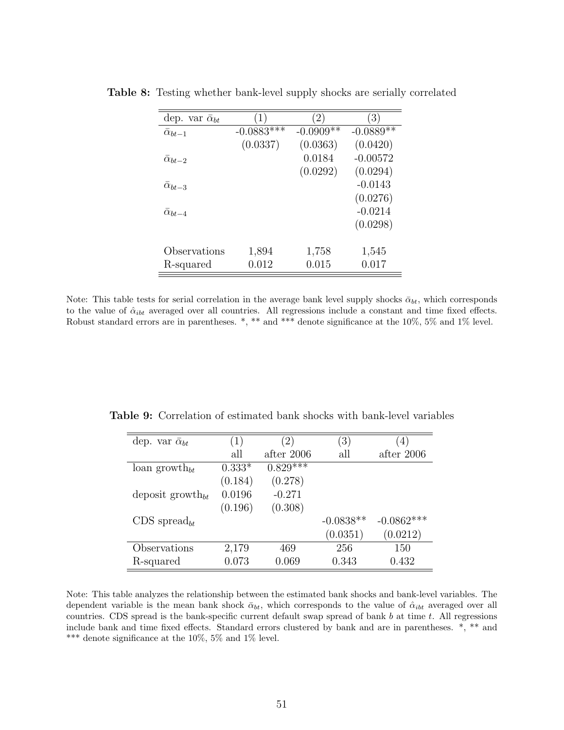| dep. var $\bar{\alpha}_{bt}$ | $\left(1\right)$ | $^{\prime}2)$ | $\left(3\right)$ |
|------------------------------|------------------|---------------|------------------|
| $\bar{\alpha}_{bt-1}$        | $-0.0883***$     | $-0.0909**$   | $-0.0889**$      |
|                              | (0.0337)         | (0.0363)      | (0.0420)         |
| $\bar{\alpha}_{bt-2}$        |                  | 0.0184        | $-0.00572$       |
|                              |                  | (0.0292)      | (0.0294)         |
| $\alpha_{bt-3}$              |                  |               | $-0.0143$        |
|                              |                  |               | (0.0276)         |
| $\alpha_{bt-4}$              |                  |               | $-0.0214$        |
|                              |                  |               | (0.0298)         |
|                              |                  |               |                  |
| Observations                 | 1,894            | 1,758         | 1,545            |
| R-squared                    | 0.012            | 0.015         | 0.017            |

Table 8: Testing whether bank-level supply shocks are serially correlated

Note: This table tests for serial correlation in the average bank level supply shocks  $\bar{\alpha}_{bt}$ , which corresponds to the value of  $\hat{\alpha}_{ibt}$  averaged over all countries. All regressions include a constant and time fixed effects. Robust standard errors are in parentheses. \*, \*\* and \*\*\* denote significance at the 10%, 5% and 1% level.

| dep. var $\bar{\alpha}_{bt}$ | $\left(1\right)$ | $\left(2\right)$ | (3)         | $\left( 4\right)$ |
|------------------------------|------------------|------------------|-------------|-------------------|
|                              | all              | after 2006       | all         | after 2006        |
| loan growth <sub>bt</sub>    | $0.333*$         | $0.829***$       |             |                   |
|                              | (0.184)          | (0.278)          |             |                   |
| deposit growth <sub>bt</sub> | 0.0196           | $-0.271$         |             |                   |
|                              | (0.196)          | (0.308)          |             |                   |
| $CDS$ spread <sub>bt</sub>   |                  |                  | $-0.0838**$ | $-0.0862***$      |
|                              |                  |                  | (0.0351)    | (0.0212)          |
| Observations                 | 2,179            | 469              | 256         | 150               |
| R-squared                    | 0.073            | 0.069            | 0.343       | 0.432             |

Table 9: Correlation of estimated bank shocks with bank-level variables

Note: This table analyzes the relationship between the estimated bank shocks and bank-level variables. The dependent variable is the mean bank shock  $\bar{\alpha}_{bt}$ , which corresponds to the value of  $\hat{\alpha}_{ibt}$  averaged over all countries. CDS spread is the bank-specific current default swap spread of bank  $b$  at time  $t$ . All regressions include bank and time fixed effects. Standard errors clustered by bank and are in parentheses. \*, \*\* and \*\*\* denote significance at the 10%, 5% and 1% level.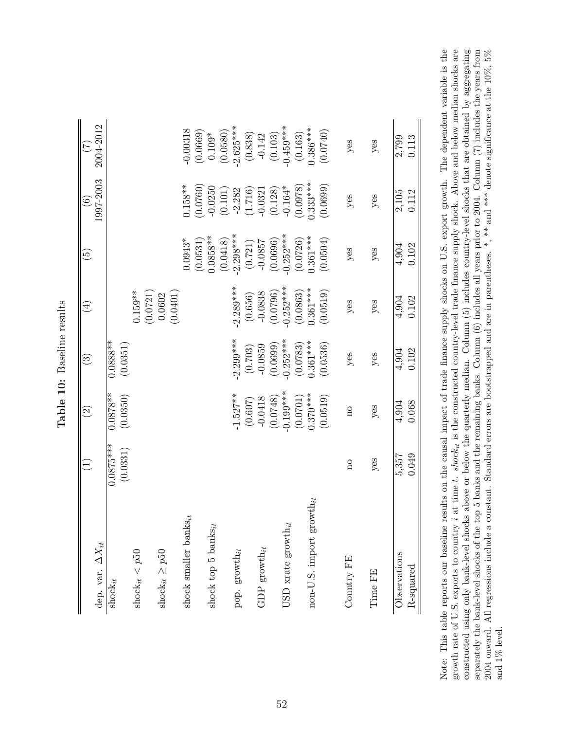|                                 | $\left(\frac{1}{2}\right)$ | $\widehat{S}$      | $\odot$     | $(\pm)$            | $\widetilde{\mathbf{e}}$  | $\widehat{\circ}$    | (7)<br>(7)           |
|---------------------------------|----------------------------|--------------------|-------------|--------------------|---------------------------|----------------------|----------------------|
| dep. var. $\Delta X_{it}$       |                            |                    |             |                    |                           | 1997-2003            | 2004-2012            |
| $\mathrm{shock}_{it}$           | $0.0875***$                | $0.0878**$         | $0.0888**$  |                    |                           |                      |                      |
|                                 | (0.0331)                   | (0.0350)           | (0.0351)    |                    |                           |                      |                      |
| shock <sub>it</sub> $< p50$     |                            |                    |             | $0.159**$          |                           |                      |                      |
|                                 |                            |                    |             | (0.0721)           |                           |                      |                      |
| shock $i t \geq p50$            |                            |                    |             | (0.0401)<br>0.0602 |                           |                      |                      |
| shock smaller banks $_{it}$     |                            |                    |             |                    | $0.0943*$                 | $0.158**$            | 0.00318              |
|                                 |                            |                    |             |                    | (0.0531)                  | (0.0760)             | $(0.0669)$<br>0.109* |
| shock top 5 banks $_{it}$       |                            |                    |             |                    | $0.0858***$               | $-0.0250$<br>(0.101) | (0.0580)             |
| pop. $\text{growth}_{it}$       |                            | $1.527**$          | $2.299***$  | $2.289***$         | $(0.0418)$<br>$-2.298***$ | $-2.282$             | $2.625***$           |
|                                 |                            | (0.607)            | (0.703)     | (0.656)            | (0.721)                   | (1.716)              | (0.838)              |
| GDP growth $_{it}$              |                            | $-0.0418$          | $-0.0859$   | $-0.0838$          | $-0.0857$<br>(0.0696)     | $-0.0321$            | $-0.142$             |
|                                 |                            | (0.0748)           | (0.0699)    | (0.0796)           |                           | (0.128)              | (0.103)              |
| USD xrate growth $_{it}$        |                            | $0.199***$         | $-0.252***$ | $-0.252***$        | $-0.252***$               | $-0.164*$            | $0.459***$           |
|                                 |                            | (0.0701)           | (0.0783)    | (0.0863)           | (0.0726)                  | (0.0978)             | (0.163)              |
| $non-U.S.$ import $growth_{it}$ |                            | $0.370***$         | $0.361***$  | $0.361***$         | $0.361***$<br>(0.0504)    | $0.333***$           | $0.386***$           |
|                                 |                            | (0.0519)           | (0.0536)    | (0.0519)           |                           | (0.0699)             | (0.0740)             |
| Country FE                      | $\overline{\rm n}$         | $\overline{\rm n}$ | yes         | yes                | yes                       | $y$ es               | $y$ es               |
| Time FE                         | $y$ es                     | $y$ es             | yes         | $y$ es             | $y$ es                    | $y$ es               | $y$ es               |
| Observations                    | 5,357                      | 4,904              | 4,904       | 4,904              | 4,904                     | $2,105$              | 2,799                |
| R-squared                       | 0.049                      | 0.068              | 0.102       | 0.102              | 0.102                     | 0.112                | 0.113                |

Table 10: Baseline results Table 10: Baseline results

growth rate of U.S. exports to country  $i$  at time t. shock<sub>it</sub> is the constructed country-level trade finance supply shock. Above and below median shocks are Note: This table reports our baseline results on the causal impact of trade finance supply shocks on U.S. export growth. The dependent variable is the constructed using only bank-level shocks above or below the quarterly median. Column (5) includes country-level shocks that are obtained by aggregating separately the bank-level shocks of the top 5 banks and the remaining banks. Column (6) includes all years prior to 2004. Column (7) includes the years from 2004 onward. All regressions include a constant. Standard errors are bootstrapped and are in parentheses. \*, \*\* and \*\*\* denote significance at the  $10\%, 5\%$ Note: This table reports our baseline results on the causal impact of trade finance supply shocks on U.S. export growth. The dependent variable is the growth rate of U.S. exports to country  $i$  at time  $t$ . shock<sub>it</sub> is the constructed country-level trade finance supply shock. Above and below median shocks are constructed using only bank-level shocks above or below the quarterly median. Column (5) includes country-level shocks that are obtained by aggregating separately the bank-level shocks of the top 5 banks and the remaining banks. Column (6) includes all years prior to 2004. Column (7) includes the years from  $\alpha_0$  includes the years from  $\alpha_0$  includes the vears from  $\$ 2004 onward. All regressions include a constant. Standard errors are bootstrapped and are in parentheses. \*, \*\* and \*\*\* denote significance at the 10%, 5%  $\frac{1}{6}$ and 1% level. and 1% level.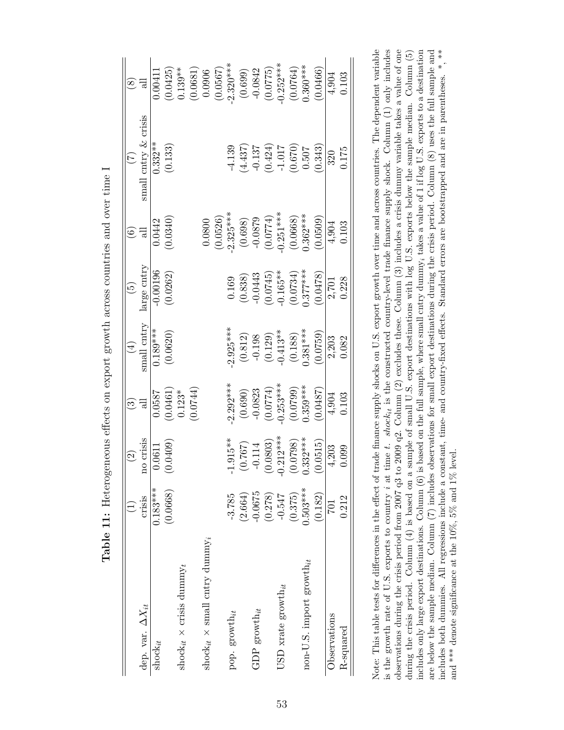| $0.183***$<br>(0.0668)<br>crisis<br>dep. var. $\Delta X_{it}$<br>$shock_{it}$ | $\widehat{\Omega}$ | $\widetilde{\mathbb{C}}$ | $(\pm)$               | $\widetilde{\mathbf{e}}$ | $\odot$                |                                                                                | $\circled{s}$          |
|-------------------------------------------------------------------------------|--------------------|--------------------------|-----------------------|--------------------------|------------------------|--------------------------------------------------------------------------------|------------------------|
|                                                                               | no crisis          | all                      | small cntry           | arge cntry               |                        | small entry $&$ crisis                                                         |                        |
|                                                                               | 0.0611             | 0.0587                   | $0.189***$            | 0.00196                  | 0.0442                 | $0.332**$                                                                      | 0.0041                 |
|                                                                               | 0.0409             | (0.0461)                 | (0.0620)              | (0.0262)                 | 0.0340                 | (0.133)                                                                        | (0.0425)               |
| shock <sub>it</sub> $\times$ crisis dummy <sub>t</sub>                        |                    | $0.123*$                 |                       |                          |                        |                                                                                | $0.139**$              |
|                                                                               |                    | (0.0744)                 |                       |                          |                        |                                                                                |                        |
| $\text{shock}_{it}$ × small cntry dummy <sub>i</sub>                          |                    |                          |                       |                          | 0.0800                 |                                                                                | $(0.0681)$<br>$0.0906$ |
|                                                                               |                    |                          |                       |                          | (0.0526)               |                                                                                | (0.0567)               |
| $-3.785$<br>pop. $\text{growth}_{it}$                                         | $.915**$           | $2.292***$               | $2.925***$            | 0.169                    | $2.325***$             | $-4.139$                                                                       | $2.320***$             |
| (2.664)                                                                       | 0.767)             | (0.690)                  | (0.812)               | (0.838)                  | (0.698)                | (4.437)                                                                        |                        |
| $-0.0675$<br>GDP growth $\boldsymbol{i}$                                      | $-0.114$           | $-0.0823$                | $-0.198$              | $-0.0443$                | $-0.0879$              | $-0.137$                                                                       | $(0.699)$<br>-0.0842   |
| (0.278)                                                                       | 0.0803)            | (0.0774)                 | $(0.129)$<br>-0.413** |                          | $(0.0774)$<br>0.251*** |                                                                                | (0.0775)               |
| $-0.547$<br>USD xrate growth <sub>it</sub>                                    | $.212***$          | $-0.253***$              |                       | $(0.0745)$<br>0.165**    |                        |                                                                                | $-0.252***$            |
| (0.375)                                                                       | 0.0798)            | (0.0799)                 | (0.188)               | (0.0734)                 | (0.0668)               | $\begin{array}{c} (0.424) \\ -1.017 \\ 0.670) \\ (0.670) \\ 0.507 \end{array}$ | (0.0764)               |
| $0.503***$<br>non-U.S. import growth $_{it}$                                  | $.332***$          | $0.359***$               | $0.381***$            | $0.377***$               | $0.362***$             |                                                                                | $0.360***$             |
| (0.182)                                                                       | 0.0515             | 0.0487                   | (0.0759)              | 0.0478                   | $0.0509$ )             | 0.343)                                                                         | 0.0466                 |
| <b>IOZ</b><br>Observations                                                    | 4.203              | 4,904                    | 2,203                 | 2,701                    | 4,904                  | 320                                                                            | 4,904                  |
| 0.212<br>R-squared                                                            | 0.099              | 0.103                    | 0.082                 | 0.228                    | 0.103                  | 0.175                                                                          | 0.103                  |

Note: This table tests for differences in the effect of trade finance supply shocks on U.S. export growth over time and across countries. The dependent variable is the growth rate of U.S. exports to country *i* at time *t*. shock<sub>it</sub> is the constructed country-level trade finance supply shock. Column (1) only includes observations during the crisis period from 2007 q3 to 2009 q2. Column (2) excludes these. Column (3) includes a crisis dummy variable takes a value of one includes only large export destinations. Column  $(6)$  is based on the full sample, where small cntry dummy, takes a value of 1 if log U.S. exports to a destination are below the sample median. Column (7) includes observations for small export destinations during the crisis period. Column (8) uses the full sample and Note: This table tests for differences in the effect of trade finance supply shocks on U.S. export growth over time and across countries. The dependent variable is the growth rate of U.S. exports to country *i* at time *t*. shock<sub>it</sub> is the constructed country-level trade finance supply shock. Column (1) only includes observations during the crisis period from 2007 q3 to 2009 q2. Column (2) excludes these. Column (3) includes a crisis dummy variable takes a value of one during the crisis period. Column (4) is based on a sample of small U.S. export destinations with log U.S. exports below the sample median. Column (5) during the crisis period. Column (4) is based on a sample of small U.S. export destinations with log U.S. exports below the sample median. Column (5) includes only large export destinations. Column (6) is based on the full sample, where small cntry dummy takes a value of 1 if log U.S. exports to a destination are below the sample median. Column (7) includes observations for small export destinations during the crisis period. Column (8) uses the full sample and includes both dummies. All regressions include a constant, time- and country-fixed effects. Standard errors are bootstrapped and are in parentheses. \*, \*\* includes both dummies. All regressions include a constant, time- and country-fixed effects. Standard errors are bootstrapped and are in parentheses. \*, \*\* and \*\*\* denote significance at the  $10\%$ ,  $5\%$  and  $1\%$  level. and \*\*\* denote significance at the 10%, 5% and 1% level.

Table 11: Heterogeneous effects on export growth across countries and over time I Table 11: Heterogeneous effects on export growth across countries and over time I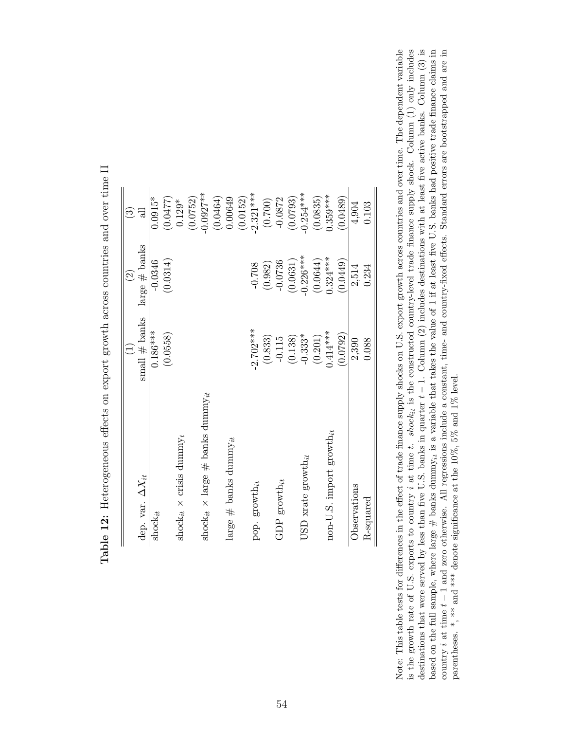|                                                        |                 | $\widehat{\mathfrak{O}}$ | $\widehat{\mathbb{C}}$ |
|--------------------------------------------------------|-----------------|--------------------------|------------------------|
| dep. var. $\Delta X_{it}$                              | small $#$ banks | large $#$ banks          |                        |
| $shock_{it}$                                           | $0.186***$      | $-0.0346$                | $0.0915*$              |
|                                                        | (0.0558)        | (0.0314)                 | (0.0477)               |
| shock <sub>it</sub> $\times$ crisis dummy <sub>t</sub> |                 |                          | $0.129*$               |
|                                                        |                 |                          | (0.0752)               |
| shock $_{it}$ × large $\#$ banks dummy $_{it}$         |                 |                          | $-0.0927**$            |
|                                                        |                 |                          | (0.0464)               |
| large $\#$ banks dummy $_{it}$                         |                 |                          | 0.00649                |
|                                                        |                 |                          | (0.0152)               |
| pop. $\text{growth}_{it}$                              | $-2.702***$     | $-0.708$                 | $-2.321***$            |
|                                                        | (0.833)         | (0.982)                  | (0.700)                |
| GDP growth <sub>it</sub>                               | $-0.115$        | $-0.0736$                | $-0.0872$              |
|                                                        | (0.138)         | (0.0631)                 | (0.0793)               |
| USD xrate growth <sub>it</sub>                         | $-0.333*$       | $0.226***$               | $-0.254***$            |
|                                                        | (0.201)         | (0.0644)                 | (0.0835)               |
| $\text{non-U.S. import growth}_{it}$                   | $0.414***$      | $0.324***$               | $0.359***$             |
|                                                        | (0.0792)        | (0.0449)                 | (0.0489)               |
| Observations                                           | 2,390           | 2,514                    | 4,904                  |
| R-squared                                              | 0.088           | 0.234                    | 0.103                  |

| ֧֧֧ׅ֧֧֧֧֦֧֦֧֧֧֧֧֧֧֧֧֧֧֧֦֧֛֪ׅ֧֚֚֚֚֡֕֕֓֕֓֕֓֬֓֓֬֓֓֡֬֓֓֬֓֓֬֓֓֬֓֓֬֓֓֬֓֓֬֓֓֓֓֓֬֓֬֓֓֬֓֬֬֓֓֬֬֓֬֓֬֬֬֓<br>ו<br>ו |
|--------------------------------------------------------------------------------------------------------|
|                                                                                                        |
|                                                                                                        |
|                                                                                                        |
| リンニニュン                                                                                                 |
|                                                                                                        |
| $\frac{1}{2}$                                                                                          |
|                                                                                                        |
| ことになる こうしょう こうしょう そうしょうしょう こうしょく くうしゅうしょう せきしん こうしゃく こうしく こうしょく こうしょう<br>Î                             |
| j<br>١<br>)<br>1<br>$\frac{1}{2}$<br>l<br>                                                             |
| $\ddot{\phantom{0}}$                                                                                   |
| $\frac{1}{2}$<br>'<br> <br>                                                                            |

destinations that were served by less than five U.S. banks in quarter  $t-1$ . Column (2) includes destinations with at least five active banks. Column (3) is based on the full sample, where large  $\#$  banks dummy<sub>it</sub> is a Note: This table tests for differences in the effect of trade finance supply shocks on U.S. export growth across countries and over time. The dependent variable is the growth rate of U.S. exports to country *i* at time *t*. shock<sub>it</sub> is the constructed country-level trade finance supply shock. Column  $(1)$  only includes country  $i$  at time  $t-1$  and zero otherwise. All regressions include a constant, time- and country-fixed effects. Standard errors are bootstrapped and are in destinations that were served by less than five U.S. banks in quarter  $t-1$ . Column (2) includes destinations with at least five active banks. Column (3) is included to the least five active banks. Column (3) is Note: This table tests for differences in the effect of trade finance supply shocks on U.S. export growth across countries and over time. The dependent variable is the growth rate of U.S. exports to country *i* at time *t.* shock<sub>it</sub> is the constructed country-level trade finance supply shock. Column (1) only includes based on the full sample, where large  $\#$  banks dummy is a variable that takes the value of 1 if at least five U.S. banks had positive trade finance claims in country *i* at time *t* − 1 and zero otherwise. All regressions include a constant, time- and country-fixed effects. Standard errors are bootstrapped and are in parentheses. \*, \*\* and \*\*\* denote significance at the  $10\%$ ,  $5\%$  and  $1\%$  level. parentheses. \*, \*\* and \*\*\* denote significance at the 10%, 5% and 1% level.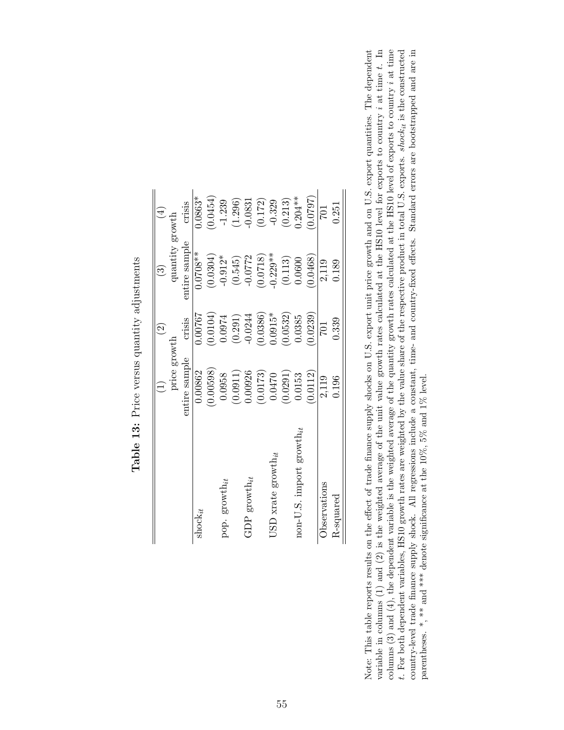|                                      |               | $\widehat{\Xi}$ | $\widehat{\mathbb{C}}$ | $\left(\frac{1}{2}\right)$ |
|--------------------------------------|---------------|-----------------|------------------------|----------------------------|
|                                      | price growth  |                 | quantity growth        |                            |
|                                      | entire sample | crisis          | entire sample          | crisis                     |
| $shock_{it}$                         | 0.00862       | 1.00767         | $0.0708**$             | $0.0863*$                  |
|                                      | (0.00598)     | (0.0104)        | (0.0304)               | 0.0454)                    |
| pop. $\text{growth}_{it}$            | 0.0958        | 0.0974          | $-0.912*$              | $-1.239$                   |
|                                      | (0.0911)      | (0.291)         | (0.545)                | (1.296)                    |
| GDP growth $\boldsymbol{_{it}}$      | 0.00926       | $-0.0244$       | $-0.0772$              | $-0.0831$                  |
|                                      | (0.0173)      | (0.0386)        | (0.0718)               | (0.172)                    |
| JSD xrate $growth_{it}$              | 0.0470        | $0.0915*$       | $0.229**$              | $-0.329$                   |
|                                      | (0.0291)      | 0.0532          | (0.113)                | (0.213)                    |
| non-U.S. import $\text{growth}_{it}$ | 0.0153        | 0.0385          | 0.0600                 | $0.204**$                  |
|                                      | 0.0112)       | (0.0239)        | 0.0468                 | (1620.0)                   |
| Observations                         | 2,119         | <b>701</b>      | 2,119                  |                            |
| K-squared                            | 0.196         | 0.339           | 0.189                  | 0.251                      |
|                                      |               |                 |                        |                            |

Table 13: Price versus quantity adjustments Table 13: Price versus quantity adjustments

variable in columns  $(1)$  and  $(2)$  is the weighted average of the unit value growth rates calculated at the HS10 level for exports to country i at time t. In columns  $(3)$  and  $(4)$ , the dependent variable is the weighted average of the quantity growth rates calculated at the HS10 level of exports to country i at time t. For both dependent variables, HS10 growth rates are weighted by the value share of the respective product in total U.S. exports. *shock<sub>it</sub>* is the constructed country-level trade finance supply shock. All regressions Note: This table reports results on the effect of trade finance supply shocks on U.S. export unit price growth and on U.S. export quantities. The dependent variable in columns (1) and (2) is the weighted average of the unit value growth rates calculated at the HS10 level for exports to country i at time t. In columns (3) and (4), the dependent variable is the weighted average of the quantity growth rates calculated at the HS10 level of exports to country at time t. For both dependent variables, HS10 growth rates are weighted by the value share of the respective product in total U.S. exports. shock<sub>it</sub> is the constructed Note: This table reports results on the effect of trade finance supply shocks on U.S. export unit price growth and on U.S. export quantities. The dependent country-level trade finance supply shock. All regressions include a constant, time- and country-fixed effects. Standard errors are bootstrapped and are in parentheses. \*, \*\* and \*\*\* denote significance at the  $10\%$ ,  $5\%$  and  $1\%$  level. parentheses. \*, \*\* and \*\*\* denote significance at the 10%, 5% and 1% level.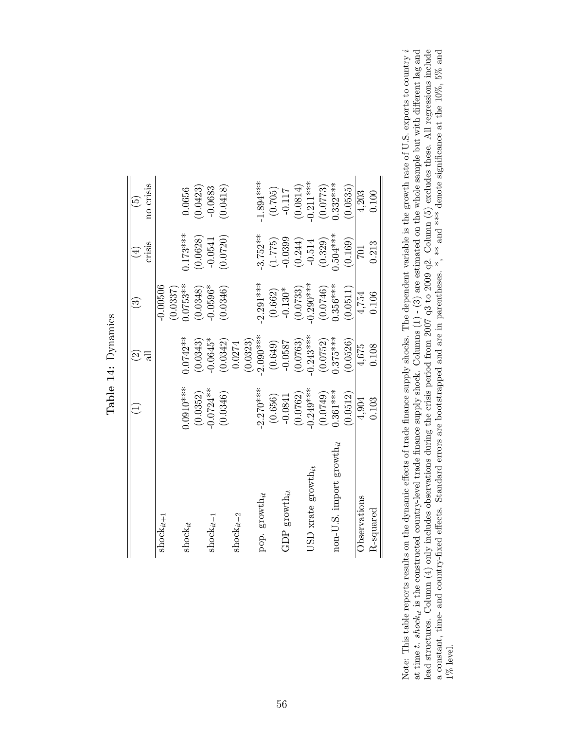| $shock_{it+1}$                               |             | $\widehat{\Omega}$ | $\widetilde{\mathbb{C}}$ | $(\pm)$    | $\tilde{5}$ |
|----------------------------------------------|-------------|--------------------|--------------------------|------------|-------------|
|                                              |             | ಸ                  |                          | crisis     | no crisis   |
|                                              |             |                    | $-0.00506$               |            |             |
|                                              |             |                    | (0.0337)                 |            |             |
| $\mathrm{shock}_{it}$                        | $0.0910***$ | $0.0742**$         | $0.0753***$              | $0.173***$ | 0.0656      |
|                                              | (0.0352)    | (0.0343)           | (0.0348)                 | (0.0628)   | (0.0423)    |
| $\mathrm{shock}_{it-1}$                      | $-0.0724**$ | $-0.0645*$         | $0.0596*$                | $-0.0541$  | $-0.0683$   |
|                                              | (0.0346)    | (0.0342)           | (0.0346)                 | (0.0720)   | 0.0418      |
| $shock_{it-2}$                               |             | 0.0274             |                          |            |             |
|                                              |             | (0.0323)           |                          |            |             |
| pop. $\text{growth}_{it}$                    | $-2.270***$ | $-2.090***$        | $-2.291***$              | $3.752**$  | $1.894***$  |
|                                              | (0.656)     | (0.649)            | (0.662)                  | (1.775)    | (0.705)     |
| GDP growth <sub>it</sub>                     | $-0.0841$   | $-0.0587$          | $-0.130*$                | $-0.0399$  | $-0.117$    |
|                                              | (0.0762)    | (0.0763)           | (0.0733)                 | (0.244)    | (0.0814)    |
| JSD xrate $\text{growth}_{it}$               | $-0.249***$ | $-0.243***$        | $-0.290***$              | $-0.514$   | $0.211***$  |
|                                              | (0.0749)    | (0.0752)           | (0.0746)                 | (0.329)    | (0.0773)    |
| $\text{non-U.S. import } \text{growth}_{it}$ | $0.361***$  | $0.375***$         | $0.356***$               | $0.504***$ | $0.332***$  |
|                                              | 0.0512      | (0.0526)           | (0.0511)                 | (0.169)    | 0.0535      |
| Observations                                 | 4,904       | 4,675              | 4,754                    | 701        | 4,203       |
| R-squared                                    | 0.103       | 0.108              | 0.106                    | 0.213      | 0.100       |

Table 14: Dynamics Table 14: Dynamics

Note: This table reports results on the dynamic effects of trade finance supply shocks. The dependent variable is the growth rate of U.S. exports to country i at time *t.* shock<sub>it</sub> is the constructed country-level trade finance supply shock. Columns (1) - (3) are estimated on the whole sample but with different lag and lead structures. Column (4) only includes observations dur Note: This table reports results on the dynamic effects of trade finance supply shocks. The dependent variable is the growth rate of U.S. exports to country at time t. shock<sub>it</sub> is the constructed country-level trade finance supply shock. Columns  $(1)$  -  $(3)$  are estimated on the whole sample but with different lag and lead structures. Column (4) only includes observations during the crisis period from 2007 q3 to 2009 q2. Column (5) excludes these. All regressions include a constant, time- and country-fixed effects. Standard errors are bootstrapped and are in parentheses. \*, \*\* and \*\*\* denote significance at the 10%, 5% and  $1\%$  level.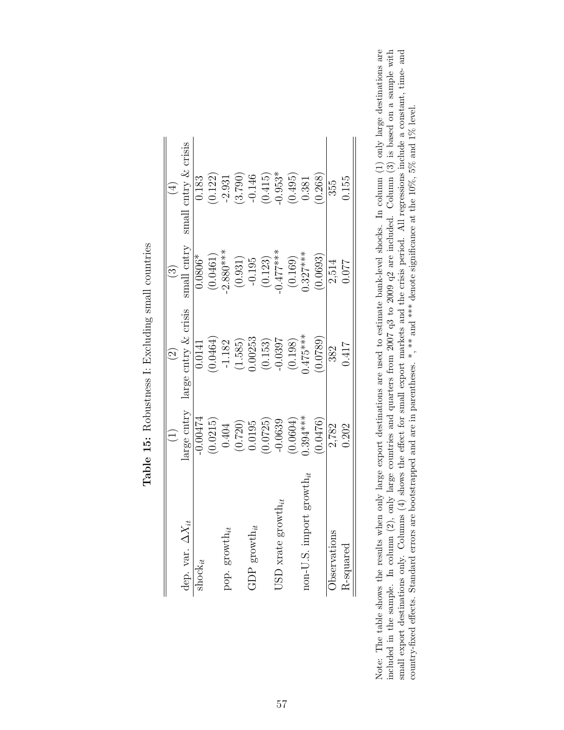|                                      | $\bigoplus$                                                 | $\odot$                                                            | $\odot$                                       | $(\pm)$                                                      |
|--------------------------------------|-------------------------------------------------------------|--------------------------------------------------------------------|-----------------------------------------------|--------------------------------------------------------------|
| dep. var. $\Delta X_{it}$            | arge cntry                                                  | large cntry & crisis                                               | $\,$ small cntry                              | small entry $\&$ erisis                                      |
| $\operatorname{shock}_{i\neq}$       | $-0.00474$                                                  | 1.0141                                                             | $0.0806*$                                     | 0.183                                                        |
|                                      | (0.0215)                                                    | 0.0464)                                                            | (0.0461)                                      | (0.122)                                                      |
| pop. growth <sub>it</sub>            |                                                             | $-1.182$                                                           | $-2.880***$                                   |                                                              |
|                                      | $\begin{array}{c} (0.404) \\ (0.720) \\ 0.0195 \end{array}$ | $(1.585)$<br>$0.00253$                                             | $(0.931)$<br>-0.195<br>$(0.123)$<br>$(0.123)$ | $\frac{-2.931}{(3.790)}$<br>$\left(\frac{0.146}{5.1}\right)$ |
| , growth $_{it}$<br>GDP              |                                                             |                                                                    |                                               |                                                              |
|                                      | (0.0725)                                                    |                                                                    |                                               | $(0.415)$<br>$0.953*$                                        |
| $\text{JSD}$ xrate growth $_{it}$    | $-0.0639$                                                   |                                                                    |                                               |                                                              |
|                                      | (0.0604)                                                    | $\begin{array}{c} (0.153) \\ -0.0397 \\ \hline 0.198) \end{array}$ |                                               | (0.495)                                                      |
| $\text{non-U.S. import growth}_{it}$ | $0.394***$                                                  | $0.475***$                                                         | $(0.169)$<br>0.327***                         | 0.381                                                        |
|                                      | 0.0476                                                      | 0.0789                                                             | 0.0693)                                       | 0.268)                                                       |
| Observations                         | 2,782                                                       | 382                                                                | 2,514                                         | 355                                                          |
| R-squared                            | 0.202                                                       | 0.417                                                              | 1.077                                         | 0.155                                                        |

| ļ                                                 |
|---------------------------------------------------|
| ţ<br>j<br>$\overline{\phantom{a}}$<br>י<br>i<br>I |
| J<br>Í<br>i<br>֕<br>i<br>I                        |
| i                                                 |
| i<br>1<br>I<br>J<br>j<br>ı                        |
| ֚֚֬                                               |
| I<br>l<br>į                                       |

Note: The table shows the results when only large export destinations are used to estimate bank-level shocks. In column  $(1)$  only large destinations are included in the sample. In column  $(2)$ , only large countries and q Note: The table shows the results when only large export destinations are used to estimate bank-level shocks. In column (1) only large destinations are included in the sample. In column (2), only large countries and quarters from 2007 q3 to 2009 q2 are included. Column (3) is based on a sample with small export destinations only. Columns (4) shows the effect for small export markets and the crisis period. All regressions include a constant, time- and country-fixed effects. Standard errors are bootstrapped and are in parentheses. \*, \*\* and \*\*\* denote significance at the  $10\%, 5\%$  and  $1\%$  level. country-fixed effects. Standard errors are bootstrapped and are in parentheses. \*, \*\* and \*\*\* denote significance at the 10%, 5% and 1% level.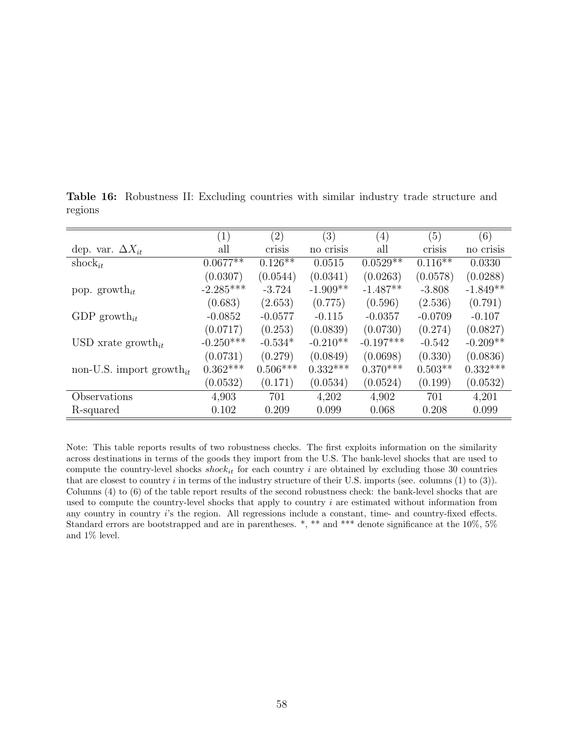|                                      | (1)         | $\left( 2\right)$ | (3)        | $\left( 4\right)$ | (5)       | (6)        |
|--------------------------------------|-------------|-------------------|------------|-------------------|-----------|------------|
| dep. var. $\Delta X_{it}$            | all         | crisis            | no crisis  | all               | crisis    | no crisis  |
| shock <sub>it</sub>                  | $0.0677**$  | $0.126***$        | 0.0515     | $0.0529**$        | $0.116**$ | 0.0330     |
|                                      | (0.0307)    | (0.0544)          | (0.0341)   | (0.0263)          | (0.0578)  | (0.0288)   |
| pop. growth <sub>it</sub>            | $-2.285***$ | $-3.724$          | $-1.909**$ | $-1.487**$        | $-3.808$  | $-1.849**$ |
|                                      | (0.683)     | (2.653)           | (0.775)    | (0.596)           | (2.536)   | (0.791)    |
| GDP growth <sub>it</sub>             | $-0.0852$   | $-0.0577$         | $-0.115$   | $-0.0357$         | $-0.0709$ | $-0.107$   |
|                                      | (0.0717)    | (0.253)           | (0.0839)   | (0.0730)          | (0.274)   | (0.0827)   |
| USD xrate growth <sub>it</sub>       | $-0.250***$ | $-0.534*$         | $-0.210**$ | $-0.197***$       | $-0.542$  | $-0.209**$ |
|                                      | (0.0731)    | (0.279)           | (0.0849)   | (0.0698)          | (0.330)   | (0.0836)   |
| non-U.S. import growth <sub>it</sub> | $0.362***$  | $0.506***$        | $0.332***$ | $0.370***$        | $0.503**$ | $0.332***$ |
|                                      | (0.0532)    | (0.171)           | (0.0534)   | (0.0524)          | (0.199)   | (0.0532)   |
| Observations                         | 4,903       | 701               | 4,202      | 4,902             | 701       | 4,201      |
| R-squared                            | 0.102       | 0.209             | 0.099      | 0.068             | 0.208     | 0.099      |

Table 16: Robustness II: Excluding countries with similar industry trade structure and regions

Note: This table reports results of two robustness checks. The first exploits information on the similarity across destinations in terms of the goods they import from the U.S. The bank-level shocks that are used to compute the country-level shocks  $shock_{it}$  for each country *i* are obtained by excluding those 30 countries that are closest to country  $i$  in terms of the industry structure of their U.S. imports (see. columns  $(1)$  to  $(3)$ ). Columns (4) to (6) of the table report results of the second robustness check: the bank-level shocks that are used to compute the country-level shocks that apply to country  $i$  are estimated without information from any country in country i's the region. All regressions include a constant, time- and country-fixed effects. Standard errors are bootstrapped and are in parentheses. \*, \*\* and \*\*\* denote significance at the 10%, 5% and 1% level.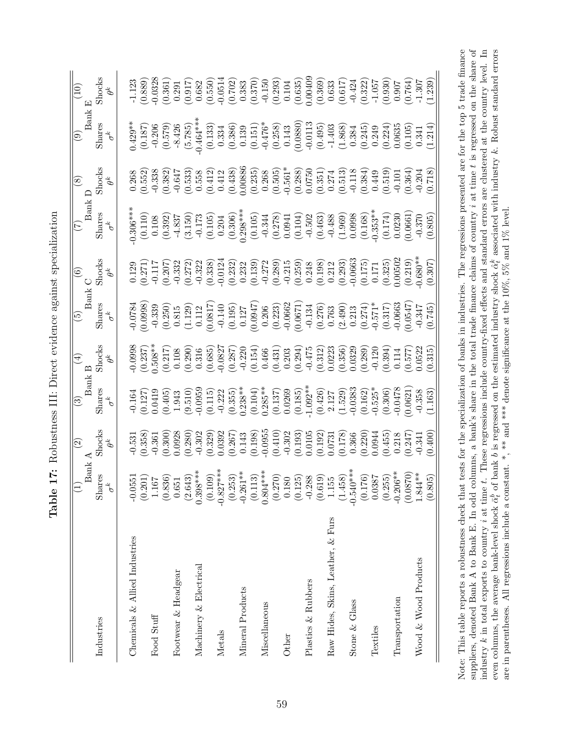| ı             |
|---------------|
| ļ<br>)        |
| l             |
| $\frac{1}{1}$ |
| :<br>l        |
| いく くずまくする     |
| l             |
| $F_{\rm c}$   |

|                                   | $_{\rm{Ban}}$        | $\widehat{c}$                                                                                                                                                                                                                                                                                       | (3) $(4)$<br>Bank B                                                                                                                                                                                                                                                                                                |                                                                                                                                                                                                                                                                                       |                                                                                                                                                                                                                                                                                             |                                                                                                                                                                                                                                                                       |                                                                                                                                                                                                                                                                                                                         | $\circledcirc$                                                                                                                                                                                                                                                                              | Bank E<br>$\odot$                                                                                                                                                                                                                                                                                                          | $\left( \begin{matrix} 10 \end{matrix} \right)$                                                                                                                                                                                                                                                  |
|-----------------------------------|----------------------|-----------------------------------------------------------------------------------------------------------------------------------------------------------------------------------------------------------------------------------------------------------------------------------------------------|--------------------------------------------------------------------------------------------------------------------------------------------------------------------------------------------------------------------------------------------------------------------------------------------------------------------|---------------------------------------------------------------------------------------------------------------------------------------------------------------------------------------------------------------------------------------------------------------------------------------|---------------------------------------------------------------------------------------------------------------------------------------------------------------------------------------------------------------------------------------------------------------------------------------------|-----------------------------------------------------------------------------------------------------------------------------------------------------------------------------------------------------------------------------------------------------------------------|-------------------------------------------------------------------------------------------------------------------------------------------------------------------------------------------------------------------------------------------------------------------------------------------------------------------------|---------------------------------------------------------------------------------------------------------------------------------------------------------------------------------------------------------------------------------------------------------------------------------------------|----------------------------------------------------------------------------------------------------------------------------------------------------------------------------------------------------------------------------------------------------------------------------------------------------------------------------|--------------------------------------------------------------------------------------------------------------------------------------------------------------------------------------------------------------------------------------------------------------------------------------------------|
| Industries                        | Shares<br>$\sigma^k$ | $\begin{array}{c} \mathrm{Shocks} \\ \theta^k \end{array}$                                                                                                                                                                                                                                          | Shares $\sigma^k$                                                                                                                                                                                                                                                                                                  | $\operatorname*{Shocks}_{\theta^{k}}$                                                                                                                                                                                                                                                 | $\overline{\frac{5}{\text{Bank}}},$ Shares                                                                                                                                                                                                                                                  | k C<br>Shocks<br>$\theta^k$                                                                                                                                                                                                                                           | $\begin{array}{c} \hline (7) \ \text{Bank D} \ \text{Shares} \ \text{S}^{\text{h}} \ \text{S}^{\text{h}} \end{array}$                                                                                                                                                                                                   | $\overset{\sim}{\theta^k}$                                                                                                                                                                                                                                                                  | $\label{eq:shares} \begin{aligned} & \text{Shares} \\ & \sigma^k \end{aligned}$                                                                                                                                                                                                                                            | $\operatorname*{Shocks}_{\theta^{k}}$                                                                                                                                                                                                                                                            |
| Chemicals & Allied Industries     | $-0.0551$            |                                                                                                                                                                                                                                                                                                     |                                                                                                                                                                                                                                                                                                                    |                                                                                                                                                                                                                                                                                       |                                                                                                                                                                                                                                                                                             |                                                                                                                                                                                                                                                                       |                                                                                                                                                                                                                                                                                                                         |                                                                                                                                                                                                                                                                                             |                                                                                                                                                                                                                                                                                                                            |                                                                                                                                                                                                                                                                                                  |
|                                   | (0.201)              |                                                                                                                                                                                                                                                                                                     |                                                                                                                                                                                                                                                                                                                    |                                                                                                                                                                                                                                                                                       |                                                                                                                                                                                                                                                                                             |                                                                                                                                                                                                                                                                       |                                                                                                                                                                                                                                                                                                                         |                                                                                                                                                                                                                                                                                             |                                                                                                                                                                                                                                                                                                                            |                                                                                                                                                                                                                                                                                                  |
| Food Stuff                        | 1.167                |                                                                                                                                                                                                                                                                                                     |                                                                                                                                                                                                                                                                                                                    |                                                                                                                                                                                                                                                                                       |                                                                                                                                                                                                                                                                                             |                                                                                                                                                                                                                                                                       |                                                                                                                                                                                                                                                                                                                         |                                                                                                                                                                                                                                                                                             |                                                                                                                                                                                                                                                                                                                            |                                                                                                                                                                                                                                                                                                  |
|                                   | (0.836)              |                                                                                                                                                                                                                                                                                                     |                                                                                                                                                                                                                                                                                                                    |                                                                                                                                                                                                                                                                                       |                                                                                                                                                                                                                                                                                             |                                                                                                                                                                                                                                                                       |                                                                                                                                                                                                                                                                                                                         |                                                                                                                                                                                                                                                                                             |                                                                                                                                                                                                                                                                                                                            |                                                                                                                                                                                                                                                                                                  |
| Footwear & Headgear               | 0.651                |                                                                                                                                                                                                                                                                                                     |                                                                                                                                                                                                                                                                                                                    |                                                                                                                                                                                                                                                                                       |                                                                                                                                                                                                                                                                                             |                                                                                                                                                                                                                                                                       |                                                                                                                                                                                                                                                                                                                         |                                                                                                                                                                                                                                                                                             |                                                                                                                                                                                                                                                                                                                            |                                                                                                                                                                                                                                                                                                  |
|                                   | (2.643)              | $\begin{array}{l} 1.531 \\ 0.368 \\ 0.369 \\ 0.360 \\ 0.360 \\ 0.370 \\ 0.381 \\ 0.398 \\ 0.302 \\ 0.303 \\ 0.303 \\ 0.303 \\ 0.303 \\ 0.303 \\ 0.303 \\ 0.303 \\ 0.303 \\ 0.303 \\ 0.303 \\ 0.303 \\ 0.303 \\ 0.303 \\ 0.303 \\ 0.303 \\ 0.303 \\ 0.303 \\ 0.303 \\ 0.303 \\ 0.303 \\ 0.303 \\ 0.$ | $\begin{array}{l} 1.164 \\[-4.8ex] -0.16419 \\[-4.8ex] -0.0419 \\[-4.8ex] -0.0959 \\[-4.8ex] -0.0959 \\[-4.8ex] -0.0959 \\[-4.8ex] -0.0959 \\[-4.8ex] -0.0958 \\[-4.8ex] -0.0958 \\[-4.8ex] -0.0958 \\[-4.8ex] -0.0958 \\[-4.8ex] -0.0958 \\[-4.8ex] -0.0958 \\[-4.8ex] -0.0958 \\[-4.8ex] -0.0958 \\[-4.8ex] -0.$ | $\begin{array}{l} 0.0988\\ -0.237\\ 0.5108\\ -0.508\\ 0.0000\\ -0.00000\\ -0.00000\\ -0.00000\\ -0.00000\\ -0.00000\\ -0.00000\\ -0.00000\\ -0.00000\\ -0.00000\\ -0.00000\\ -0.00000\\ -0.00000\\ -0.00000\\ -0.00000\\ -0.00000\\ -0.00000\\ -0.00000\\ -0.00000\\ -0.00000\\ -0.0$ | $\begin{array}{l} 0.0784 \\ 0.0998 \\ 0.0998 \\ 0.0339 \\ 0.0315 \\ 0.0112 \\ 0.0112 \\ 0.0112 \\ 0.0017 \\ 0.0007 \\ 0.0007 \\ 0.0007 \\ 0.0007 \\ 0.0007 \\ 0.0007 \\ 0.0007 \\ 0.0007 \\ 0.0007 \\ 0.0007 \\ 0.0007 \\ 0.0007 \\ 0.0007 \\ 0.0007 \\ 0.0007 \\ 0.0007 \\ 0.0007 \\ 0.00$ | $\begin{array}{l} 129\\ 0.271\\ 2.117\\ 0.207\\ 0.332\\ 0.333\\ 0.333\\ 0.232\\ 0.233\\ 0.233\\ 0.233\\ 0.233\\ 0.233\\ 0.233\\ 0.233\\ 0.233\\ 0.233\\ 0.233\\ 0.233\\ 0.233\\ 0.233\\ 0.233\\ 0.233\\ 0.233\\ 0.233\\ 0.233\\ 0.233\\ 0.233\\ 0.233\\ 0.233\\ 0.23$ | $\begin{array}{l} 306^{**} \\ (0.110) \\ (0.110) \\ (0.108) \\ (0.105) \\ (0.105) \\ (0.105) \\ (0.105) \\ (0.105) \\ (0.105) \\ (0.105) \\ (0.105) \\ (0.105) \\ (0.105) \\ (0.105) \\ (0.105) \\ (0.105) \\ (0.105) \\ (0.105) \\ (0.105) \\ (0.105) \\ (0.105) \\ (0.105) \\ (0.105) \\ (0.105) \\ (0.105) \\ (0.10$ | $\begin{array}{l} 0.268 \\ 0.552 \\ 0.338 \\ 0.383 \\ 0.552 \\ 0.641 \\ 0.553 \\ 0.0141 \\ 0.0141 \\ 0.0008 \\ 0.0008 \\ 0.0008 \\ 0.0008 \\ 0.0008 \\ 0.0008 \\ 0.0008 \\ 0.0008 \\ 0.0008 \\ 0.0008 \\ 0.0009 \\ 0.0009 \\ 0.00009 \\ 0.00009 \\ 0.00009 \\ 0.000000 \\ 0.000000 \\ 0.00$ | $\begin{array}{l} \mbox{1.59\%} \\[-2.0ex] \mbox{1.50\%} \\[-2.0ex] \mbox{1.51\%} \\[-2.0ex] \mbox{1.51\%} \\[-2.0ex] \mbox{1.51\%} \\[-2.0ex] \mbox{1.53\%} \\[-2.0ex] \mbox{1.51\%} \\[-2.0ex] \mbox{1.53\%} \\[-2.0ex] \mbox{1.51\%} \\[-2.0ex] \mbox{1.52\%} \\[-2.0ex] \mbox{1.53\%} \\[-2.0ex] \mbox{1.53\%} \\[-2.$ | $\begin{array}{l} 1.123\\[-4pt] 1.2389\\[-4pt] 0.889\\[-4pt] 0.362\\[-4pt] 0.632\\[-4pt] 0.635\\[-4pt] 0.635\\[-4pt] 0.635\\[-4pt] 0.635\\[-4pt] 0.635\\[-4pt] 0.635\\[-4pt] 0.635\\[-4pt] 0.635\\[-4pt] 0.635\\[-4pt] 0.635\\[-4pt] 0.635\\[-4pt] 0.635\\[-4pt] 0.635\\[-4pt] 0.635\\[-4pt] 0.$ |
| Machinery & Electrical            | $0.398***$           |                                                                                                                                                                                                                                                                                                     |                                                                                                                                                                                                                                                                                                                    |                                                                                                                                                                                                                                                                                       |                                                                                                                                                                                                                                                                                             |                                                                                                                                                                                                                                                                       |                                                                                                                                                                                                                                                                                                                         |                                                                                                                                                                                                                                                                                             |                                                                                                                                                                                                                                                                                                                            |                                                                                                                                                                                                                                                                                                  |
|                                   | (0.109)              |                                                                                                                                                                                                                                                                                                     |                                                                                                                                                                                                                                                                                                                    |                                                                                                                                                                                                                                                                                       |                                                                                                                                                                                                                                                                                             |                                                                                                                                                                                                                                                                       |                                                                                                                                                                                                                                                                                                                         |                                                                                                                                                                                                                                                                                             |                                                                                                                                                                                                                                                                                                                            |                                                                                                                                                                                                                                                                                                  |
| Metals                            | $-0.827***$          |                                                                                                                                                                                                                                                                                                     |                                                                                                                                                                                                                                                                                                                    |                                                                                                                                                                                                                                                                                       |                                                                                                                                                                                                                                                                                             |                                                                                                                                                                                                                                                                       |                                                                                                                                                                                                                                                                                                                         |                                                                                                                                                                                                                                                                                             |                                                                                                                                                                                                                                                                                                                            |                                                                                                                                                                                                                                                                                                  |
|                                   | (0.253)              |                                                                                                                                                                                                                                                                                                     |                                                                                                                                                                                                                                                                                                                    |                                                                                                                                                                                                                                                                                       |                                                                                                                                                                                                                                                                                             |                                                                                                                                                                                                                                                                       |                                                                                                                                                                                                                                                                                                                         |                                                                                                                                                                                                                                                                                             |                                                                                                                                                                                                                                                                                                                            |                                                                                                                                                                                                                                                                                                  |
| Mineral Products                  | $-0.261**$           |                                                                                                                                                                                                                                                                                                     |                                                                                                                                                                                                                                                                                                                    |                                                                                                                                                                                                                                                                                       |                                                                                                                                                                                                                                                                                             |                                                                                                                                                                                                                                                                       |                                                                                                                                                                                                                                                                                                                         |                                                                                                                                                                                                                                                                                             |                                                                                                                                                                                                                                                                                                                            |                                                                                                                                                                                                                                                                                                  |
|                                   | (0.113)              |                                                                                                                                                                                                                                                                                                     |                                                                                                                                                                                                                                                                                                                    |                                                                                                                                                                                                                                                                                       |                                                                                                                                                                                                                                                                                             |                                                                                                                                                                                                                                                                       |                                                                                                                                                                                                                                                                                                                         |                                                                                                                                                                                                                                                                                             |                                                                                                                                                                                                                                                                                                                            |                                                                                                                                                                                                                                                                                                  |
| Miscellaneous                     | $0.804***$           |                                                                                                                                                                                                                                                                                                     |                                                                                                                                                                                                                                                                                                                    |                                                                                                                                                                                                                                                                                       |                                                                                                                                                                                                                                                                                             |                                                                                                                                                                                                                                                                       |                                                                                                                                                                                                                                                                                                                         |                                                                                                                                                                                                                                                                                             |                                                                                                                                                                                                                                                                                                                            |                                                                                                                                                                                                                                                                                                  |
|                                   | (0.270)              |                                                                                                                                                                                                                                                                                                     |                                                                                                                                                                                                                                                                                                                    |                                                                                                                                                                                                                                                                                       |                                                                                                                                                                                                                                                                                             |                                                                                                                                                                                                                                                                       |                                                                                                                                                                                                                                                                                                                         |                                                                                                                                                                                                                                                                                             |                                                                                                                                                                                                                                                                                                                            |                                                                                                                                                                                                                                                                                                  |
| Other                             | 0.180                |                                                                                                                                                                                                                                                                                                     |                                                                                                                                                                                                                                                                                                                    |                                                                                                                                                                                                                                                                                       |                                                                                                                                                                                                                                                                                             |                                                                                                                                                                                                                                                                       |                                                                                                                                                                                                                                                                                                                         |                                                                                                                                                                                                                                                                                             |                                                                                                                                                                                                                                                                                                                            |                                                                                                                                                                                                                                                                                                  |
|                                   | (0.125)              |                                                                                                                                                                                                                                                                                                     |                                                                                                                                                                                                                                                                                                                    |                                                                                                                                                                                                                                                                                       |                                                                                                                                                                                                                                                                                             |                                                                                                                                                                                                                                                                       |                                                                                                                                                                                                                                                                                                                         |                                                                                                                                                                                                                                                                                             |                                                                                                                                                                                                                                                                                                                            |                                                                                                                                                                                                                                                                                                  |
| Plastics & Rubbers                | $-0.288$             |                                                                                                                                                                                                                                                                                                     |                                                                                                                                                                                                                                                                                                                    |                                                                                                                                                                                                                                                                                       |                                                                                                                                                                                                                                                                                             |                                                                                                                                                                                                                                                                       |                                                                                                                                                                                                                                                                                                                         |                                                                                                                                                                                                                                                                                             |                                                                                                                                                                                                                                                                                                                            |                                                                                                                                                                                                                                                                                                  |
|                                   | (0.619)              |                                                                                                                                                                                                                                                                                                     |                                                                                                                                                                                                                                                                                                                    |                                                                                                                                                                                                                                                                                       |                                                                                                                                                                                                                                                                                             |                                                                                                                                                                                                                                                                       |                                                                                                                                                                                                                                                                                                                         |                                                                                                                                                                                                                                                                                             |                                                                                                                                                                                                                                                                                                                            |                                                                                                                                                                                                                                                                                                  |
| Raw Hides, Skins, Leather, & Furs | 1.155                |                                                                                                                                                                                                                                                                                                     |                                                                                                                                                                                                                                                                                                                    |                                                                                                                                                                                                                                                                                       |                                                                                                                                                                                                                                                                                             |                                                                                                                                                                                                                                                                       |                                                                                                                                                                                                                                                                                                                         |                                                                                                                                                                                                                                                                                             |                                                                                                                                                                                                                                                                                                                            |                                                                                                                                                                                                                                                                                                  |
|                                   | (1.458)              |                                                                                                                                                                                                                                                                                                     |                                                                                                                                                                                                                                                                                                                    |                                                                                                                                                                                                                                                                                       |                                                                                                                                                                                                                                                                                             |                                                                                                                                                                                                                                                                       |                                                                                                                                                                                                                                                                                                                         |                                                                                                                                                                                                                                                                                             |                                                                                                                                                                                                                                                                                                                            |                                                                                                                                                                                                                                                                                                  |
| Stone & Glass                     | $-0.540***$          |                                                                                                                                                                                                                                                                                                     |                                                                                                                                                                                                                                                                                                                    |                                                                                                                                                                                                                                                                                       |                                                                                                                                                                                                                                                                                             |                                                                                                                                                                                                                                                                       |                                                                                                                                                                                                                                                                                                                         |                                                                                                                                                                                                                                                                                             |                                                                                                                                                                                                                                                                                                                            |                                                                                                                                                                                                                                                                                                  |
|                                   | (0.176)              |                                                                                                                                                                                                                                                                                                     |                                                                                                                                                                                                                                                                                                                    |                                                                                                                                                                                                                                                                                       |                                                                                                                                                                                                                                                                                             |                                                                                                                                                                                                                                                                       |                                                                                                                                                                                                                                                                                                                         |                                                                                                                                                                                                                                                                                             |                                                                                                                                                                                                                                                                                                                            |                                                                                                                                                                                                                                                                                                  |
| Textiles                          | 0.0387               |                                                                                                                                                                                                                                                                                                     |                                                                                                                                                                                                                                                                                                                    |                                                                                                                                                                                                                                                                                       |                                                                                                                                                                                                                                                                                             |                                                                                                                                                                                                                                                                       |                                                                                                                                                                                                                                                                                                                         |                                                                                                                                                                                                                                                                                             |                                                                                                                                                                                                                                                                                                                            |                                                                                                                                                                                                                                                                                                  |
|                                   | (0.255)              |                                                                                                                                                                                                                                                                                                     |                                                                                                                                                                                                                                                                                                                    |                                                                                                                                                                                                                                                                                       |                                                                                                                                                                                                                                                                                             |                                                                                                                                                                                                                                                                       |                                                                                                                                                                                                                                                                                                                         |                                                                                                                                                                                                                                                                                             |                                                                                                                                                                                                                                                                                                                            |                                                                                                                                                                                                                                                                                                  |
| Transportation                    | $-0.206**$           |                                                                                                                                                                                                                                                                                                     |                                                                                                                                                                                                                                                                                                                    |                                                                                                                                                                                                                                                                                       |                                                                                                                                                                                                                                                                                             |                                                                                                                                                                                                                                                                       |                                                                                                                                                                                                                                                                                                                         |                                                                                                                                                                                                                                                                                             |                                                                                                                                                                                                                                                                                                                            |                                                                                                                                                                                                                                                                                                  |
|                                   | (0.870)              |                                                                                                                                                                                                                                                                                                     |                                                                                                                                                                                                                                                                                                                    |                                                                                                                                                                                                                                                                                       |                                                                                                                                                                                                                                                                                             |                                                                                                                                                                                                                                                                       |                                                                                                                                                                                                                                                                                                                         |                                                                                                                                                                                                                                                                                             |                                                                                                                                                                                                                                                                                                                            |                                                                                                                                                                                                                                                                                                  |
| Wood & Wood Products              | $.844**$             |                                                                                                                                                                                                                                                                                                     |                                                                                                                                                                                                                                                                                                                    |                                                                                                                                                                                                                                                                                       |                                                                                                                                                                                                                                                                                             |                                                                                                                                                                                                                                                                       |                                                                                                                                                                                                                                                                                                                         |                                                                                                                                                                                                                                                                                             |                                                                                                                                                                                                                                                                                                                            |                                                                                                                                                                                                                                                                                                  |
|                                   | (0.805)              |                                                                                                                                                                                                                                                                                                     |                                                                                                                                                                                                                                                                                                                    |                                                                                                                                                                                                                                                                                       |                                                                                                                                                                                                                                                                                             |                                                                                                                                                                                                                                                                       |                                                                                                                                                                                                                                                                                                                         |                                                                                                                                                                                                                                                                                             |                                                                                                                                                                                                                                                                                                                            |                                                                                                                                                                                                                                                                                                  |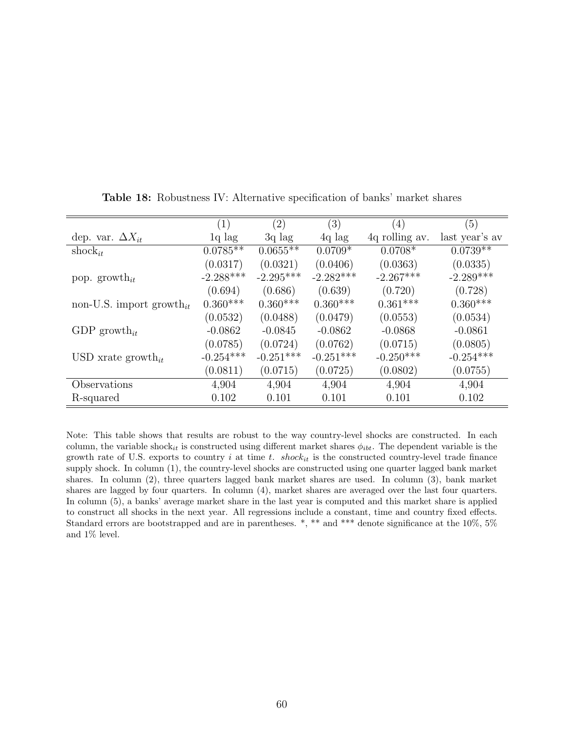|                                      | $\left( 1\right)$ | (2)         | (3)         | (4)            | (5)            |
|--------------------------------------|-------------------|-------------|-------------|----------------|----------------|
| dep. var. $\Delta X_{it}$            | $1q$ lag          | $3q$ lag    | $4q$ lag    | 4q rolling av. | last year's av |
| shock <sub>it</sub>                  | $0.0785**$        | $0.0655**$  | $0.0709*$   | $0.0708*$      | $0.0739**$     |
|                                      | (0.0317)          | (0.0321)    | (0.0406)    | (0.0363)       | (0.0335)       |
| pop. growth <sub>it</sub>            | $-2.288***$       | $-2.295***$ | $-2.282***$ | $-2.267***$    | $-2.289***$    |
|                                      | (0.694)           | (0.686)     | (0.639)     | (0.720)        | (0.728)        |
| non-U.S. import growth <sub>it</sub> | $0.360***$        | $0.360***$  | $0.360***$  | $0.361***$     | $0.360***$     |
|                                      | (0.0532)          | (0.0488)    | (0.0479)    | (0.0553)       | (0.0534)       |
| GDP growth <sub>it</sub>             | $-0.0862$         | $-0.0845$   | $-0.0862$   | $-0.0868$      | $-0.0861$      |
|                                      | (0.0785)          | (0.0724)    | (0.0762)    | (0.0715)       | (0.0805)       |
| USD xrate growth <sub>it</sub>       | $-0.254***$       | $-0.251***$ | $-0.251***$ | $-0.250***$    | $-0.254***$    |
|                                      | (0.0811)          | (0.0715)    | (0.0725)    | (0.0802)       | (0.0755)       |
| Observations                         | 4,904             | 4,904       | 4,904       | 4,904          | 4,904          |
| R-squared                            | 0.102             | 0.101       | 0.101       | 0.101          | 0.102          |

Table 18: Robustness IV: Alternative specification of banks' market shares

Note: This table shows that results are robust to the way country-level shocks are constructed. In each column, the variable shock<sub>it</sub> is constructed using different market shares  $\phi_{ibt}$ . The dependent variable is the growth rate of U.S. exports to country  $i$  at time  $t$ .  $shock_{it}$  is the constructed country-level trade finance supply shock. In column (1), the country-level shocks are constructed using one quarter lagged bank market shares. In column (2), three quarters lagged bank market shares are used. In column (3), bank market shares are lagged by four quarters. In column (4), market shares are averaged over the last four quarters. In column (5), a banks' average market share in the last year is computed and this market share is applied to construct all shocks in the next year. All regressions include a constant, time and country fixed effects. Standard errors are bootstrapped and are in parentheses. \*, \*\* and \*\*\* denote significance at the 10%, 5% and 1% level.